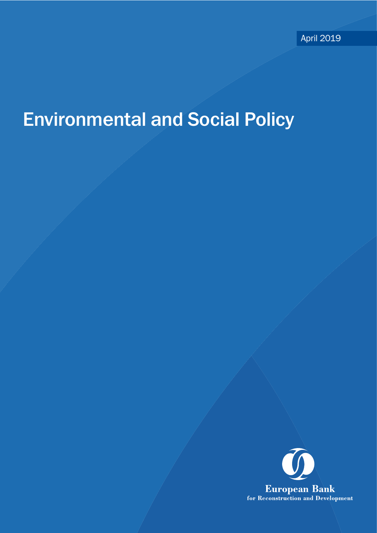# Environmental and Social Policy

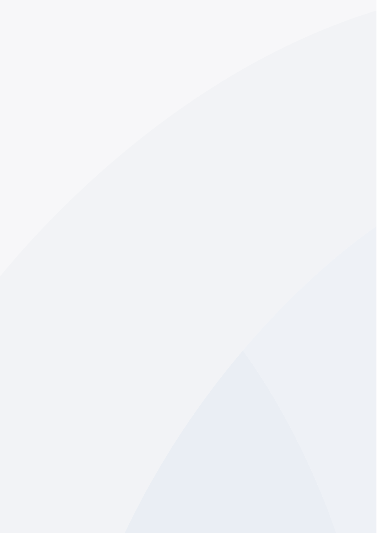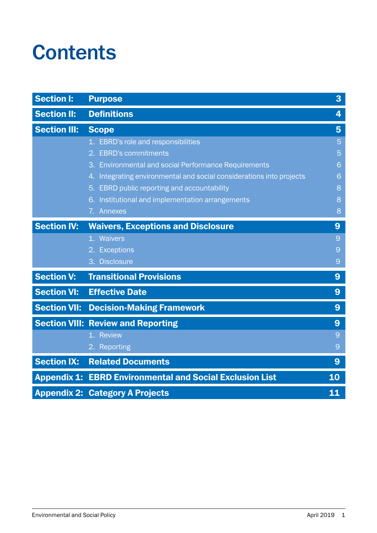# **Contents**

| <b>Section I:</b>   | <b>Purpose</b>                                                          | 3              |
|---------------------|-------------------------------------------------------------------------|----------------|
| <b>Section II:</b>  | <b>Definitions</b>                                                      | 4              |
| <b>Section III:</b> | <b>Scope</b>                                                            | 5              |
|                     | 1. EBRD's role and responsibilities                                     | $\overline{5}$ |
|                     | <b>EBRD's commitments</b><br>2.                                         | 5              |
|                     | Environmental and social Performance Requirements<br>3.                 | 6              |
|                     | Integrating environmental and social considerations into projects<br>4. | 6              |
|                     | EBRD public reporting and accountability<br>5.                          | 8              |
|                     | Institutional and implementation arrangements<br>6.                     | 8              |
|                     | Annexes<br>7.                                                           | 8              |
| <b>Section IV:</b>  | <b>Waivers, Exceptions and Disclosure</b>                               | 9              |
|                     | 1. Waivers                                                              | 9              |
|                     | Exceptions<br>2.                                                        | 9              |
|                     | 3. Disclosure                                                           | 9              |
| <b>Section V:</b>   | <b>Transitional Provisions</b>                                          | 9              |
| <b>Section VI:</b>  | <b>Effective Date</b>                                                   | 9              |
| <b>Section VII:</b> | <b>Decision-Making Framework</b>                                        | 9              |
|                     | <b>Section VIII: Review and Reporting</b>                               | 9              |
|                     | 1. Review                                                               | 9              |
|                     | 2. Reporting                                                            | 9              |
| <b>Section IX:</b>  | <b>Related Documents</b>                                                | 9              |
| <b>Appendix 1:</b>  | <b>EBRD Environmental and Social Exclusion List</b>                     | 10             |
|                     | <b>Appendix 2: Category A Projects</b>                                  | 11             |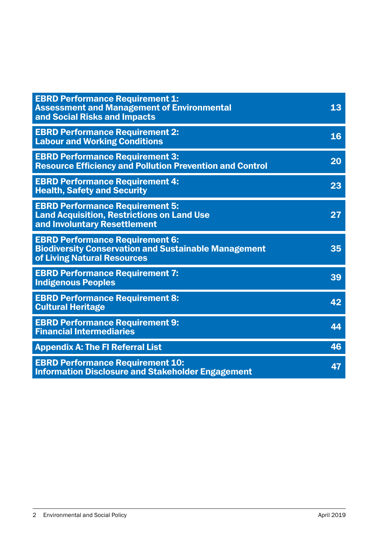| <b>EBRD Performance Requirement 1:</b><br><b>Assessment and Management of Environmental</b><br>and Social Risks and Impacts          | 13 |
|--------------------------------------------------------------------------------------------------------------------------------------|----|
| <b>EBRD Performance Requirement 2:</b><br><b>Labour and Working Conditions</b>                                                       | 16 |
| <b>EBRD Performance Requirement 3:</b><br><b>Resource Efficiency and Pollution Prevention and Control</b>                            | 20 |
| <b>EBRD Performance Requirement 4:</b><br><b>Health, Safety and Security</b>                                                         | 23 |
| <b>EBRD Performance Requirement 5:</b><br><b>Land Acquisition, Restrictions on Land Use</b><br>and Involuntary Resettlement          | 27 |
| <b>EBRD Performance Requirement 6:</b><br><b>Biodiversity Conservation and Sustainable Management</b><br>of Living Natural Resources | 35 |
| <b>EBRD Performance Requirement 7:</b><br><b>Indigenous Peoples</b>                                                                  | 39 |
| <b>EBRD Performance Requirement 8:</b><br><b>Cultural Heritage</b>                                                                   | 42 |
| <b>EBRD Performance Requirement 9:</b><br><b>Financial Intermediaries</b>                                                            | 44 |
| <b>Appendix A: The FI Referral List</b>                                                                                              | 46 |
| <b>EBRD Performance Requirement 10:</b><br><b>Information Disclosure and Stakeholder Engagement</b>                                  | 47 |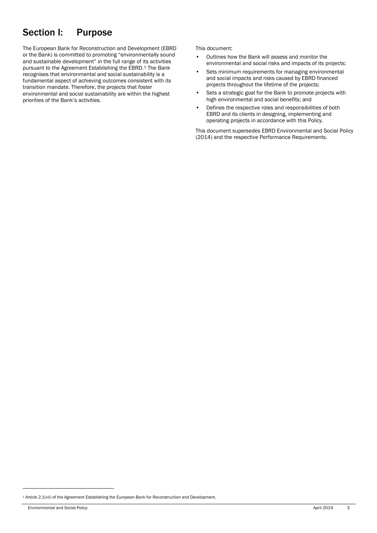# Section I: Purpose

The European Bank for Reconstruction and Development (EBRD or the Bank) is committed to promoting "environmentally sound and sustainable development" in the full range of its activities pursuant to the Agreement Establishing the EBRD.[1](#page-4-0) The Bank recognises that environmental and social sustainability is a fundamental aspect of achieving outcomes consistent with its transition mandate. Therefore, the projects that foster environmental and social sustainability are within the highest priorities of the Bank's activities.

This document:

- Outlines how the Bank will assess and monitor the environmental and social risks and impacts of its projects;
- Sets minimum requirements for managing environmental and social impacts and risks caused by EBRD financed projects throughout the lifetime of the projects;
- Sets a strategic goal for the Bank to promote projects with high environmental and social benefits; and
- Defines the respective roles and responsibilities of both EBRD and its clients in designing, implementing and operating projects in accordance with this Policy.

This document supersedes EBRD Environmental and Social Policy (2014) and the respective Performance Requirements.

<span id="page-4-0"></span><sup>1</sup> Article 2.1(vii) of the Agreement Establishing the European Bank for Reconstruction and Development.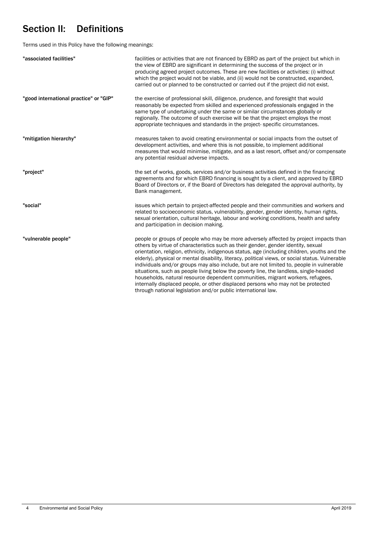# Section II: Definitions

Terms used in this Policy have the following meanings:

| "associated facilities"                | facilities or activities that are not financed by EBRD as part of the project but which in<br>the view of EBRD are significant in determining the success of the project or in<br>producing agreed project outcomes. These are new facilities or activities: (i) without<br>which the project would not be viable, and (ii) would not be constructed, expanded,<br>carried out or planned to be constructed or carried out if the project did not exist.                                                                                                                                                                                                                                                                                  |
|----------------------------------------|-------------------------------------------------------------------------------------------------------------------------------------------------------------------------------------------------------------------------------------------------------------------------------------------------------------------------------------------------------------------------------------------------------------------------------------------------------------------------------------------------------------------------------------------------------------------------------------------------------------------------------------------------------------------------------------------------------------------------------------------|
| "good international practice" or "GIP" | the exercise of professional skill, diligence, prudence, and foresight that would<br>reasonably be expected from skilled and experienced professionals engaged in the<br>same type of undertaking under the same or similar circumstances globally or<br>regionally. The outcome of such exercise will be that the project employs the most<br>appropriate techniques and standards in the project-specific circumstances.                                                                                                                                                                                                                                                                                                                |
| "mitigation hierarchy"                 | measures taken to avoid creating environmental or social impacts from the outset of<br>development activities, and where this is not possible, to implement additional<br>measures that would minimise, mitigate, and as a last resort, offset and/or compensate<br>any potential residual adverse impacts.                                                                                                                                                                                                                                                                                                                                                                                                                               |
| "project"                              | the set of works, goods, services and/or business activities defined in the financing<br>agreements and for which EBRD financing is sought by a client, and approved by EBRD<br>Board of Directors or, if the Board of Directors has delegated the approval authority, by<br>Bank management.                                                                                                                                                                                                                                                                                                                                                                                                                                             |
| "social"                               | issues which pertain to project-affected people and their communities and workers and<br>related to socioeconomic status, vulnerability, gender, gender identity, human rights,<br>sexual orientation, cultural heritage, labour and working conditions, health and safety<br>and participation in decision making.                                                                                                                                                                                                                                                                                                                                                                                                                       |
| "vulnerable people"                    | people or groups of people who may be more adversely affected by project impacts than<br>others by virtue of characteristics such as their gender, gender identity, sexual<br>orientation, religion, ethnicity, indigenous status, age (including children, youths and the<br>elderly), physical or mental disability, literacy, political views, or social status. Vulnerable<br>individuals and/or groups may also include, but are not limited to, people in vulnerable<br>situations, such as people living below the poverty line, the landless, single-headed<br>households, natural resource dependent communities, migrant workers, refugees,<br>internally displaced people, or other displaced persons who may not be protected |

through national legislation and/or public international law.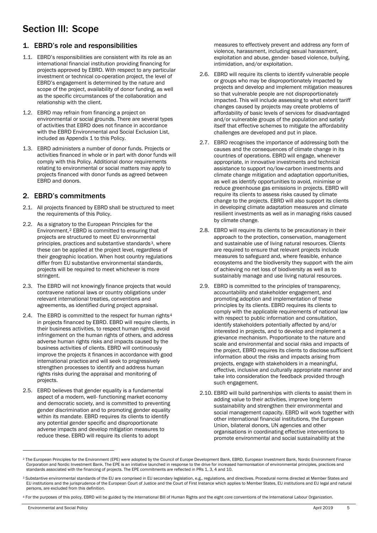# Section III: Scope

# 1. EBRD's role and responsibilities

- 1.1. EBRD's responsibilities are consistent with its role as an international financial institution providing financing for projects approved by EBRD. With respect to any particular investment or technical co-operation project, the level of EBRD's engagement is determined by the nature and scope of the project, availability of donor funding, as well as the specific circumstances of the collaboration and relationship with the client.
- 1.2. EBRD may refrain from financing a project on environmental or social grounds. There are several types of activities that EBRD does not finance in accordance with the EBRD Environmental and Social Exclusion List. included as Appendix 1 to this Policy.
- 1.3. EBRD administers a number of donor funds. Projects or activities financed in whole or in part with donor funds will comply with this Policy. Additional donor requirements relating to environmental or social matters may apply to projects financed with donor funds as agreed between EBRD and donors.

# 2. EBRD's commitments

- 2.1. All projects financed by EBRD shall be structured to meet the requirements of this Policy.
- 2.2. As a signatory to the European Principles for the Environment,[2](#page-6-0) EBRD is committed to ensuring that projects are structured to meet EU environmental principles, practices and substantive standards<sup>[3](#page-6-1)</sup>, where these can be applied at the project level, regardless of their geographic location. When host country regulations differ from EU substantive environmental standards, projects will be required to meet whichever is more stringent.
- 2.3. The EBRD will not knowingly finance projects that would contravene national laws or country obligations under relevant international treaties, conventions and agreements, as identified during project appraisal.
- 2.[4](#page-6-2). The EBRD is committed to the respect for human rights<sup>4</sup> in projects financed by EBRD. EBRD will require clients, in their business activities, to respect human rights, avoid infringement on the human rights of others, and address adverse human rights risks and impacts caused by the business activities of clients. EBRD will continuously improve the projects it finances in accordance with good international practice and will seek to progressively strengthen processes to identify and address human rights risks during the appraisal and monitoring of projects.
- 2.5. EBRD believes that gender equality is a fundamental aspect of a modern, well- functioning market economy and democratic society, and is committed to preventing gender discrimination and to promoting gender equality within its mandate. EBRD requires its clients to identify any potential gender specific and disproportionate adverse impacts and develop mitigation measures to reduce these. EBRD will require its clients to adopt

measures to effectively prevent and address any form of violence, harassment, including sexual harassment, exploitation and abuse, gender- based violence, bullying, intimidation, and/or exploitation.

- 2.6. EBRD will require its clients to identify vulnerable people or groups who may be disproportionately impacted by projects and develop and implement mitigation measures so that vulnerable people are not disproportionately impacted. This will include assessing to what extent tariff changes caused by projects may create problems of affordability of basic levels of services for disadvantaged and/or vulnerable groups of the population and satisfy itself that effective schemes to mitigate the affordability challenges are developed and put in place.
- 2.7. EBRD recognises the importance of addressing both the causes and the consequences of climate change in its countries of operations. EBRD will engage, whenever appropriate, in innovative investments and technical assistance to support no/low-carbon investments and climate change mitigation and adaptation opportunities, as well as identify opportunities to avoid, minimise or reduce greenhouse gas emissions in projects. EBRD will require its clients to assess risks caused by climate change to the projects. EBRD will also support its clients in developing climate adaptation measures and climate resilient investments as well as in managing risks caused by climate change.
- 2.8. EBRD will require its clients to be precautionary in their approach to the protection, conservation, management and sustainable use of living natural resources. Clients are required to ensure that relevant projects include measures to safeguard and, where feasible, enhance ecosystems and the biodiversity they support with the aim of achieving no net loss of biodiversity as well as to sustainably manage and use living natural resources.
- 2.9. EBRD is committed to the principles of transparency, accountability and stakeholder engagement, and promoting adoption and implementation of these principles by its clients. EBRD requires its clients to comply with the applicable requirements of national law with respect to public information and consultation. identify stakeholders potentially affected by and/or interested in projects, and to develop and implement a grievance mechanism. Proportionate to the nature and scale and environmental and social risks and impacts of the project, EBRD requires its clients to disclose sufficient information about the risks and impacts arising from projects, engage with stakeholders in a meaningful, effective, inclusive and culturally appropriate manner and take into consideration the feedback provided through such engagement.
- 2.10. EBRD will build partnerships with clients to assist them in adding value to their activities, improve long-term sustainability and strengthen their environmental and social management capacity. EBRD will work together with other international financial institutions, the European Union, bilateral donors, UN agencies and other organisations in coordinating effective interventions to promote environmental and social sustainability at the

<span id="page-6-0"></span><sup>2</sup> The European Principles for the Environment (EPE) were adopted by the Council of Europe Development Bank, EBRD, European Investment Bank, Nordic Environment Finance Corporation and Nordic Investment Bank. The EPE is an initiative launched in response to the drive for increased harmonisation of environmental principles, practices and standards associated with the financing of projects. The EPE commitments are reflected in PRs 1, 3, 4 and 10.

<span id="page-6-1"></span><sup>&</sup>lt;sup>3</sup> Substantive environmental standards of the EU are comprised in EU secondary legislation, e.g., regulations, and directives. Procedural norms directed at Member States and EU institutions and the jurisprudence of the European Court of Justice and the Court of First Instance which applies to Member States, EU institutions and EU legal and natural persons, are excluded from this definition.

<span id="page-6-2"></span><sup>4</sup> For the purposes of this policy, EBRD will be guided by the International Bill of Human Rights and the eight core conventions of the International Labour Organization.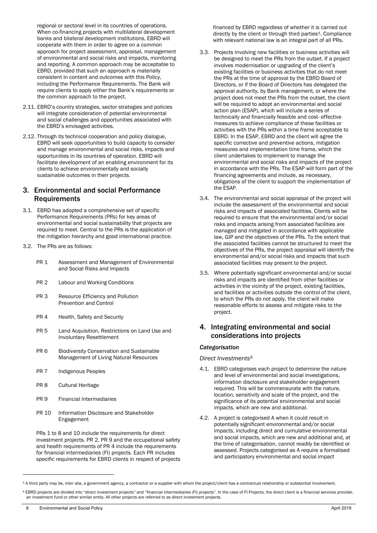regional or sectoral level in its countries of operations. When co-financing projects with multilateral development banks and bilateral development institutions, EBRD will cooperate with them in order to agree on a common approach for project assessment, appraisal, management of environmental and social risks and impacts, monitoring and reporting. A common approach may be acceptable to EBRD, provided that such an approach is materially consistent in content and outcomes with this Policy, including the Performance Requirements. The Bank will require clients to apply either the Bank's requirements or the common approach to the project.

- 2.11. EBRD's country strategies, sector strategies and policies will integrate consideration of potential environmental and social challenges and opportunities associated with the EBRD's envisaged activities.
- 2.12. Through its technical cooperation and policy dialogue, EBRD will seek opportunities to build capacity to consider and manage environmental and social risks, impacts and opportunities in its countries of operation. EBRD will facilitate development of an enabling environment for its clients to achieve environmentally and socially sustainable outcomes in their projects.

# 3. Environmental and social Performance **Requirements**

- 3.1. EBRD has adopted a comprehensive set of specific Performance Requirements (PRs) for key areas of environmental and social sustainability that projects are required to meet. Central to the PRs is the application of the mitigation hierarchy and good international practice.
- 3.2. The PRs are as follows:
	- PR 1 Assessment and Management of Environmental and Social Risks and Impacts
	- PR 2 Labour and Working Conditions
	- PR 3 Resource Efficiency and Pollution Prevention and Control
	- PR 4 Health, Safety and Security
	- PR 5 Land Acquisition, Restrictions on Land Use and Involuntary Resettlement
	- PR 6 Biodiversity Conservation and Sustainable Management of Living Natural Resources
	- PR 7 Indigenous Peoples
	- PR 8 Cultural Heritage
	- PR 9 Financial Intermediaries
	- PR 10 Information Disclosure and Stakeholder Engagement

PRs 1 to 8 and 10 include the requirements for direct investment projects. PR 2, PR 9 and the occupational safety and health requirements of PR 4 include the requirements for financial intermediaries (FI) projects. Each PR includes specific requirements for EBRD clients in respect of projects financed by EBRD regardless of whether it is carried out directly by the client or through third parties<sup>[5](#page-7-0)</sup>. Compliance with relevant national law is an integral part of all PRs.

- 3.3. Projects involving new facilities or business activities will be designed to meet the PRs from the outset. If a project involves modernisation or upgrading of the client's existing facilities or business activities that do not meet the PRs at the time of approval by the EBRD Board of Directors, or if the Board of Directors has delegated the approval authority, by Bank management, or where the project does not meet the PRs from the outset, the client will be required to adopt an environmental and social action plan (ESAP), which will include a series of technically and financially feasible and cost- effective measures to achieve compliance of these facilities or activities with the PRs within a time frame acceptable to EBRD. In the ESAP, EBRD and the client will agree the specific corrective and preventive actions, mitigation measures and implementation time frame, which the client undertakes to implement to manage the environmental and social risks and impacts of the project in accordance with the PRs. The ESAP will form part of the financing agreements and include, as necessary, obligations of the client to support the implementation of the ESAP.
- 3.4. The environmental and social appraisal of the project will include the assessment of the environmental and social risks and impacts of associated facilities. Clients will be required to ensure that the environmental and/or social risks and impacts arising from associated facilities are managed and mitigated in accordance with applicable law, GIP and the objectives of the PRs. To the extent that the associated facilities cannot be structured to meet the objectives of the PRs, the project appraisal will identify the environmental and/or social risks and impacts that such associated facilities may present to the project.
- 3.5. Where potentially significant environmental and/or social risks and impacts are identified from other facilities or activities in the vicinity of the project, existing facilities, and facilities or activities outside the control of the client, to which the PRs do not apply, the client will make reasonable efforts to assess and mitigate risks to the project.

# 4. Integrating environmental and social considerations into projects

### *Categorisation*

*Direct Investments[6](#page-7-1)*

- 4.1. EBRD categorises each project to determine the nature and level of environmental and social investigations, information disclosure and stakeholder engagement required. This will be commensurate with the nature, location, sensitivity and scale of the project, and the significance of its potential environmental and social impacts, which are new and additional.
- 4.2. A project is categorised A when it could result in potentially significant environmental and/or social impacts, including direct and cumulative environmental and social impacts, which are new and additional and, at the time of categorisation, cannot readily be identified or assessed. Projects categorised as A require a formalised and participatory environmental and social impact

<span id="page-7-0"></span><sup>5</sup> A third party may be, inter alia, a government agency, a contractor or a supplier with whom the project/client has a contractual relationship or substantial involvement.

<span id="page-7-1"></span><sup>&</sup>lt;sup>6</sup> EBRD projects are divided into "direct investment projects" and "financial intermediaries (FI) projects". In the case of FI Projects, the direct client is a financial services provider, an investment fund or other similar entity. All other projects are referred to as direct investment projects.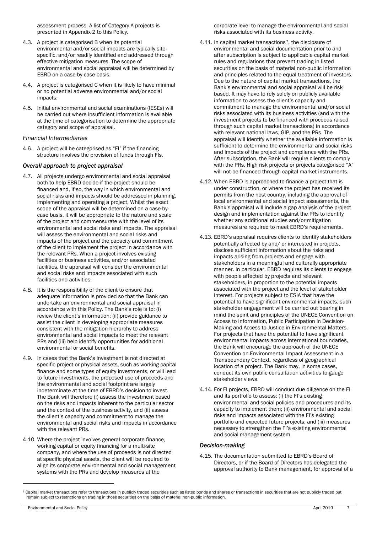assessment process. A list of Category A projects is presented in Appendix 2 to this Policy.

- 4.3. A project is categorised B when its potential environmental and/or social impacts are typically sitespecific, and/or readily identified and addressed through effective mitigation measures. The scope of environmental and social appraisal will be determined by EBRD on a case-by-case basis.
- 4.4. A project is categorised C when it is likely to have minimal or no potential adverse environmental and/or social impacts.
- 4.5. Initial environmental and social examinations (IESEs) will be carried out where insufficient information is available at the time of categorisation to determine the appropriate category and scope of appraisal.

#### *Financial Intermediaries*

4.6. A project will be categorised as "FI" if the financing structure involves the provision of funds through FIs.

### *Overall approach to project appraisal*

- 4.7. All projects undergo environmental and social appraisal both to help EBRD decide if the project should be financed and, if so, the way in which environmental and social risks and impacts should be addressed in planning, implementing and operating a project. Whilst the exact scope of the appraisal will be determined on a case-bycase basis, it will be appropriate to the nature and scale of the project and commensurate with the level of its environmental and social risks and impacts. The appraisal will assess the environmental and social risks and impacts of the project and the capacity and commitment of the client to implement the project in accordance with the relevant PRs. When a project involves existing facilities or business activities, and/or associated facilities, the appraisal will consider the environmental and social risks and impacts associated with such facilities and activities.
- 4.8. It is the responsibility of the client to ensure that adequate information is provided so that the Bank can undertake an environmental and social appraisal in accordance with this Policy. The Bank's role is to: (i) review the client's information; (ii) provide guidance to assist the client in developing appropriate measures consistent with the mitigation hierarchy to address environmental and social impacts to meet the relevant PRs and (iii) help identify opportunities for additional environmental or social benefits.
- 4.9. In cases that the Bank's investment is not directed at specific project or physical assets, such as working capital finance and some types of equity investments, or will lead to future investments, the proposed use of proceeds and the environmental and social footprint are largely indeterminate at the time of EBRD's decision to invest. The Bank will therefore (i) assess the investment based on the risks and impacts inherent to the particular sector and the context of the business activity, and (ii) assess the client's capacity and commitment to manage the environmental and social risks and impacts in accordance with the relevant PRs.
- 4.10. Where the project involves general corporate finance, working capital or equity financing for a multi-site company, and where the use of proceeds is not directed at specific physical assets, the client will be required to align its corporate environmental and social management systems with the PRs and develop measures at the

corporate level to manage the environmental and social risks associated with its business activity.

- 4.11. In capital market transactions<sup>[7](#page-8-0)</sup>, the disclosure of environmental and social documentation prior to and after subscription is subject to applicable capital market rules and regulations that prevent trading in listed securities on the basis of material non-public information and principles related to the equal treatment of investors. Due to the nature of capital market transactions, the Bank's environmental and social appraisal will be risk based. It may have to rely solely on publicly available information to assess the client's capacity and commitment to manage the environmental and/or social risks associated with its business activities (and with the investment projects to be financed with proceeds raised through such capital market transactions) in accordance with relevant national laws, GIP, and the PRs. The appraisal will identify whether the available information is sufficient to determine the environmental and social risks and impacts of the project and compliance with the PRs. After subscription, the Bank will require clients to comply with the PRs. High risk projects or projects categorised "A" will not be financed through capital market instruments.
- 4.12. When EBRD is approached to finance a project that is under construction, or where the project has received its permits from the host country, including the approval of local environmental and social impact assessments, the Bank's appraisal will include a gap analysis of the project design and implementation against the PRs to identify whether any additional studies and/or mitigation measures are required to meet EBRD's requirements.
- 4.13. EBRD's appraisal requires clients to identify stakeholders potentially affected by and/ or interested in projects, disclose sufficient information about the risks and impacts arising from projects and engage with stakeholders in a meaningful and culturally appropriate manner. In particular, EBRD requires its clients to engage with people affected by projects and relevant stakeholders, in proportion to the potential impacts associated with the project and the level of stakeholder interest. For projects subject to ESIA that have the potential to have significant environmental impacts, such stakeholder engagement will be carried out bearing in mind the spirit and principles of the UNECE Convention on Access to Information, Public Participation in Decision-Making and Access to Justice in Environmental Matters. For projects that have the potential to have significant environmental impacts across international boundaries, the Bank will encourage the approach of the UNECE Convention on Environmental Impact Assessment in a Transboundary Context, regardless of geographical location of a project. The Bank may, in some cases, conduct its own public consultation activities to gauge stakeholder views.
- 4.14. For FI projects, EBRD will conduct due diligence on the FI and its portfolio to assess: (i) the FI's existing environmental and social policies and procedures and its capacity to implement them; (ii) environmental and social risks and impacts associated with the FI's existing portfolio and expected future projects; and (iii) measures necessary to strengthen the FI's existing environmental and social management system.

### *Decision-making*

4.15. The documentation submitted to EBRD's Board of Directors, or if the Board of Directors has delegated the approval authority to Bank management, for approval of a

<span id="page-8-0"></span><sup>7</sup> Capital market transactions refer to transactions in publicly traded securities such as listed bonds and shares or transactions in securities that are not publicly traded but remain subject to restrictions on trading in those securities on the basis of material non-public information.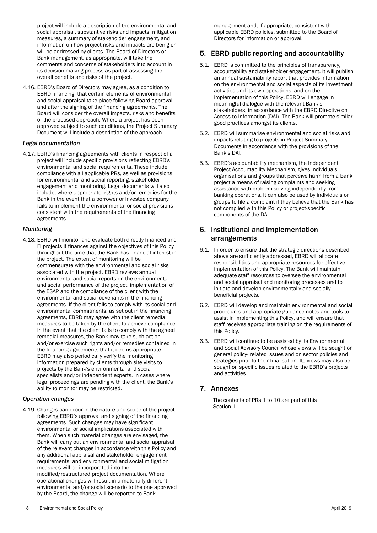project will include a description of the environmental and social appraisal, substantive risks and impacts, mitigation measures, a summary of stakeholder engagement, and information on how project risks and impacts are being or will be addressed by clients. The Board of Directors or Bank management, as appropriate, will take the comments and concerns of stakeholders into account in its decision-making process as part of assessing the overall benefits and risks of the project.

4.16. EBRD's Board of Directors may agree, as a condition to EBRD financing, that certain elements of environmental and social appraisal take place following Board approval and after the signing of the financing agreements. The Board will consider the overall impacts, risks and benefits of the proposed approach. Where a project has been approved subject to such conditions, the Project Summary Document will include a description of the approach.

# *Legal documentation*

4.17. EBRD's financing agreements with clients in respect of a project will include specific provisions reflecting EBRD's environmental and social requirements. These include compliance with all applicable PRs, as well as provisions for environmental and social reporting, stakeholder engagement and monitoring. Legal documents will also include, where appropriate, rights and/or remedies for the Bank in the event that a borrower or investee company fails to implement the environmental or social provisions consistent with the requirements of the financing agreements.

### *Monitoring*

4.18. EBRD will monitor and evaluate both directly financed and FI projects it finances against the objectives of this Policy throughout the time that the Bank has financial interest in the project. The extent of monitoring will be commensurate with the environmental and social risks associated with the project. EBRD reviews annual environmental and social reports on the environmental and social performance of the project, implementation of the ESAP and the compliance of the client with the environmental and social covenants in the financing agreements. If the client fails to comply with its social and environmental commitments, as set out in the financing agreements, EBRD may agree with the client remedial measures to be taken by the client to achieve compliance. In the event that the client fails to comply with the agreed remedial measures, the Bank may take such action and/or exercise such rights and/or remedies contained in the financing agreements that it deems appropriate. EBRD may also periodically verify the monitoring information prepared by clients through site visits to projects by the Bank's environmental and social specialists and/or independent experts. In cases where legal proceedings are pending with the client, the Bank's ability to monitor may be restricted.

### *Operation changes*

4.19. Changes can occur in the nature and scope of the project following EBRD's approval and signing of the financing agreements. Such changes may have significant environmental or social implications associated with them. When such material changes are envisaged, the Bank will carry out an environmental and social appraisal of the relevant changes in accordance with this Policy and any additional appraisal and stakeholder engagement requirements, and environmental and social mitigation measures will be incorporated into the modified/restructured project documentation. Where operational changes will result in a materially different environmental and/or social scenario to the one approved by the Board, the change will be reported to Bank

management and, if appropriate, consistent with applicable EBRD policies, submitted to the Board of Directors for information or approval.

# 5. EBRD public reporting and accountability

- 5.1. EBRD is committed to the principles of transparency, accountability and stakeholder engagement. It will publish an annual sustainability report that provides information on the environmental and social aspects of its investment activities and its own operations, and on the implementation of this Policy. EBRD will engage in meaningful dialogue with the relevant Bank's stakeholders, in accordance with the EBRD Directive on Access to Information (DAI). The Bank will promote similar good practices amongst its clients.
- 5.2. EBRD will summarise environmental and social risks and impacts relating to projects in Project Summary Documents in accordance with the provisions of the Bank's DAI.
- 5.3. EBRD's accountability mechanism, the Independent Project Accountability Mechanism, gives individuals, organisations and groups that perceive harm from a Bank project a means of raising complaints and seeking assistance with problem solving independently from banking operations. It can also be used by individuals or groups to file a complaint if they believe that the Bank has not complied with this Policy or project-specific components of the DAI.

# 6. Institutional and implementation arrangements

- 6.1. In order to ensure that the strategic directions described above are sufficiently addressed, EBRD will allocate responsibilities and appropriate resources for effective implementation of this Policy. The Bank will maintain adequate staff resources to oversee the environmental and social appraisal and monitoring processes and to initiate and develop environmentally and socially beneficial projects.
- 6.2. EBRD will develop and maintain environmental and social procedures and appropriate guidance notes and tools to assist in implementing this Policy, and will ensure that staff receives appropriate training on the requirements of this Policy.
- 6.3. EBRD will continue to be assisted by its Environmental and Social Advisory Council whose views will be sought on general policy- related issues and on sector policies and strategies prior to their finalisation. Its views may also be sought on specific issues related to the EBRD's projects and activities.

# 7. Annexes

The contents of PRs 1 to 10 are part of this Section III.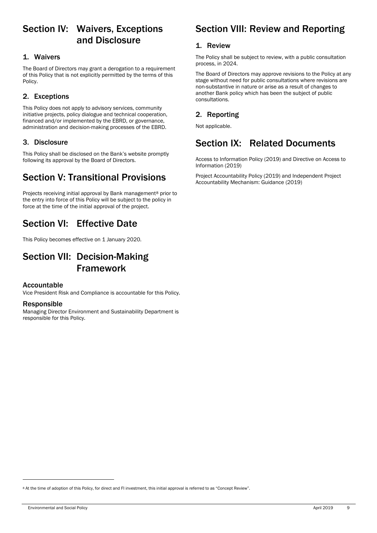# Section IV: Waivers, Exceptions and Disclosure

# 1. Waivers

The Board of Directors may grant a derogation to a requirement of this Policy that is not explicitly permitted by the terms of this Policy.

# 2. Exceptions

This Policy does not apply to advisory services, community initiative projects, policy dialogue and technical cooperation, financed and/or implemented by the EBRD, or governance, administration and decision-making processes of the EBRD.

# 3. Disclosure

This Policy shall be disclosed on the Bank's website promptly following its approval by the Board of Directors.

# Section V: Transitional Provisions

Projects receiving initial approval by Bank management<sup>[8](#page-10-0)</sup> prior to the entry into force of this Policy will be subject to the policy in force at the time of the initial approval of the project.

# Section VI: Effective Date

This Policy becomes effective on 1 January 2020.

# Section VII: Decision-Making Framework

# Accountable

Vice President Risk and Compliance is accountable for this Policy.

# Responsible

Managing Director Environment and Sustainability Department is responsible for this Policy.

# Section VIII: Review and Reporting

# 1. Review

The Policy shall be subject to review, with a public consultation process, in 2024.

The Board of Directors may approve revisions to the Policy at any stage without need for public consultations where revisions are non-substantive in nature or arise as a result of changes to another Bank policy which has been the subject of public consultations.

# 2. Reporting

Not applicable.

# Section IX: Related Documents

Access to Information Policy (2019) and Directive on Access to Information (2019)

Project Accountability Policy (2019) and Independent Project Accountability Mechanism: Guidance (2019)

<span id="page-10-0"></span><sup>8</sup> At the time of adoption of this Policy, for direct and FI investment, this initial approval is referred to as "Concept Review".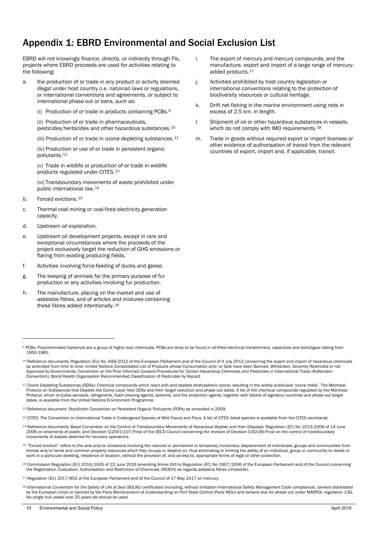# Appendix 1: EBRD Environmental and Social Exclusion List

EBRD will not knowingly finance, directly, or indirectly through FIs, projects where EBRD proceeds are used for activities relating to the following:

- a. the production of or trade in any product or activity deemed illegal under host country (i.e. national) laws or regulations, or international conventions and agreements, or subject to international phase out or bans, such as:
	- (i) Production of or trade in products containing PCBs.[9](#page-11-0)

(ii) Production of or trade in pharmaceuticals, pesticides/herbicides and other hazardous substances.[10](#page-11-1)

(iii) Production of or trade in ozone depleting substances.  $11$ 

(iv) Production or use of or trade in persistent organic pollutants.[12](#page-11-3)

(v) Trade in wildlife or production of or trade in wildlife products regulated under CITES.[13](#page-11-4)

(vi) Transboundary movements of waste prohibited under public international law.[14](#page-11-5)

b. Forced evictions.[15](#page-11-6)

- c. Thermal coal mining or coal-fired electricity generation capacity.
- d. Upstream oil exploration.
- e. Upstream oil development projects, except in rare and exceptional circumstances where the proceeds of the project exclusively target the reduction of GHG emissions or flaring from existing producing fields.
- f. Activities involving force-feeding of ducks and geese.
- g. The keeping of animals for the primary purpose of fur production or any activities involving fur production.
- h. The manufacture, placing on the market and use of asbestos fibres, and of articles and mixtures containing these fibres added intentionally.[16](#page-11-7)
- i. The export of mercury and mercury compounds, and the manufacture, export and import of a large range of mercury-added products.<sup>[17](#page-11-8)</sup>
- j. Activities prohibited by host country legislation or international conventions relating to the protection of biodiversity resources or cultural heritage.
- k. Drift net fishing in the marine environment using nets in excess of 2.5 km. in length.
- l. Shipment of oil or other hazardous substances in vessels, which do not comply with IMO requirements.<sup>[18](#page-11-9)</sup>
- m. Trade in goods without required export or import licenses or other evidence of authorisation of transit from the relevant countries of export, import and, if applicable, transit.

- <span id="page-11-5"></span><sup>14</sup> Reference documents: Basel Convention on the Control of Transboundary Movements of Hazardous Wastes and their Disposal; Regulation (EC) No 1013/2006 of 14 June 2006 on shipments of waste; and Decision C(2001)107/Final of the OECD Council concerning the revision of Decision C(92)39/Final on the control of transboundary movements of wastes destined for recovery operations
- <span id="page-11-6"></span><sup>15</sup> "Forced eviction" refers to the acts and/or omissions involving the coerced or permanent or temporary involuntary displacement of individuals, groups and communities from homes and/or lands and common property resources which they occupy or depend on, thus eliminating or limiting the ability of an individual, group or community to reside or work in a particular dwelling, residence or location, without the provision of, and access to, appropriate forms of legal or other protection.
- <span id="page-11-7"></span>16 Commission Regulation (EU) 2016/1005 of 22 June 2016 amending Annex XVII to Regulation (EC) No 1907/2006 of the European Parliament and of the Council concerning the Registration, Evaluation, Authorisation and Restriction of Chemicals (REACH) as regards asbestos fibres (chrysotile).
- <span id="page-11-8"></span><sup>17</sup> Regulation (EU) 2017/852 of the European Parliament and of the Council of 17 May 2017 on mercury.
- <span id="page-11-9"></span>18 International Convention for the Safety of Life at Sea (SOLAS) certificates (including, without limitation International Safety Management Code compliance), tankers blacklisted by the European Union or banned by the Paris Memorandum of Understanding on Port State Control (Paris MOU) and tankers due for phase out under MARPOL regulation 13G. No single hull vessel over 25 years old should be used.

<span id="page-11-0"></span><sup>9</sup> PCBs: Polychlorinated biphenyls are a group of highly toxic chemicals. PCBs are likely to be found in oil-filled electrical transformers, capacitors and switchgear dating from 1950-1985.

<span id="page-11-1"></span><sup>10</sup> Reference documents: Regulation (EU) No. 649/2012 of the European Parliament and of the Council of 4 July 2012 concerning the export and import of hazardous chemicals as amended from time to time; United Nations Consolidated List of Products whose Consumption and/ or Sale have been Banned, Withdrawn, Severely Restricted or not Approved by Governments; Convention on the Prior Informed Consent Procedures for Certain Hazardous Chemicals and Pesticides in International Trade (Rotterdam Convention); World Health Organisation Recommended Classification of Pesticides by Hazard.

<span id="page-11-2"></span><sup>11</sup> Ozone Depleting Substances (ODSs): Chemical compounds which react with and deplete stratospheric ozone, resulting in the widely publicised 'ozone holes'. The Montreal Protocol on Substances that Deplete the Ozone Layer lists ODSs and their target reduction and phase out dates. A list of the chemical compounds regulated by the Montreal Protocol, which includes aerosols, refrigerants, foam blowing agents, solvents, and fire protection agents, together with details of signatory countries and phase out target dates, is available from the United Nations Environment Programme.

<span id="page-11-3"></span><sup>12</sup> Reference document: Stockholm Convention on Persistent Organic Pollutants (POPs) as amended in 2009.

<span id="page-11-4"></span><sup>13</sup> CITES: The Convention on International Trade in Endangered Species of Wild Fauna and Flora. A list of CITES listed species is available from the CITES secretariat.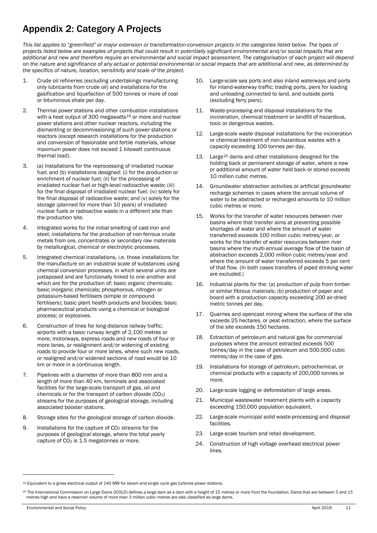# Appendix 2: Category A Projects

*This list applies to "greenfield" or major extension or transformation-conversion projects in the categories listed below. The types of projects listed below are examples of projects that could result in potentially significant environmental and/or social impacts that are additional and new and therefore require an environmental and social impact assessment. The categorisation of each project will depend on the nature and significance of any actual or potential environmental or social impacts that are additional and new, as determined by the specifics of nature, location, sensitivity and scale of the project.*

- 1. Crude oil refineries (excluding undertakings manufacturing only lubricants from crude oil) and installations for the gasification and liquefaction of 500 tonnes or more of coal or bituminous shale per day.
- 2. Thermal power stations and other combustion installations with a heat output of 300 megawatts<sup>[19](#page-12-0)</sup> or more and nuclear power stations and other nuclear reactors, including the dismantling or decommissioning of such power stations or reactors (except research installations for the production and conversion of fissionable and fertile materials, whose maximum power does not exceed 1 kilowatt continuous thermal load).
- 3. (a) Installations for the reprocessing of irradiated nuclear fuel; and (b) installations designed: (i) for the production or enrichment of nuclear fuel; (ii) for the processing of irradiated nuclear fuel or high-level radioactive waste; (iii) for the final disposal of irradiated nuclear fuel; (iv) solely for the final disposal of radioactive waste; and (v) solely for the storage (planned for more than 10 years) of irradiated nuclear fuels or radioactive waste in a different site than the production site.
- 4. Integrated works for the initial smelting of cast-iron and steel; installations for the production of non-ferrous crude metals from ore, concentrates or secondary raw materials by metallurgical, chemical or electrolytic processes.
- 5. Integrated chemical installations, i.e. those installations for the manufacture on an industrial scale of substances using chemical conversion processes, in which several units are juxtaposed and are functionally linked to one another and which are for the production of: basic organic chemicals; basic inorganic chemicals; phosphorous, nitrogen or potassium-based fertilisers (simple or compound fertilisers); basic plant health products and biocides; basic pharmaceutical products using a chemical or biological process; or explosives.
- 6. Construction of lines for long-distance railway traffic; airports with a basic runway length of 2,100 metres or more; motorways, express roads and new roads of four or more lanes, or realignment and/or widening of existing roads to provide four or more lanes, where such new roads, or realigned and/or widened sections of road would be 10 km or more in a continuous length.
- 7. Pipelines with a diameter of more than 800 mm and a length of more than 40 km, terminals and associated facilities for the large-scale transport of gas, oil and chemicals or for the transport of carbon dioxide  $(CO<sub>2</sub>)$ streams for the purposes of geological storage, including associated booster stations.
- 8. Storage sites for the geological storage of carbon dioxide.
- 9. Installations for the capture of  $CO<sub>2</sub>$  streams for the purposes of geological storage, where the total yearly capture of  $CO<sub>2</sub>$  is 1.5 megatonnes or more.
- 10. Large-scale sea ports and also inland waterways and ports for inland-waterway traffic; trading ports, piers for loading and unloading connected to land, and outside ports (excluding ferry piers).
- 11. Waste-processing and disposal installations for the incineration, chemical treatment or landfill of hazardous, toxic or dangerous wastes.
- 12. Large-scale waste disposal installations for the incineration or chemical treatment of non-hazardous wastes with a capacity exceeding 100 tonnes per day.
- 13. Large<sup>[20](#page-12-1)</sup> dams and other installations designed for the holding back or permanent storage of water, where a new or additional amount of water held back or stored exceeds 10 million cubic metres.
- 14. Groundwater abstraction activities or artificial groundwater recharge schemes in cases where the annual volume of water to be abstracted or recharged amounts to 10 million cubic metres or more.
- 15. Works for the transfer of water resources between river basins where that transfer aims at preventing possible shortages of water and where the amount of water transferred exceeds 100 million cubic metres/year, or works for the transfer of water resources between river basins where the multi-annual average flow of the basin of abstraction exceeds 2,000 million cubic metres/year and where the amount of water transferred exceeds 5 per cent of that flow. (In both cases transfers of piped drinking water are excluded.)
- 16. Industrial plants for the: (a) production of pulp from timber or similar fibrous materials; (b) production of paper and board with a production capacity exceeding 200 air-dried metric tonnes per day.
- 17. Quarries and opencast mining where the surface of the site exceeds 25 hectares, or peat extraction, where the surface of the site exceeds 150 hectares.
- 18. Extraction of petroleum and natural gas for commercial purposes where the amount extracted exceeds 500 tonnes/day in the case of petroleum and 500,000 cubic metres/day in the case of gas.
- 19. Installations for storage of petroleum, petrochemical, or chemical products with a capacity of 200,000 tonnes or more.
- 20. Large-scale logging or deforestation of large areas.
- 21. Municipal wastewater treatment plants with a capacity exceeding 150,000 population equivalent.
- 22. Large-scale municipal solid waste-processing and disposal facilities.
- 23. Large-scale tourism and retail development.
- 24. Construction of high voltage overhead electrical power lines.

<span id="page-12-0"></span><sup>19</sup> Equivalent to a gross electrical output of 140 MW for steam and single cycle gas turbines power stations.

<span id="page-12-1"></span><sup>20</sup> The International Commission on Large Dams (ICOLD) defines a large dam as a dam with a height of 15 metres or more from the foundation. Dams that are between 5 and 15 metres high and have a reservoir volume of more than 3 million cubic metres are also classified as large dams.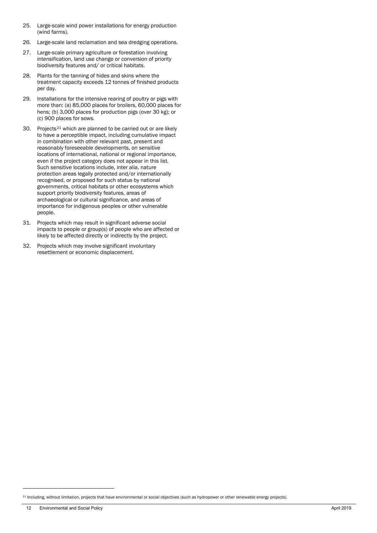- 25. Large-scale wind power installations for energy production (wind farms).
- 26. Large-scale land reclamation and sea dredging operations.
- 27. Large-scale primary agriculture or forestation involving intensification, land use change or conversion of priority biodiversity features and/ or critical habitats.
- 28. Plants for the tanning of hides and skins where the treatment capacity exceeds 12 tonnes of finished products per day.
- 29. Installations for the intensive rearing of poultry or pigs with more than: (a) 85,000 places for broilers, 60,000 places for hens; (b) 3,000 places for production pigs (over 30 kg); or (c) 900 places for sows.
- 30. Projects<sup>[21](#page-13-0)</sup> which are planned to be carried out or are likely to have a perceptible impact, including cumulative impact in combination with other relevant past, present and reasonably foreseeable developments, on sensitive locations of international, national or regional importance, even if the project category does not appear in this list. Such sensitive locations include, inter alia, nature protection areas legally protected and/or internationally recognised, or proposed for such status by national governments, critical habitats or other ecosystems which support priority biodiversity features, areas of archaeological or cultural significance, and areas of importance for indigenous peoples or other vulnerable people.
- 31. Projects which may result in significant adverse social impacts to people or group(s) of people who are affected or likely to be affected directly or indirectly by the project.
- 32. Projects which may involve significant involuntary resettlement or economic displacement.

<span id="page-13-0"></span><sup>21</sup> Including, without limitation, projects that have environmental or social objectives (such as hydropower or other renewable energy projects).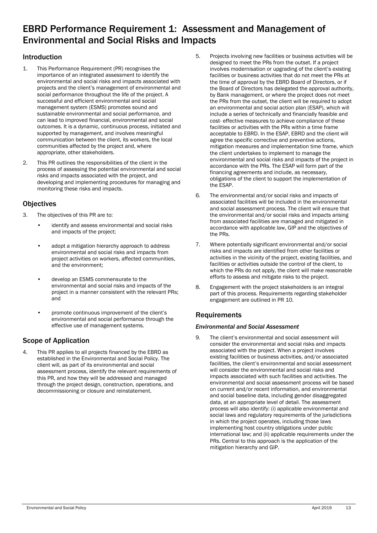# EBRD Performance Requirement 1: Assessment and Management of Environmental and Social Risks and Impacts

# Introduction

- 1. This Performance Requirement (PR) recognises the importance of an integrated assessment to identify the environmental and social risks and impacts associated with projects and the client's management of environmental and social performance throughout the life of the project. A successful and efficient environmental and social management system (ESMS) promotes sound and sustainable environmental and social performance, and can lead to improved financial, environmental and social outcomes. It is a dynamic, continuous process, initiated and supported by management, and involves meaningful communication between the client, its workers, the local communities affected by the project and, where appropriate, other stakeholders.
- 2. This PR outlines the responsibilities of the client in the process of assessing the potential environmental and social risks and impacts associated with the project, and developing and implementing procedures for managing and monitoring these risks and impacts.

# **Objectives**

- 3. The objectives of this PR are to:
	- identify and assess environmental and social risks and impacts of the project;
	- adopt a mitigation hierarchy approach to address environmental and social risks and impacts from project activities on workers, affected communities, and the environment;
	- develop an ESMS commensurate to the environmental and social risks and impacts of the project in a manner consistent with the relevant PRs; and
	- promote continuous improvement of the client's environmental and social performance through the effective use of management systems.

# Scope of Application

4. This PR applies to all projects financed by the EBRD as established in the Environmental and Social Policy. The client will, as part of its environmental and social assessment process, identify the relevant requirements of this PR, and how they will be addressed and managed through the project design, construction, operations, and decommissioning or closure and reinstatement.

- 5. Projects involving new facilities or business activities will be designed to meet the PRs from the outset. If a project involves modernisation or upgrading of the client's existing facilities or business activities that do not meet the PRs at the time of approval by the EBRD Board of Directors, or if the Board of Directors has delegated the approval authority, by Bank management, or where the project does not meet the PRs from the outset, the client will be required to adopt an environmental and social action plan (ESAP), which will include a series of technically and financially feasible and cost- effective measures to achieve compliance of these facilities or activities with the PRs within a time frame acceptable to EBRD. In the ESAP, EBRD and the client will agree the specific corrective and preventive actions, mitigation measures and implementation time frame, which the client undertakes to implement to manage the environmental and social risks and impacts of the project in accordance with the PRs. The ESAP will form part of the financing agreements and include, as necessary, obligations of the client to support the implementation of the ESAP.
- 6. The environmental and/or social risks and impacts of associated facilities will be included in the environmental and social assessment process. The client will ensure that the environmental and/or social risks and impacts arising from associated facilities are managed and mitigated in accordance with applicable law, GIP and the objectives of the PRs.
- 7. Where potentially significant environmental and/or social risks and impacts are identified from other facilities or activities in the vicinity of the project, existing facilities, and facilities or activities outside the control of the client, to which the PRs do not apply, the client will make reasonable efforts to assess and mitigate risks to the project.
- 8. Engagement with the project stakeholders is an integral part of this process. Requirements regarding stakeholder engagement are outlined in PR 10.

# **Requirements**

# *Environmental and Social Assessment*

9. The client's environmental and social assessment will consider the environmental and social risks and impacts associated with the project. When a project involves existing facilities or business activities, and/or associated facilities, the client's environmental and social assessment will consider the environmental and social risks and impacts associated with such facilities and activities. The environmental and social assessment process will be based on current and/or recent information, and environmental and social baseline data, including gender disaggregated data, at an appropriate level of detail. The assessment process will also identify: (i) applicable environmental and social laws and regulatory requirements of the jurisdictions in which the project operates, including those laws implementing host country obligations under public international law; and (ii) applicable requirements under the PRs. Central to this approach is the application of the mitigation hierarchy and GIP.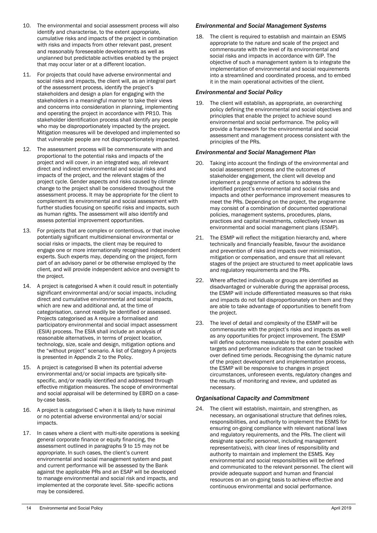- 10. The environmental and social assessment process will also identify and characterise, to the extent appropriate, cumulative risks and impacts of the project in combination with risks and impacts from other relevant past, present and reasonably foreseeable developments as well as unplanned but predictable activities enabled by the project that may occur later or at a different location.
- 11. For projects that could have adverse environmental and social risks and impacts, the client will, as an integral part of the assessment process, identify the project's stakeholders and design a plan for engaging with the stakeholders in a meaningful manner to take their views and concerns into consideration in planning, implementing and operating the project in accordance with PR10. This stakeholder identification process shall identify any people who may be disproportionately impacted by the project. Mitigation measures will be developed and implemented so that vulnerable people are not disproportionately impacted.
- 12. The assessment process will be commensurate with and proportional to the potential risks and impacts of the project and will cover, in an integrated way, all relevant direct and indirect environmental and social risks and impacts of the project, and the relevant stages of the project cycle. Gender aspects and risks caused by climate change to the project shall be considered throughout the assessment process. It may be appropriate for the client to complement its environmental and social assessment with further studies focusing on specific risks and impacts, such as human rights. The assessment will also identify and assess potential improvement opportunities.
- 13. For projects that are complex or contentious, or that involve potentially significant multidimensional environmental or social risks or impacts, the client may be required to engage one or more internationally recognised independent experts. Such experts may, depending on the project, form part of an advisory panel or be otherwise employed by the client, and will provide independent advice and oversight to the project.
- 14. A project is categorised A when it could result in potentially significant environmental and/or social impacts, including direct and cumulative environmental and social impacts, which are new and additional and, at the time of categorisation, cannot readily be identified or assessed. Projects categorised as A require a formalised and participatory environmental and social impact assessment (ESIA) process. The ESIA shall include an analysis of reasonable alternatives, in terms of project location, technology, size, scale and design, mitigation options and the "without project" scenario. A list of Category A projects is presented in Appendix 2 to the Policy.
- 15. A project is categorised B when its potential adverse environmental and/or social impacts are typically sitespecific, and/or readily identified and addressed through effective mitigation measures. The scope of environmental and social appraisal will be determined by EBRD on a caseby-case basis.
- 16. A project is categorised C when it is likely to have minimal or no potential adverse environmental and/or social impacts.
- 17. In cases where a client with multi-site operations is seeking general corporate finance or equity financing, the assessment outlined in paragraphs 9 to 15 may not be appropriate. In such cases, the client's current environmental and social management system and past and current performance will be assessed by the Bank against the applicable PRs and an ESAP will be developed to manage environmental and social risk and impacts, and implemented at the corporate level. Site- specific actions may be considered.

# *Environmental and Social Management Systems*

18. The client is required to establish and maintain an ESMS appropriate to the nature and scale of the project and commensurate with the level of its environmental and social risks and impacts in accordance with GIP. The objective of such a management system is to integrate the implementation of environmental and social requirements into a streamlined and coordinated process, and to embed it in the main operational activities of the client.

# *Environmental and Social Policy*

19. The client will establish, as appropriate, an overarching policy defining the environmental and social objectives and principles that enable the project to achieve sound environmental and social performance. The policy will provide a framework for the environmental and social assessment and management process consistent with the principles of the PRs.

# *Environmental and Social Management Plan*

- 20. Taking into account the findings of the environmental and social assessment process and the outcomes of stakeholder engagement, the client will develop and implement a programme of actions to address the identified project's environmental and social risks and impacts and other performance improvement measures to meet the PRs. Depending on the project, the programme may consist of a combination of documented operational policies, management systems, procedures, plans, practices and capital investments, collectively known as environmental and social management plans (ESMP).
- 21. The ESMP will reflect the mitigation hierarchy and, where technically and financially feasible, favour the avoidance and prevention of risks and impacts over minimisation, mitigation or compensation, and ensure that all relevant stages of the project are structured to meet applicable laws and regulatory requirements and the PRs.
- 22. Where affected individuals or groups are identified as disadvantaged or vulnerable during the appraisal process, the ESMP will include differentiated measures so that risks and impacts do not fall disproportionately on them and they are able to take advantage of opportunities to benefit from the project.
- 23. The level of detail and complexity of the ESMP will be commensurate with the project's risks and impacts as well as any opportunities for project improvement. The ESMP will define outcomes measurable to the extent possible with targets and performance indicators that can be tracked over defined time periods. Recognising the dynamic nature of the project development and implementation process, the ESMP will be responsive to changes in project circumstances, unforeseen events, regulatory changes and the results of monitoring and review, and updated as necessary.

# *Organisational Capacity and Commitment*

24. The client will establish, maintain, and strengthen, as necessary, an organisational structure that defines roles, responsibilities, and authority to implement the ESMS for ensuring on-going compliance with relevant national laws and regulatory requirements, and the PRs. The client will designate specific personnel, including management representative(s), with clear lines of responsibility and authority to maintain and implement the ESMS. Key environmental and social responsibilities will be defined and communicated to the relevant personnel. The client will provide adequate support and human and financial resources on an on-going basis to achieve effective and continuous environmental and social performance.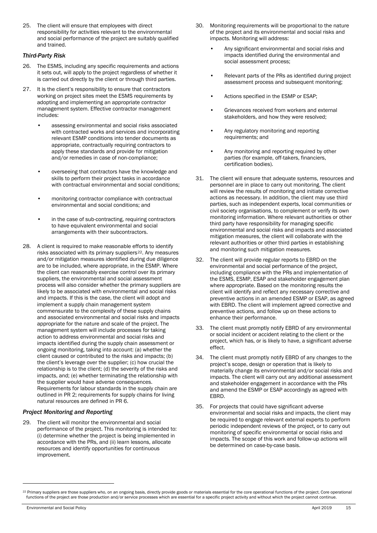25. The client will ensure that employees with direct responsibility for activities relevant to the environmental and social performance of the project are suitably qualified and trained.

#### *Third-Party Risk*

- 26. The ESMS, including any specific requirements and actions it sets out, will apply to the project regardless of whether it is carried out directly by the client or through third parties.
- 27. It is the client's responsibility to ensure that contractors working on project sites meet the ESMS requirements by adopting and implementing an appropriate contractor management system. Effective contractor management includes:
	- assessing environmental and social risks associated with contracted works and services and incorporating relevant ESMP conditions into tender documents as appropriate, contractually requiring contractors to apply these standards and provide for mitigation and/or remedies in case of non-compliance;
	- overseeing that contractors have the knowledge and skills to perform their project tasks in accordance with contractual environmental and social conditions:
	- monitoring contractor compliance with contractual environmental and social conditions; and
	- in the case of sub-contracting, requiring contractors to have equivalent environmental and social arrangements with their subcontractors.
- 28. A client is required to make reasonable efforts to identify risks associated with its primary suppliers<sup>[22](#page-16-0)</sup>. Any measures and/or mitigation measures identified during due diligence are to be included, where appropriate, in the ESMP. Where the client can reasonably exercise control over its primary suppliers, the environmental and social assessment process will also consider whether the primary suppliers are likely to be associated with environmental and social risks and impacts. If this is the case, the client will adopt and implement a supply chain management system commensurate to the complexity of these supply chains and associated environmental and social risks and impacts appropriate for the nature and scale of the project. The management system will include processes for taking action to address environmental and social risks and impacts identified during the supply chain assessment or ongoing monitoring, taking into account: (a) whether the client caused or contributed to the risks and impacts; (b) the client's leverage over the supplier; (c) how crucial the relationship is to the client; (d) the severity of the risks and impacts, and; (e) whether terminating the relationship with the supplier would have adverse consequences. Requirements for labour standards in the supply chain are outlined in PR 2; requirements for supply chains for living natural resources are defined in PR 6.

### *Project Monitoring and Reporting*

29. The client will monitor the environmental and social performance of the project. This monitoring is intended to: (i) determine whether the project is being implemented in accordance with the PRs, and (ii) learn lessons, allocate resources and identify opportunities for continuous improvement.

- 30. Monitoring requirements will be proportional to the nature of the project and its environmental and social risks and impacts. Monitoring will address:
	- Any significant environmental and social risks and impacts identified during the environmental and social assessment process;
	- Relevant parts of the PRs as identified during project assessment process and subsequent monitoring;
	- Actions specified in the ESMP or ESAP;
	- Grievances received from workers and external stakeholders, and how they were resolved;
	- Any regulatory monitoring and reporting requirements; and
	- Any monitoring and reporting required by other parties (for example, off-takers, financiers, certification bodies).
- 31. The client will ensure that adequate systems, resources and personnel are in place to carry out monitoring. The client will review the results of monitoring and initiate corrective actions as necessary. In addition, the client may use third parties, such as independent experts, local communities or civil society organisations, to complement or verify its own monitoring information. Where relevant authorities or other third party have responsibility for managing specific environmental and social risks and impacts and associated mitigation measures, the client will collaborate with the relevant authorities or other third parties in establishing and monitoring such mitigation measures.
- 32. The client will provide regular reports to EBRD on the environmental and social performance of the project, including compliance with the PRs and implementation of the ESMS, ESMP, ESAP and stakeholder engagement plan where appropriate. Based on the monitoring results the client will identify and reflect any necessary corrective and preventive actions in an amended ESMP or ESAP, as agreed with EBRD. The client will implement agreed corrective and preventive actions, and follow up on these actions to enhance their performance.
- 33. The client must promptly notify EBRD of any environmental or social incident or accident relating to the client or the project, which has, or is likely to have, a significant adverse effect.
- 34. The client must promptly notify EBRD of any changes to the project's scope, design or operation that is likely to materially change its environmental and/or social risks and impacts. The client will carry out any additional assessment and stakeholder engagement in accordance with the PRs and amend the ESMP or ESAP accordingly as agreed with EBRD.
- 35. For projects that could have significant adverse environmental and social risks and impacts, the client may be required to engage relevant external experts to perform periodic independent reviews of the project, or to carry out monitoring of specific environmental or social risks and impacts. The scope of this work and follow-up actions will be determined on case-by-case basis.

<span id="page-16-0"></span><sup>&</sup>lt;sup>22</sup> Primary suppliers are those suppliers who, on an ongoing basis, directly provide goods or materials essential for the core operational functions of the project. Core operational functions of the project are those production and/or service processes which are essential for a specific project activity and without which the project cannot continue.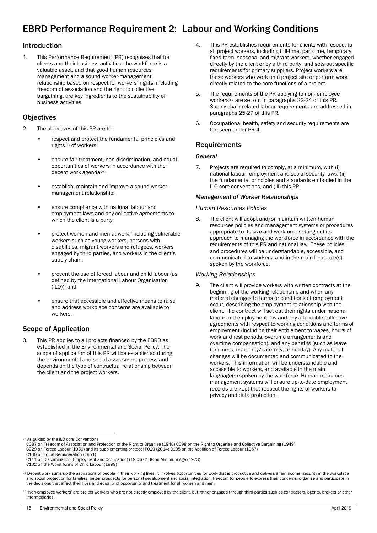# EBRD Performance Requirement 2: Labour and Working Conditions

# Introduction

1. This Performance Requirement (PR) recognises that for clients and their business activities, the workforce is a valuable asset, and that good human resources management and a sound worker-management relationship based on respect for workers' rights, including freedom of association and the right to collective bargaining, are key ingredients to the sustainability of business activities.

# **Objectives**

- 2. The objectives of this PR are to:
	- respect and protect the fundamental principles and rights<sup>[23](#page-17-0)</sup> of workers;
	- ensure fair treatment, non-discrimination, and equal opportunities of workers in accordance with the decent work agenda[24](#page-17-1);
	- establish, maintain and improve a sound workermanagement relationship;
	- ensure compliance with national labour and employment laws and any collective agreements to which the client is a party;
	- protect women and men at work, including vulnerable workers such as young workers, persons with disabilities, migrant workers and refugees, workers engaged by third parties, and workers in the client's supply chain:
	- prevent the use of forced labour and child labour (as defined by the International Labour Organisation (ILO)); and
	- ensure that accessible and effective means to raise and address workplace concerns are available to workers.

# Scope of Application

3. This PR applies to all projects financed by the EBRD as established in the Environmental and Social Policy. The scope of application of this PR will be established during the environmental and social assessment process and depends on the type of contractual relationship between the client and the project workers.

- 4. This PR establishes requirements for clients with respect to all project workers, including full-time, part-time, temporary, fixed-term, seasonal and migrant workers, whether engaged directly by the client or by a third party, and sets out specific requirements for primary suppliers. Project workers are those workers who work on a project site or perform work directly related to the core functions of a project.
- 5. The requirements of the PR applying to non- employee workers[25](#page-17-2) are set out in paragraphs 22-24 of this PR. Supply chain related labour requirements are addressed in paragraphs 25-27 of this PR.
- 6. Occupational health, safety and security requirements are foreseen under PR 4.

# **Requirements**

# *General*

7. Projects are required to comply, at a minimum, with (i) national labour, employment and social security laws, (ii) the fundamental principles and standards embodied in the ILO core conventions, and (iii) this PR.

# *Management of Worker Relationships*

### *Human Resources Policies*

8. The client will adopt and/or maintain written human resources policies and management systems or procedures appropriate to its size and workforce setting out its approach to managing the workforce in accordance with the requirements of this PR and national law. These policies and procedures will be understandable, accessible, and communicated to workers, and in the main language(s) spoken by the workforce.

# *Working Relationships*

9. The client will provide workers with written contracts at the beginning of the working relationship and when any material changes to terms or conditions of employment occur, describing the employment relationship with the client. The contract will set out their rights under national labour and employment law and any applicable collective agreements with respect to working conditions and terms of employment (including their entitlement to wages, hours of work and rest periods, overtime arrangements and overtime compensation), and any benefits (such as leave for illness, maternity/paternity, or holiday). Any material changes will be documented and communicated to the workers. This information will be understandable and accessible to workers, and available in the main language(s) spoken by the workforce. Human resources management systems will ensure up-to-date employment records are kept that respect the rights of workers to privacy and data protection.

<span id="page-17-0"></span> <sup>23</sup> As guided by the ILO core Conventions:

C087 on Freedom of Association and Protection of the Right to Organise (1948) C098 on the Right to Organise and Collective Bargaining (1949)

C029 on Forced Labour (1930) and its supplementing protocol P029 (2014) C105 on the Abolition of Forced Labour (1957)

C100 on Equal Remuneration (1951)

C111 on Discrimination (Employment and Occupation) (1958) C138 on Minimum Age (1973)

C182 on the Worst forms of Child Labour (1999)

<span id="page-17-1"></span><sup>24</sup> Decent work sums up the aspirations of people in their working lives. It involves opportunities for work that is productive and delivers a fair income, security in the workplace and social protection for families, better prospects for personal development and social integration, freedom for people to express their concerns, organise and participate in the decisions that affect their lives and equality of opportunity and treatment for all women and men.

<span id="page-17-2"></span><sup>25</sup> 'Non-employee workers' are project workers who are not directly employed by the client, but rather engaged through third-parties such as contractors, agents, brokers or other intermediaries.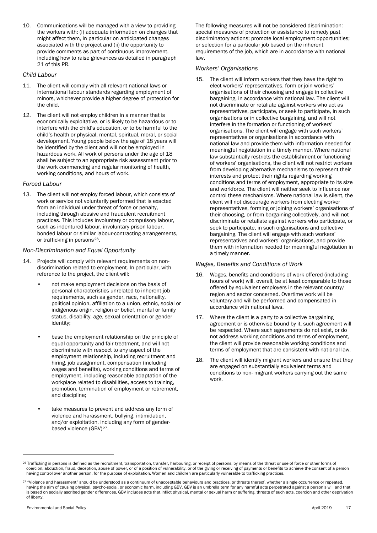10. Communications will be managed with a view to providing the workers with: (i) adequate information on changes that might affect them, in particular on anticipated changes associated with the project and (ii) the opportunity to provide comments as part of continuous improvement, including how to raise grievances as detailed in paragraph 21 of this PR.

#### *Child Labour*

- 11. The client will comply with all relevant national laws or international labour standards regarding employment of minors, whichever provide a higher degree of protection for the child.
- 12. The client will not employ children in a manner that is economically exploitative, or is likely to be hazardous or to interfere with the child's education, or to be harmful to the child's health or physical, mental, spiritual, moral, or social development. Young people below the age of 18 years will be identified by the client and will not be employed in hazardous work. All work of persons under the age of 18 shall be subject to an appropriate risk assessment prior to the work commencing and regular monitoring of health, working conditions, and hours of work.

#### *Forced Labour*

13. The client will not employ forced labour, which consists of work or service not voluntarily performed that is exacted from an individual under threat of force or penalty, including through abusive and fraudulent recruitment practices. This includes involuntary or compulsory labour, such as indentured labour, involuntary prison labour, bonded labour or similar labour-contracting arrangements, or trafficking in persons[26](#page-18-0).

#### *Non-Discrimination and Equal Opportunity*

- Projects will comply with relevant requirements on nondiscrimination related to employment. In particular, with reference to the project, the client will:
	- not make employment decisions on the basis of personal characteristics unrelated to inherent job requirements, such as gender, race, nationality, political opinion, affiliation to a union, ethnic, social or indigenous origin, religion or belief, marital or family status, disability, age, sexual orientation or gender identity;
	- base the employment relationship on the principle of equal opportunity and fair treatment, and will not discriminate with respect to any aspect of the employment relationship, including recruitment and hiring, job assignment, compensation (including wages and benefits), working conditions and terms of employment, including reasonable adaptation of the workplace related to disabilities, access to training, promotion, termination of employment or retirement, and discipline;
	- take measures to prevent and address any form of violence and harassment, bullying, intimidation, and/or exploitation, including any form of genderbased violence (GBV)[27.](#page-18-1)

The following measures will not be considered discrimination: special measures of protection or assistance to remedy past discriminatory actions; promote local employment opportunities; or selection for a particular job based on the inherent requirements of the job, which are in accordance with national law.

#### *Workers' Organisations*

15. The client will inform workers that they have the right to elect workers' representatives, form or join workers' organisations of their choosing and engage in collective bargaining, in accordance with national law. The client will not discriminate or retaliate against workers who act as representatives, participate, or seek to participate, in such organisations or in collective bargaining, and will not interfere in the formation or functioning of workers' organisations. The client will engage with such workers' representatives or organisations in accordance with national law and provide them with information needed for meaningful negotiation in a timely manner. Where national law substantially restricts the establishment or functioning of workers' organisations, the client will not restrict workers from developing alternative mechanisms to represent their interests and protect their rights regarding working conditions and terms of employment, appropriate to its size and workforce. The client will neither seek to influence nor control these mechanisms. Where national law is silent, the client will not discourage workers from electing worker representatives, forming or joining workers' organisations of their choosing, or from bargaining collectively, and will not discriminate or retaliate against workers who participate, or seek to participate, in such organisations and collective bargaining. The client will engage with such workers' representatives and workers' organisations, and provide them with information needed for meaningful negotiation in a timely manner.

# *Wages, Benefits and Conditions of Work*

- 16. Wages, benefits and conditions of work offered (including hours of work) will, overall, be at least comparable to those offered by equivalent employers in the relevant country/ region and sector concerned. Overtime work will be voluntary and will be performed and compensated in accordance with national laws.
- 17. Where the client is a party to a collective bargaining agreement or is otherwise bound by it, such agreement will be respected. Where such agreements do not exist, or do not address working conditions and terms of employment, the client will provide reasonable working conditions and terms of employment that are consistent with national law.
- 18. The client will identify migrant workers and ensure that they are engaged on substantially equivalent terms and conditions to non- migrant workers carrying out the same work.

<span id="page-18-0"></span><sup>26</sup> Trafficking in persons is defined as the recruitment, transportation, transfer, harbouring, or receipt of persons, by means of the threat or use of force or other forms of coercion, abduction, fraud, deception, abuse of power, or of a position of vulnerability, or of the giving or receiving of payments or benefits to achieve the consent of a person having control over another person, for the purpose of exploitation. Women and children are particularly vulnerable to trafficking practices.

<span id="page-18-1"></span><sup>27 &</sup>quot;Violence and harassment" should be understood as a continuum of unacceptable behaviours and practices, or threats thereof, whether a single occurrence or repeated, having the aim of causing physical, psycho-social, or economic harm, including GBV. GBV is an umbrella term for any harmful acts perpetrated against a person's will and that is based on socially ascribed gender differences. GBV includes acts that inflict physical, mental or sexual harm or suffering, threats of such acts, coercion and other deprivation of liberty.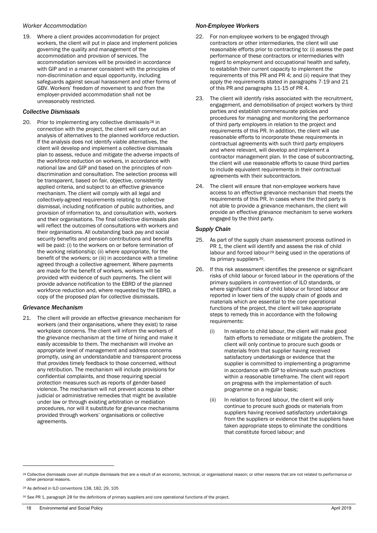#### *Worker Accommodation*

19. Where a client provides accommodation for project workers, the client will put in place and implement policies governing the quality and management of the accommodation and provision of services. The accommodation services will be provided in accordance with GIP and in a manner consistent with the principles of non-discrimination and equal opportunity, including safeguards against sexual harassment and other forms of GBV. Workers' freedom of movement to and from the employer-provided accommodation shall not be unreasonably restricted.

#### *Collective Dismissals*

20. Prior to implementing any collective dismissals<sup>[28](#page-19-0)</sup> in connection with the project, the client will carry out an analysis of alternatives to the planned workforce reduction. If the analysis does not identify viable alternatives, the client will develop and implement a collective dismissals plan to assess, reduce and mitigate the adverse impacts of the workforce reduction on workers, in accordance with national law and GIP and based on the principles of nondiscrimination and consultation. The selection process will be transparent, based on fair, objective, consistently applied criteria, and subject to an effective grievance mechanism. The client will comply with all legal and collectively-agreed requirements relating to collective dismissal, including notification of public authorities, and provision of information to, and consultation with, workers and their organisations. The final collective dismissals plan will reflect the outcomes of consultations with workers and their organisations. All outstanding back pay and social security benefits and pension contributions and benefits will be paid: (i) to the workers on or before termination of the working relationship; (ii) where appropriate, for the benefit of the workers; or (iii) in accordance with a timeline agreed through a collective agreement. Where payments are made for the benefit of workers, workers will be provided with evidence of such payments. The client will provide advance notification to the EBRD of the planned workforce reduction and, where requested by the EBRD, a copy of the proposed plan for collective dismissals.

### *Grievance Mechanism*

21. The client will provide an effective grievance mechanism for workers (and their organisations, where they exist) to raise workplace concerns. The client will inform the workers of the grievance mechanism at the time of hiring and make it easily accessible to them. The mechanism will involve an appropriate level of management and address concerns promptly, using an understandable and transparent process that provides timely feedback to those concerned, without any retribution. The mechanism will include provisions for confidential complaints, and those requiring special protection measures such as reports of gender-based violence. The mechanism will not prevent access to other judicial or administrative remedies that might be available under law or through existing arbitration or mediation procedures, nor will it substitute for grievance mechanisms provided through workers' organisations or collective agreements.

# *Non-Employee Workers*

- 22. For non-employee workers to be engaged through contractors or other intermediaries, the client will use reasonable efforts prior to contracting to: (i) assess the past performance of these contractors or intermediaries with regard to employment and occupational health and safety, to establish their current capacity to implement the requirements of this PR and PR 4; and (ii) require that they apply the requirements stated in paragraphs 7-19 and 21 of this PR and paragraphs 11-15 of PR 4.
- 23. The client will identify risks associated with the recruitment, engagement, and demobilisation of project workers by third parties and establish commensurate policies and procedures for managing and monitoring the performance of third party employers in relation to the project and requirements of this PR. In addition, the client will use reasonable efforts to incorporate these requirements in contractual agreements with such third party employers and where relevant, will develop and implement a contractor management plan. In the case of subcontracting, the client will use reasonable efforts to cause third parties to include equivalent requirements in their contractual agreements with their subcontractors.
- 24. The client will ensure that non-employee workers have access to an effective grievance mechanism that meets the requirements of this PR. In cases where the third party is not able to provide a grievance mechanism, the client will provide an effective grievance mechanism to serve workers engaged by the third party.

#### *Supply Chain*

- 25. As part of the supply chain assessment process outlined in PR 1, the client will identify and assess the risk of child labour and forced labour<sup>[29](#page-19-1)</sup> being used in the operations of its primary suppliers<sup>[30](#page-19-2)</sup>.
- 26. If this risk assessment identifies the presence or significant risks of child labour or forced labour in the operations of the primary suppliers in contravention of ILO standards, or where significant risks of child labour or forced labour are reported in lower tiers of the supply chain of goods and materials which are essential to the core operational functions of the project, the client will take appropriate steps to remedy this in accordance with the following requirements:
	- (i) In relation to child labour, the client will make good faith efforts to remediate or mitigate the problem. The client will only continue to procure such goods or materials from that supplier having received satisfactory undertakings or evidence that the supplier is committed to implementing a programme in accordance with GIP to eliminate such practices within a reasonable timeframe. The client will report on progress with the implementation of such programme on a regular basis;
	- (ii) In relation to forced labour, the client will only continue to procure such goods or materials from suppliers having received satisfactory undertakings from the suppliers or evidence that the suppliers have taken appropriate steps to eliminate the conditions that constitute forced labour; and

<span id="page-19-0"></span><sup>28</sup> Collective dismissals cover all multiple dismissals that are a result of an economic, technical, or organisational reason; or other reasons that are not related to performance or other personal reasons.

<span id="page-19-1"></span><sup>29</sup> As defined in ILO conventions 138, 182, 29, 105

<span id="page-19-2"></span><sup>30</sup> See PR 1, paragraph 28 for the definitions of primary suppliers and core operational functions of the project.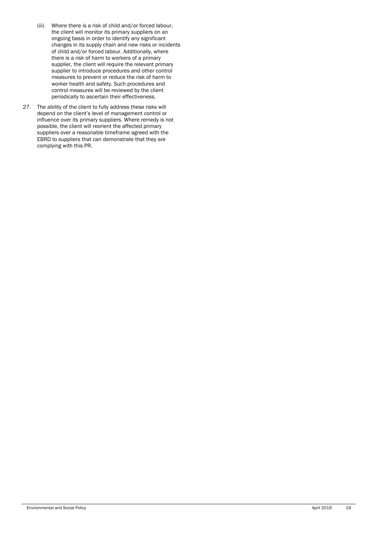- (iii) Where there is a risk of child and/or forced labour, the client will monitor its primary suppliers on an ongoing basis in order to identify any significant changes in its supply chain and new risks or incidents of child and/or forced labour. Additionally, where there is a risk of harm to workers of a primary supplier, the client will require the relevant primary supplier to introduce procedures and other control measures to prevent or reduce the risk of harm to worker health and safety. Such procedures and control measures will be reviewed by the client periodically to ascertain their effectiveness.
- 27. The ability of the client to fully address these risks will depend on the client's level of management control or influence over its primary suppliers. Where remedy is not possible, the client will reorient the affected primary suppliers over a reasonable timeframe agreed with the EBRD to suppliers that can demonstrate that they are complying with this PR.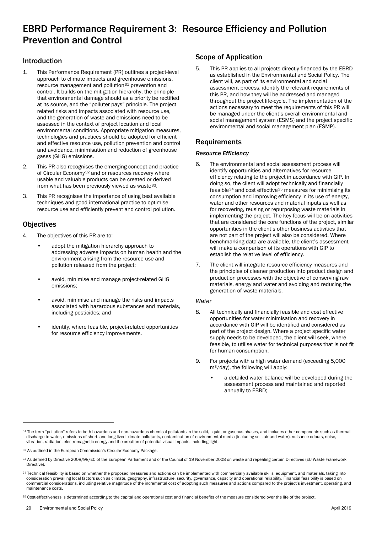# EBRD Performance Requirement 3: Resource Efficiency and Pollution Prevention and Control

# Introduction

- 1. This Performance Requirement (PR) outlines a project-level approach to climate impacts and greenhouse emissions, resource management and pollution<sup>[31](#page-21-0)</sup> prevention and control. It builds on the mitigation hierarchy, the principle that environmental damage should as a priority be rectified at its source, and the "polluter pays" principle. The project related risks and impacts associated with resource use, and the generation of waste and emissions need to be assessed in the context of project location and local environmental conditions. Appropriate mitigation measures, technologies and practices should be adopted for efficient and effective resource use, pollution prevention and control and avoidance, minimisation and reduction of greenhouse gases (GHG) emissions.
- 2. This PR also recognises the emerging concept and practice of Circular Economy[32](#page-21-1) and or resources recovery where usable and valuable products can be created or derived from what has been previously viewed as waste[33.](#page-21-2)
- 3. This PR recognises the importance of using best available techniques and good international practice to optimise resource use and efficiently prevent and control pollution.

# **Objectives**

1

- 4. The objectives of this PR are to:
	- adopt the mitigation hierarchy approach to addressing adverse impacts on human health and the environment arising from the resource use and pollution released from the project;
	- avoid, minimise and manage project-related GHG emissions;
	- avoid, minimise and manage the risks and impacts associated with hazardous substances and materials, including pesticides; and
	- identify, where feasible, project-related opportunities for resource efficiency improvements.

# Scope of Application

5. This PR applies to all projects directly financed by the EBRD as established in the Environmental and Social Policy. The client will, as part of its environmental and social assessment process, identify the relevant requirements of this PR, and how they will be addressed and managed throughout the project life-cycle. The implementation of the actions necessary to meet the requirements of this PR will be managed under the client's overall environmental and social management system (ESMS) and the project specific environmental and social management plan (ESMP).

# **Requirements**

# *Resource Efficiency*

- 6. The environmental and social assessment process will identify opportunities and alternatives for resource efficiency relating to the project in accordance with GIP. In doing so, the client will adopt technically and financially feasible<sup>[34](#page-21-3)</sup> and cost effective<sup>[35](#page-21-4)</sup> measures for minimising its consumption and improving efficiency in its use of energy, water and other resources and material inputs as well as for recovering, reusing or repurposing waste materials in implementing the project. The key focus will be on activities that are considered the core functions of the project, similar opportunities in the client's other business activities that are not part of the project will also be considered. Where benchmarking data are available, the client's assessment will make a comparison of its operations with GIP to establish the relative level of efficiency.
- 7. The client will integrate resource efficiency measures and the principles of cleaner production into product design and production processes with the objective of conserving raw materials, energy and water and avoiding and reducing the generation of waste materials.

### *Water*

- 8. All technically and financially feasible and cost effective opportunities for water minimisation and recovery in accordance with GIP will be identified and considered as part of the project design. Where a project specific water supply needs to be developed, the client will seek, where feasible, to utilise water for technical purposes that is not fit for human consumption.
- 9. For projects with a high water demand (exceeding 5,000 m3/day), the following will apply:
	- a detailed water balance will be developed during the assessment process and maintained and reported annually to EBRD;

<span id="page-21-4"></span><sup>35</sup> Cost-effectiveness is determined according to the capital and operational cost and financial benefits of the measure considered over the life of the project.

<span id="page-21-0"></span><sup>31</sup> The term "pollution" refers to both hazardous and non-hazardous chemical pollutants in the solid, liquid, or gaseous phases, and includes other components such as thermal discharge to water, emissions of short- and long-lived climate pollutants, contamination of environmental media (including soil, air and water), nuisance odours, noise, vibration, radiation, electromagnetic energy and the creation of potential visual impacts, including light.

<span id="page-21-1"></span><sup>32</sup> As outlined in the European Commission's Circular Economy Package.

<span id="page-21-2"></span><sup>33</sup> As defined by Directive 2008/98/EC of the European Parliament and of the Council of 19 November 2008 on waste and repealing certain Directives (EU Waste Framework Directive).

<span id="page-21-3"></span><sup>34</sup> Technical feasibility is based on whether the proposed measures and actions can be implemented with commercially available skills, equipment, and materials, taking into consideration prevailing local factors such as climate, geography, infrastructure, security, governance, capacity and operational reliability. Financial feasibility is based on commercial considerations, including relative magnitude of the incremental cost of adopting such measures and actions compared to the project's investment, operating, and maintenance costs.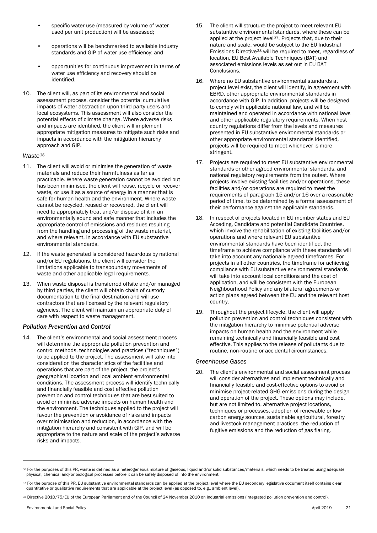- specific water use (measured by volume of water used per unit production) will be assessed;
- operations will be benchmarked to available industry standards and GIP of water use efficiency; and
- opportunities for continuous improvement in terms of water use efficiency and recovery should be identified.
- 10. The client will, as part of its environmental and social assessment process, consider the potential cumulative impacts of water abstraction upon third party users and local ecosystems. This assessment will also consider the potential effects of climate change. Where adverse risks and impacts are identified, the client will implement appropriate mitigation measures to mitigate such risks and impacts in accordance with the mitigation hierarchy approach and GIP.

### *Waste[36](#page-22-0)*

- 11. The client will avoid or minimise the generation of waste materials and reduce their harmfulness as far as practicable. Where waste generation cannot be avoided but has been minimised, the client will reuse, recycle or recover waste, or use it as a source of energy in a manner that is safe for human health and the environment. Where waste cannot be recycled, reused or recovered, the client will need to appropriately treat and/or dispose of it in an environmentally sound and safe manner that includes the appropriate control of emissions and residues resulting from the handling and processing of the waste material, and where relevant, in accordance with EU substantive environmental standards.
- 12. If the waste generated is considered hazardous by national and/or EU regulations, the client will consider the limitations applicable to transboundary movements of waste and other applicable legal requirements.
- 13. When waste disposal is transferred offsite and/or managed by third parties, the client will obtain chain of custody documentation to the final destination and will use contractors that are licensed by the relevant regulatory agencies. The client will maintain an appropriate duty of care with respect to waste management.

### *Pollution Prevention and Control*

14. The client's environmental and social assessment process will determine the appropriate pollution prevention and control methods, technologies and practices ("techniques") to be applied to the project. The assessment will take into consideration the characteristics of the facilities and operations that are part of the project, the project's geographical location and local ambient environmental conditions. The assessment process will identify technically and financially feasible and cost effective pollution prevention and control techniques that are best suited to avoid or minimise adverse impacts on human health and the environment. The techniques applied to the project will favour the prevention or avoidance of risks and impacts over minimisation and reduction, in accordance with the mitigation hierarchy and consistent with GIP, and will be appropriate to the nature and scale of the project's adverse risks and impacts.

- 15. The client will structure the project to meet relevant EU substantive environmental standards, where these can be applied at the project level<sup>37</sup>. Projects that, due to their nature and scale, would be subject to the EU Industrial Emissions Directive[38](#page-22-2) will be required to meet, regardless of location, EU Best Available Techniques (BAT) and associated emissions levels as set out in EU BAT Conclusions.
- 16. Where no EU substantive environmental standards at project level exist, the client will identify, in agreement with EBRD, other appropriate environmental standards in accordance with GIP. In addition, projects will be designed to comply with applicable national law, and will be maintained and operated in accordance with national laws and other applicable regulatory requirements. When host country regulations differ from the levels and measures presented in EU substantive environmental standards or other appropriate environmental standards identified, projects will be required to meet whichever is more stringent.
- 17. Projects are required to meet EU substantive environmental standards or other agreed environmental standards, and national regulatory requirements from the outset. Where projects involve existing facilities and/or operations, these facilities and/or operations are required to meet the requirements of paragraph 15 and/or 16 over a reasonable period of time, to be determined by a formal assessment of their performance against the applicable standards.
- 18. In respect of projects located in EU member states and EU Acceding, Candidate and potential Candidate Countries, which involve the rehabilitation of existing facilities and/or operations and where relevant EU substantive environmental standards have been identified, the timeframe to achieve compliance with these standards will take into account any nationally agreed timeframes. For projects in all other countries, the timeframe for achieving compliance with EU substantive environmental standards will take into account local conditions and the cost of application, and will be consistent with the European Neighbourhood Policy and any bilateral agreements or action plans agreed between the EU and the relevant host country.
- 19. Throughout the project lifecycle, the client will apply pollution prevention and control techniques consistent with the mitigation hierarchy to minimise potential adverse impacts on human health and the environment while remaining technically and financially feasible and cost effective. This applies to the release of pollutants due to routine, non-routine or accidental circumstances.

#### *Greenhouse Gases*

20. The client's environmental and social assessment process will consider alternatives and implement technically and financially feasible and cost-effective options to avoid or minimise project-related GHG emissions during the design and operation of the project. These options may include, but are not limited to, alternative project locations, techniques or processes, adoption of renewable or low carbon energy sources, sustainable agricultural, forestry and livestock management practices, the reduction of fugitive emissions and the reduction of gas flaring.

<span id="page-22-0"></span><sup>36</sup> For the purposes of this PR, waste is defined as a heterogeneous mixture of gaseous, liquid and/or solid substances/materials, which needs to be treated using adequate physical, chemical and/or biological processes before it can be safely disposed of into the environment.

<span id="page-22-1"></span><sup>37</sup> For the purpose of this PR, EU substantive environmental standards can be applied at the project level where the EU secondary legislative document itself contains clear quantitative or qualitative requirements that are applicable at the project level (as opposed to, e.g., ambient level).

<span id="page-22-2"></span><sup>38</sup> Directive 2010/75/EU of the European Parliament and of the Council of 24 November 2010 on industrial emissions (integrated pollution prevention and control).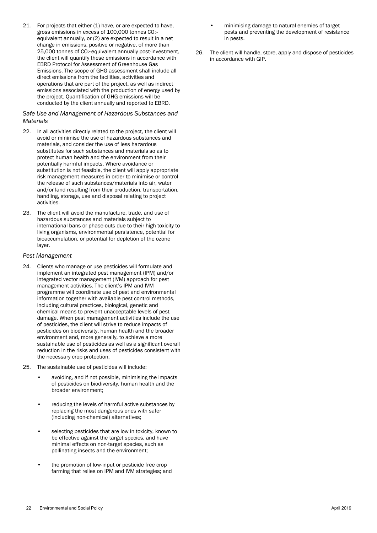21. For projects that either (1) have, or are expected to have, gross emissions in excess of 100,000 tonnes CO2 equivalent annually, or (2) are expected to result in a net change in emissions, positive or negative, of more than 25,000 tonnes of CO2-equivalent annually post-investment, the client will quantify these emissions in accordance with EBRD Protocol for Assessment of Greenhouse Gas Emissions. The scope of GHG assessment shall include all direct emissions from the facilities, activities and operations that are part of the project, as well as indirect emissions associated with the production of energy used by the project. Quantification of GHG emissions will be conducted by the client annually and reported to EBRD.

### *Safe Use and Management of Hazardous Substances and Materials*

- 22. In all activities directly related to the project, the client will avoid or minimise the use of hazardous substances and materials, and consider the use of less hazardous substitutes for such substances and materials so as to protect human health and the environment from their potentially harmful impacts. Where avoidance or substitution is not feasible, the client will apply appropriate risk management measures in order to minimise or control the release of such substances/materials into air, water and/or land resulting from their production, transportation, handling, storage, use and disposal relating to project activities.
- 23. The client will avoid the manufacture, trade, and use of hazardous substances and materials subject to international bans or phase-outs due to their high toxicity to living organisms, environmental persistence, potential for bioaccumulation, or potential for depletion of the ozone layer.

### *Pest Management*

- 24. Clients who manage or use pesticides will formulate and implement an integrated pest management (IPM) and/or integrated vector management (IVM) approach for pest management activities. The client's IPM and IVM programme will coordinate use of pest and environmental information together with available pest control methods, including cultural practices, biological, genetic and chemical means to prevent unacceptable levels of pest damage. When pest management activities include the use of pesticides, the client will strive to reduce impacts of pesticides on biodiversity, human health and the broader environment and, more generally, to achieve a more sustainable use of pesticides as well as a significant overall reduction in the risks and uses of pesticides consistent with the necessary crop protection.
- 25. The sustainable use of pesticides will include:
	- avoiding, and if not possible, minimising the impacts of pesticides on biodiversity, human health and the broader environment;
	- reducing the levels of harmful active substances by replacing the most dangerous ones with safer (including non-chemical) alternatives;
	- selecting pesticides that are low in toxicity, known to be effective against the target species, and have minimal effects on non-target species, such as pollinating insects and the environment;
	- the promotion of low-input or pesticide free crop farming that relies on IPM and IVM strategies; and
- minimising damage to natural enemies of target pests and preventing the development of resistance in pests.
- 26. The client will handle, store, apply and dispose of pesticides in accordance with GIP.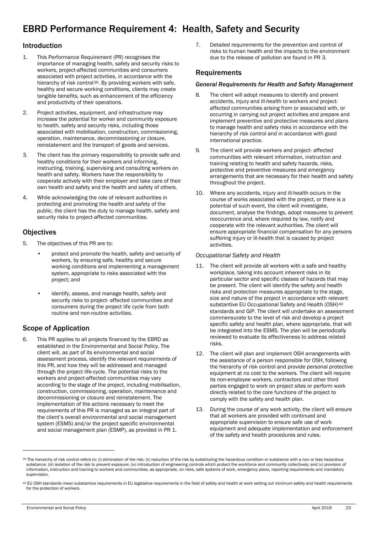# EBRD Performance Requirement 4: Health, Safety and Security

# Introduction

- 1. This Performance Requirement (PR) recognises the importance of managing health, safety and security risks to workers, project-affected communities and consumers associated with project activities, in accordance with the hierarchy of risk control<sup>[39](#page-24-0)</sup>. By providing workers with safe, healthy and secure working conditions, clients may create tangible benefits, such as enhancement of the efficiency and productivity of their operations.
- 2. Project activities, equipment, and infrastructure may increase the potential for worker and community exposure to health, safety and security risks, including those associated with mobilisation, construction, commissioning, operation, maintenance, decommissioning or closure, reinstatement and the transport of goods and services.
- 3. The client has the primary responsibility to provide safe and healthy conditions for their workers and informing, instructing, training, supervising and consulting workers on health and safety. Workers have the responsibility to cooperate actively with their employer and take care of their own health and safety and the health and safety of others.
- 4. While acknowledging the role of relevant authorities in protecting and promoting the health and safety of the public, the client has the duty to manage health, safety and security risks to project-affected communities.

# **Objectives**

- 5. The objectives of this PR are to:
	- protect and promote the health, safety and security of workers, by ensuring safe, healthy and secure working conditions and implementing a management system, appropriate to risks associated with the project; and
	- identify, assess, and manage health, safety and security risks to project- affected communities and consumers during the project life cycle from both routine and non-routine activities.

# Scope of Application

6. This PR applies to all projects financed by the EBRD as established in the Environmental and Social Policy. The client will, as part of its environmental and social assessment process, identify the relevant requirements of this PR, and how they will be addressed and managed through the project life-cycle. The potential risks to the workers and project-affected communities may vary according to the stage of the project, including mobilisation, construction, commissioning, operation, maintenance and decommissioning or closure and reinstatement. The implementation of the actions necessary to meet the requirements of this PR is managed as an integral part of the client's overall environmental and social management system (ESMS) and/or the project specific environmental and social management plan (ESMP), as provided in PR 1.

7. Detailed requirements for the prevention and control of risks to human health and the impacts to the environment due to the release of pollution are found in PR 3.

# **Requirements**

# *General Requirements for Health and Safety Management*

- 8. The client will adopt measures to identify and prevent accidents, injury and ill-health to workers and projectaffected communities arising from or associated with, or occurring in carrying out project activities and prepare and implement preventive and protective measures and plans to manage health and safety risks in accordance with the hierarchy of risk control and in accordance with good international practice.
- 9. The client will provide workers and project- affected communities with relevant information, instruction and training relating to health and safety hazards, risks, protective and preventive measures and emergency arrangements that are necessary for their health and safety throughout the project.
- 10. Where any accidents, injury and ill-health occurs in the course of works associated with the project, or there is a potential of such event, the client will investigate, document, analyse the findings, adopt measures to prevent reoccurrence and, where required by law, notify and cooperate with the relevant authorities. The client will ensure appropriate financial compensation for any persons suffering injury or ill-health that is caused by project activities.

# *Occupational Safety and Health*

- 11. The client will provide all workers with a safe and healthy workplace, taking into account inherent risks in its particular sector and specific classes of hazards that may be present. The client will identify the safety and health risks and protection measures appropriate to the stage, size and nature of the project in accordance with relevant substantive EU Occupational Safety and Health (OSH)<sup>[40](#page-24-1)</sup> standards and GIP. The client will undertake an assessment commensurate to the level of risk and develop a project specific safety and health plan, where appropriate, that will be integrated into the ESMS. The plan will be periodically reviewed to evaluate its effectiveness to address related risks.
- 12. The client will plan and implement OSH arrangements with the assistance of a person responsible for OSH, following the hierarchy of risk control and provide personal protective equipment at no cost to the workers. The client will require its non-employee workers, contractors and other third parties engaged to work on project sites or perform work directly related to the core functions of the project to comply with the safety and health plan.
- 13. During the course of any work activity, the client will ensure that all workers are provided with continued and appropriate supervision to ensure safe use of work equipment and adequate implementation and enforcement of the safety and health procedures and rules.

<span id="page-24-0"></span><sup>39</sup> The hierarchy of risk control refers to: (i) elimination of the risk; (ii) reduction of the risk by substituting the hazardous condition or substance with a non or less hazardous substance; (iii) isolation of the risk to prevent exposure; (iv) introduction of engineering controls which protect the workforce and community collectively; and (v) provision of information, instruction and training to workers and communities, as appropriate, on risks, safe systems of work, emergency plans, reporting requirements and mandatory supervision.

<span id="page-24-1"></span><sup>40</sup> EU OSH standards mean substantive requirements in EU legislative requirements in the field of safety and health at work setting out minimum safety and health requirements for the protection of workers.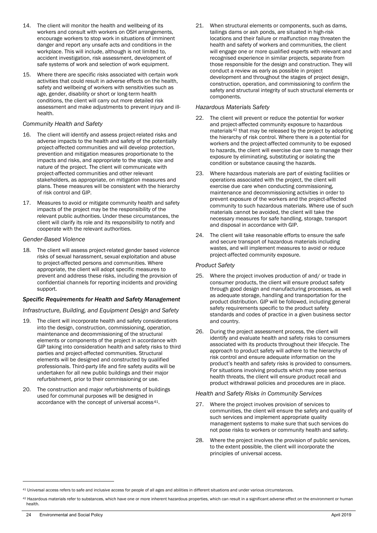- 14. The client will monitor the health and wellbeing of its workers and consult with workers on OSH arrangements, encourage workers to stop work in situations of imminent danger and report any unsafe acts and conditions in the workplace. This will include, although is not limited to, accident investigation, risk assessment, development of safe systems of work and selection of work equipment.
- 15. Where there are specific risks associated with certain work activities that could result in adverse effects on the health, safety and wellbeing of workers with sensitivities such as age, gender, disability or short or long-term health conditions, the client will carry out more detailed risk assessment and make adjustments to prevent injury and illhealth.

### *Community Health and Safety*

- 16. The client will identify and assess project-related risks and adverse impacts to the health and safety of the potentially project-affected communities and will develop protection, prevention and mitigation measures proportionate to the impacts and risks, and appropriate to the stage, size and nature of the project. The client will communicate with project-affected communities and other relevant stakeholders, as appropriate, on mitigation measures and plans. These measures will be consistent with the hierarchy of risk control and GIP.
- 17. Measures to avoid or mitigate community health and safety impacts of the project may be the responsibility of the relevant public authorities. Under these circumstances, the client will clarify its role and its responsibility to notify and cooperate with the relevant authorities.

#### *Gender-Based Violence*

18. The client will assess project-related gender based violence risks of sexual harassment, sexual exploitation and abuse to project-affected persons and communities. Where appropriate, the client will adopt specific measures to prevent and address these risks, including the provision of confidential channels for reporting incidents and providing support.

### *Specific Requirements for Health and Safety Management*

#### *Infrastructure, Building, and Equipment Design and Safety*

- 19. The client will incorporate health and safety considerations into the design, construction, commissioning, operation, maintenance and decommissioning of the structural elements or components of the project in accordance with GIP taking into consideration health and safety risks to third parties and project-affected communities. Structural elements will be designed and constructed by qualified professionals. Third-party life and fire safety audits will be undertaken for all new public buildings and their major refurbishment, prior to their commissioning or use.
- 20. The construction and major refurbishments of buildings used for communal purposes will be designed in accordance with the concept of universal access<sup>[41](#page-25-0)</sup>.

21. When structural elements or components, such as dams, tailings dams or ash ponds, are situated in high-risk locations and their failure or malfunction may threaten the health and safety of workers and communities, the client will engage one or more qualified experts with relevant and recognised experience in similar projects, separate from those responsible for the design and construction. They will conduct a review as early as possible in project development and throughout the stages of project design, construction, operation, and commissioning to confirm the safety and structural integrity of such structural elements or components.

#### *Hazardous Materials Safety*

- 22. The client will prevent or reduce the potential for worker and project-affected community exposure to hazardous materials[42](#page-25-1) that may be released by the project by adopting the hierarchy of risk control. Where there is a potential for workers and the project-affected community to be exposed to hazards, the client will exercise due care to manage their exposure by eliminating, substituting or isolating the condition or substance causing the hazards.
- 23. Where hazardous materials are part of existing facilities or operations associated with the project, the client will exercise due care when conducting commissioning, maintenance and decommissioning activities in order to prevent exposure of the workers and the project-affected community to such hazardous materials. Where use of such materials cannot be avoided, the client will take the necessary measures for safe handling, storage, transport and disposal in accordance with GIP.
- 24. The client will take reasonable efforts to ensure the safe and secure transport of hazardous materials including wastes, and will implement measures to avoid or reduce project-affected community exposure.

#### *Product Safety*

- 25. Where the project involves production of and/ or trade in consumer products, the client will ensure product safety through good design and manufacturing processes, as well as adequate storage, handling and transportation for the product distribution. GIP will be followed, including general safety requirements specific to the product safety standards and codes of practice in a given business sector and country.
- 26. During the project assessment process, the client will identify and evaluate health and safety risks to consumers associated with its products throughout their lifecycle. The approach to product safety will adhere to the hierarchy of risk control and ensure adequate information on the product's health and safety risks is provided to consumers. For situations involving products which may pose serious health threats, the client will ensure product recall and product withdrawal policies and procedures are in place.

#### *Health and Safety Risks in Community Services*

- 27. Where the project involves provision of services to communities, the client will ensure the safety and quality of such services and implement appropriate quality management systems to make sure that such services do not pose risks to workers or community health and safety.
- 28. Where the project involves the provision of public services, to the extent possible, the client will incorporate the principles of universal access.

<span id="page-25-1"></span>42 Hazardous materials refer to substances, which have one or more inherent hazardous properties, which can result in a significant adverse effect on the environment or human health.

<span id="page-25-0"></span><sup>41</sup> Universal access refers to safe and inclusive access for people of all ages and abilities in different situations and under various circumstances.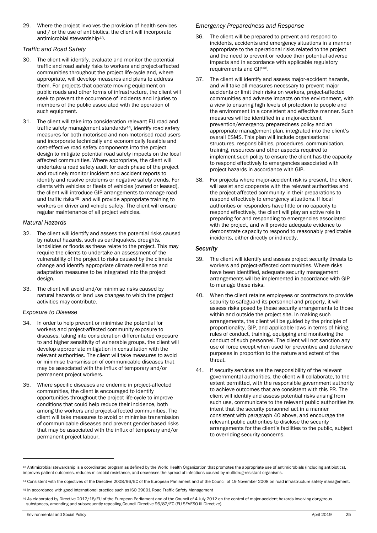29. Where the project involves the provision of health services and / or the use of antibiotics, the client will incorporate antimicrobial stewardship[43](#page-26-0).

### *Traffic and Road Safety*

- 30. The client will identify, evaluate and monitor the potential traffic and road safety risks to workers and project-affected communities throughout the project life-cycle and, where appropriate, will develop measures and plans to address them. For projects that operate moving equipment on public roads and other forms of infrastructure, the client will seek to prevent the occurrence of incidents and injuries to members of the public associated with the operation of such equipment.
- 31. The client will take into consideration relevant EU road and traffic safety management standards<sup>44</sup>, identify road safety measures for both motorised and non-motorised road users and incorporate technically and economically feasible and cost-effective road safety components into the project design to mitigate potential road safety impacts on the local affected communities. Where appropriate, the client will undertake a road safety audit for each phase of the project and routinely monitor incident and accident reports to identify and resolve problems or negative safety trends. For clients with vehicles or fleets of vehicles (owned or leased), the client will introduce GIP arrangements to manage road and traffic risks[45](#page-26-2) and will provide appropriate training to workers on driver and vehicle safety. The client will ensure regular maintenance of all project vehicles.

#### *Natural Hazards*

- 32. The client will identify and assess the potential risks caused by natural hazards, such as earthquakes, droughts, landslides or floods as these relate to the project. This may require the clients to undertake an assessment of the vulnerability of the project to risks caused by the climate change and identify appropriate climate resilience and adaptation measures to be integrated into the project design.
- 33. The client will avoid and/or minimise risks caused by natural hazards or land use changes to which the project activities may contribute.

### *Exposure to Disease*

- 34. In order to help prevent or minimise the potential for workers and project-affected community exposure to diseases, taking into consideration differentiated exposure to and higher sensitivity of vulnerable groups, the client will develop appropriate mitigation in consultation with the relevant authorities. The client will take measures to avoid or minimise transmission of communicable diseases that may be associated with the influx of temporary and/or permanent project workers.
- 35. Where specific diseases are endemic in project-affected communities, the client is encouraged to identify opportunities throughout the project life-cycle to improve conditions that could help reduce their incidence, both among the workers and project-affected communities. The client will take measures to avoid or minimise transmission of communicable diseases and prevent gender based risks that may be associated with the influx of temporary and/or permanent project labour.

# *Emergency Preparedness and Response*

- 36. The client will be prepared to prevent and respond to incidents, accidents and emergency situations in a manner appropriate to the operational risks related to the project and the need to prevent or reduce their potential adverse impacts and in accordance with applicable regulatory requirements and GIP[46](#page-26-3).
- 37. The client will identify and assess major-accident hazards, and will take all measures necessary to prevent major accidents or limit their risks on workers, project-affected communities and adverse impacts on the environment, with a view to ensuring high levels of protection to people and the environment in a consistent and effective manner. Such measures will be identified in a major-accident prevention/emergency preparedness policy and an appropriate management plan, integrated into the client's overall ESMS. This plan will include organisational structures, responsibilities, procedures, communication, training, resources and other aspects required to implement such policy to ensure the client has the capacity to respond effectively to emergencies associated with project hazards in accordance with GIP.
- 38. For projects where major-accident risk is present, the client will assist and cooperate with the relevant authorities and the project-affected community in their preparations to respond effectively to emergency situations. If local authorities or responders have little or no capacity to respond effectively, the client will play an active role in preparing for and responding to emergencies associated with the project, and will provide adequate evidence to demonstrate capacity to respond to reasonably predictable incidents, either directly or indirectly.

#### *Security*

- 39. The client will identify and assess project security threats to workers and project-affected communities. Where risks have been identified, adequate security management arrangements will be implemented in accordance with GIP to manage these risks.
- 40. When the client retains employees or contractors to provide security to safeguard its personnel and property, it will assess risks posed by these security arrangements to those within and outside the project site. In making such arrangements, the client will be guided by the principle of proportionality, GIP, and applicable laws in terms of hiring, rules of conduct, training, equipping and monitoring the conduct of such personnel. The client will not sanction any use of force except when used for preventive and defensive purposes in proportion to the nature and extent of the threat.
- 41. If security services are the responsibility of the relevant governmental authorities, the client will collaborate, to the extent permitted, with the responsible government authority to achieve outcomes that are consistent with this PR. The client will identify and assess potential risks arising from such use, communicate to the relevant public authorities its intent that the security personnel act in a manner consistent with paragraph 40 above, and encourage the relevant public authorities to disclose the security arrangements for the client's facilities to the public, subject to overriding security concerns.

<span id="page-26-0"></span><sup>43</sup> Antimicrobial stewardship is a coordinated program as defined by the World Health Organization that promotes the appropriate use of antimicrobials (including antibiotics), improves patient outcomes, reduces microbial resistance, and decreases the spread of infections caused by multidrug-resistant organisms.

<span id="page-26-1"></span><sup>44</sup> Consistent with the objectives of the Directive 2008/96/EC of the European Parliament and of the Council of 19 November 2008 on road infrastructure safety management.

<span id="page-26-2"></span><sup>45</sup> In accordance with good international practice such as ISO 39001 Road Traffic Safety Management

<span id="page-26-3"></span><sup>46</sup> As elaborated by Directive 2012/18/EU of the European Parliament and of the Council of 4 July 2012 on the control of major-accident hazards involving dangerous substances, amending and subsequently repealing Council Directive 96/82/EC (EU SEVESO III Directive).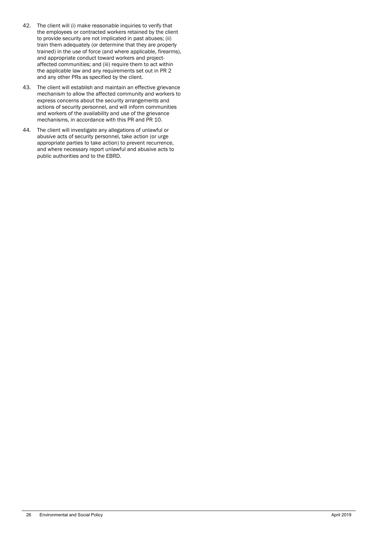- 42. The client will (i) make reasonable inquiries to verify that the employees or contracted workers retained by the client to provide security are not implicated in past abuses; (ii) train them adequately (or determine that they are properly trained) in the use of force (and where applicable, firearms), and appropriate conduct toward workers and projectaffected communities; and (iii) require them to act within the applicable law and any requirements set out in PR 2 and any other PRs as specified by the client.
- 43. The client will establish and maintain an effective grievance mechanism to allow the affected community and workers to express concerns about the security arrangements and actions of security personnel, and will inform communities and workers of the availability and use of the grievance mechanisms, in accordance with this PR and PR 10.
- 44. The client will investigate any allegations of unlawful or abusive acts of security personnel, take action (or urge appropriate parties to take action) to prevent recurrence, and where necessary report unlawful and abusive acts to public authorities and to the EBRD.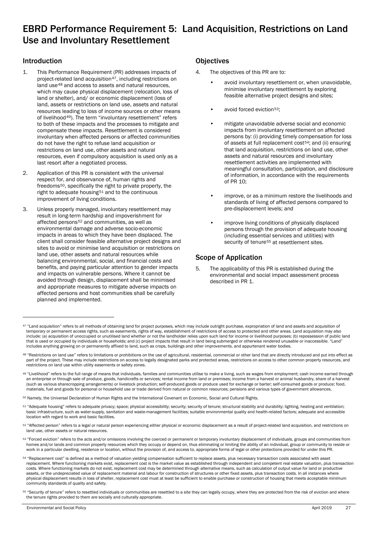# EBRD Performance Requirement 5: Land Acquisition, Restrictions on Land Use and Involuntary Resettlement

# Introduction

1

- 1. This Performance Requirement (PR) addresses impacts of project-related land acquisition<sup>47</sup>, including restrictions on land use<sup>[48](#page-28-1)</sup> and access to assets and natural resources, which may cause physical displacement (relocation, loss of land or shelter), and/ or economic displacement (loss of land, assets or restrictions on land use, assets and natural resources leading to loss of income sources or other means of livelihood<sup>49</sup>). The term "involuntary resettlement" refers to both of these impacts and the processes to mitigate and compensate these impacts. Resettlement is considered involuntary when affected persons or affected communities do not have the right to refuse land acquisition or restrictions on land use, other assets and natural resources, even if compulsory acquisition is used only as a last resort after a negotiated process.
- 2. Application of this PR is consistent with the universal respect for, and observance of, human rights and freedoms[50](#page-28-3), specifically the right to private property, the right to adequate housing[51](#page-28-4) and to the continuous improvement of living conditions.
- 3. Unless properly managed, involuntary resettlement may result in long-term hardship and impoverishment for affected persons[52](#page-28-5) and communities, as well as environmental damage and adverse socio-economic impacts in areas to which they have been displaced. The client shall consider feasible alternative project designs and sites to avoid or minimise land acquisition or restrictions on land use, other assets and natural resources while balancing environmental, social, and financial costs and benefits, and paying particular attention to gender impacts and impacts on vulnerable persons. Where it cannot be avoided through design, displacement shall be minimised and appropriate measures to mitigate adverse impacts on affected persons and host communities shall be carefully planned and implemented.

# **Objectives**

- 4. The objectives of this PR are to:
	- avoid involuntary resettlement or, when unavoidable, minimise involuntary resettlement by exploring feasible alternative project designs and sites;
	- avoid forced eviction<sup>[53](#page-28-6)</sup>;
	- mitigate unavoidable adverse social and economic impacts from involuntary resettlement on affected persons by: (i) providing timely compensation for loss of assets at full replacement cost<sup>[54](#page-28-7)</sup>; and (ii) ensuring that land acquisition, restrictions on land use, other assets and natural resources and involuntary resettlement activities are implemented with meaningful consultation, participation, and disclosure of information, in accordance with the requirements of PR 10;
	- improve, or as a minimum restore the livelihoods and standards of living of affected persons compared to pre-displacement levels; and
	- improve living conditions of physically displaced persons through the provision of adequate housing (including essential services and utilities) with security of tenure<sup>[55](#page-28-8)</sup> at resettlement sites.

# Scope of Application

5. The applicability of this PR is established during the environmental and social impact assessment process described in PR 1.

- <span id="page-28-4"></span>51 "Adequate housing" refers to adequate privacy; space; physical accessibility; security; security of tenure; structural stability and durability; lighting, heating and ventilation; basic infrastructure, such as water-supply, sanitation and waste-management facilities; suitable environmental quality and health-related factors; adequate and accessible location with regard to work and basic facilities.
- <span id="page-28-5"></span>52 "Affected person" refers to a legal or natural person experiencing either physical or economic displacement as a result of project-related land acquisition, and restrictions on land use, other assets or natural resources.
- <span id="page-28-6"></span>53 "Forced eviction" refers to the acts and/or omissions involving the coerced or permanent or temporary involuntary displacement of individuals, groups and communities from homes and/or lands and common property resources which they occupy or depend on, thus eliminating or limiting the ability of an individual, group or community to reside or work in a particular dwelling, residence or location, without the provision of, and access to, appropriate forms of legal or other protections provided for under this PR.
- <span id="page-28-7"></span><sup>54</sup> "Replacement cost" is defined as a method of valuation yielding compensation sufficient to replace assets, plus necessary transaction costs associated with asset replacement. Where functioning markets exist, replacement cost is the market value as established through independent and competent real estate valuation, plus transaction costs. Where functioning markets do not exist, replacement cost may be determined through alternative means, such as calculation of output value for land or productive assets, or the undepreciated value of replacement material and labour for construction of structures or other fixed assets, plus transaction costs. In all instances where<br>physical displacement results in loss of shelter, r community standards of quality and safety.

<span id="page-28-0"></span><sup>47 &</sup>quot;Land acquisition" refers to all methods of obtaining land for project purposes, which may include outright purchase, expropriation of land and assets and acquisition of temporary or permanent access rights, such as easements, rights of way, establishment of restrictions of access to protected and other areas. Land acquisition may also<br>include: (a) acquisition of unoccupied or unutilised l that is used or occupied by individuals or households; and (c) project impacts that result in land being submerged or otherwise rendered unusable or inaccessible. "Land" includes anything growing on or permanently affixed to land, such as crops, buildings and other improvements, and appurtenant water bodies.

<span id="page-28-1"></span><sup>48 &</sup>quot;Restrictions on land use" refers to limitations or prohibitions on the use of agricultural, residential, commercial or other land that are directly introduced and put into effect as part of the project. These may include restrictions on access to legally designated parks and protected areas, restrictions on access to other common property resources, and restrictions on land use within utility easements or safety zones.

<span id="page-28-2"></span><sup>49 &</sup>quot;Livelihood" refers to the full range of means that individuals, families and communities utilise to make a living, such as wages from employment; cash income earned through an enterprise or through sale of produce, goods, handicrafts or services; rental income from land or premises; income from a harvest or animal husbandry, share of a harvest (such as various sharecropping arrangements) or livestock production; self-produced goods or produce used for exchange or barter; self-consumed goods or produce; food, materials, fuel and goods for personal or household use or trade derived from natural or common resources; pensions and various types of government allowances.

<span id="page-28-3"></span><sup>50</sup> Namely, the Universal Declaration of Human Rights and the International Covenant on Economic, Social and Cultural Rights.

<span id="page-28-8"></span><sup>55 &</sup>quot;Security of tenure" refers to resettled individuals or communities are resettled to a site they can legally occupy, where they are protected from the risk of eviction and where the tenure rights provided to them are socially and culturally appropriate.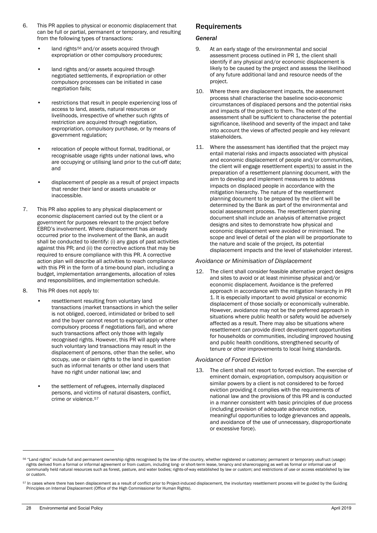- 6. This PR applies to physical or economic displacement that can be full or partial, permanent or temporary, and resulting from the following types of transactions:
	- land rights<sup>[56](#page-29-0)</sup> and/or assets acquired through expropriation or other compulsory procedures;
	- land rights and/or assets acquired through negotiated settlements, if expropriation or other compulsory processes can be initiated in case negotiation fails;
	- restrictions that result in people experiencing loss of access to land, assets, natural resources or livelihoods, irrespective of whether such rights of restriction are acquired through negotiation, expropriation, compulsory purchase, or by means of government regulation;
	- relocation of people without formal, traditional, or recognisable usage rights under national laws, who are occupying or utilising land prior to the cut-off date; and
	- displacement of people as a result of project impacts that render their land or assets unusable or inaccessible.
- 7. This PR also applies to any physical displacement or economic displacement carried out by the client or a government for purposes relevant to the project before EBRD's involvement. Where displacement has already occurred prior to the involvement of the Bank, an audit shall be conducted to identify: (i) any gaps of past activities against this PR; and (ii) the corrective actions that may be required to ensure compliance with this PR. A corrective action plan will describe all activities to reach compliance with this PR in the form of a time-bound plan, including a budget, implementation arrangements, allocation of roles and responsibilities, and implementation schedule.
- 8. This PR does not apply to:
	- resettlement resulting from voluntary land transactions (market transactions in which the seller is not obliged, coerced, intimidated or bribed to sell and the buyer cannot resort to expropriation or other compulsory process if negotiations fail), and where such transactions affect only those with legally recognised rights. However, this PR will apply where such voluntary land transactions may result in the displacement of persons, other than the seller, who occupy, use or claim rights to the land in question such as informal tenants or other land users that have no right under national law; and
	- the settlement of refugees, internally displaced persons, and victims of natural disasters, conflict, crime or violence.[57](#page-29-1)

# **Requirements**

### *General*

- 9. At an early stage of the environmental and social assessment process outlined in PR 1, the client shall identify if any physical and/or economic displacement is likely to be caused by the project and assess the likelihood of any future additional land and resource needs of the project.
- 10. Where there are displacement impacts, the assessment process shall characterise the baseline socio-economic circumstances of displaced persons and the potential risks and impacts of the project to them. The extent of the assessment shall be sufficient to characterise the potential significance, likelihood and severity of the impact and take into account the views of affected people and key relevant stakeholders.
- 11. Where the assessment has identified that the project may entail material risks and impacts associated with physical and economic displacement of people and/or communities, the client will engage resettlement expert(s) to assist in the preparation of a resettlement planning document, with the aim to develop and implement measures to address impacts on displaced people in accordance with the mitigation hierarchy. The nature of the resettlement planning document to be prepared by the client will be determined by the Bank as part of the environmental and social assessment process. The resettlement planning document shall include an analysis of alternative project designs and sites to demonstrate how physical and economic displacement were avoided or minimised. The scope and level of detail of the plan will be proportionate to the nature and scale of the project, its potential displacement impacts and the level of stakeholder interest.

# *Avoidance or Minimisation of Displacement*

12. The client shall consider feasible alternative project designs and sites to avoid or at least minimise physical and/or economic displacement. Avoidance is the preferred approach in accordance with the mitigation hierarchy in PR 1. It is especially important to avoid physical or economic displacement of those socially or economically vulnerable. However, avoidance may not be the preferred approach in situations where public health or safety would be adversely affected as a result. There may also be situations where resettlement can provide direct development opportunities for households or communities, including improved housing and public health conditions, strengthened security of tenure or other improvements to local living standards.

### *Avoidance of Forced Eviction*

13. The client shall not resort to forced eviction. The exercise of eminent domain, expropriation, compulsory acquisition or similar powers by a client is not considered to be forced eviction providing it complies with the requirements of national law and the provisions of this PR and is conducted in a manner consistent with basic principles of due process (including provision of adequate advance notice, meaningful opportunities to lodge grievances and appeals, and avoidance of the use of unnecessary, disproportionate or excessive force).

**.** 

<span id="page-29-0"></span><sup>56</sup> "Land rights" include full and permanent ownership rights recognised by the law of the country, whether registered or customary; permanent or temporary usufruct (usage) rights derived from a formal or informal agreement or from custom, including long- or short-term lease, tenancy and sharecropping as well as formal or informal use of<br>communally held natural resources such as forest, pastu or custom.

<span id="page-29-1"></span><sup>57</sup> In cases where there has been displacement as a result of conflict prior to Project-induced displacement, the involuntary resettlement process will be guided by the Guiding Principles on Internal Displacement (Office of the High Commissioner for Human Rights).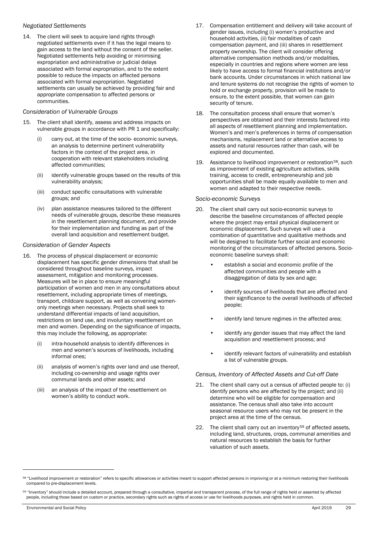#### *Negotiated Settlements*

14. The client will seek to acquire land rights through negotiated settlements even if it has the legal means to gain access to the land without the consent of the seller. Negotiated settlements help avoiding or minimising expropriation and administrative or judicial delays associated with formal expropriation, and to the extent possible to reduce the impacts on affected persons associated with formal expropriation. Negotiated settlements can usually be achieved by providing fair and appropriate compensation to affected persons or communities.

#### *Consideration of Vulnerable Groups*

- 15. The client shall identify, assess and address impacts on vulnerable groups in accordance with PR 1 and specifically:
	- (i) carry out, at the time of the socio- economic surveys, an analysis to determine pertinent vulnerability factors in the context of the project area, in cooperation with relevant stakeholders including affected communities;
	- (ii) identify vulnerable groups based on the results of this vulnerability analysis;
	- (iii) conduct specific consultations with vulnerable groups; and
	- (iv) plan assistance measures tailored to the different needs of vulnerable groups, describe these measures in the resettlement planning document, and provide for their implementation and funding as part of the overall land acquisition and resettlement budget.

#### *Consideration of Gender Aspects*

- 16. The process of physical displacement or economic displacement has specific gender dimensions that shall be considered throughout baseline surveys, impact assessment, mitigation and monitoring processes. Measures will be in place to ensure meaningful participation of women and men in any consultations about resettlement, including appropriate times of meetings, transport, childcare support, as well as convening womenonly meetings when necessary. Projects shall seek to understand differential impacts of land acquisition, restrictions on land use, and involuntary resettlement on men and women. Depending on the significance of impacts, this may include the following, as appropriate:
	- (i) intra-household analysis to identify differences in men and women's sources of livelihoods, including informal ones;
	- (ii) analysis of women's rights over land and use thereof, including co-ownership and usage rights over communal lands and other assets; and
	- (iii) an analysis of the impact of the resettlement on women's ability to conduct work.
- 17. Compensation entitlement and delivery will take account of gender issues, including (i) women's productive and household activities, (ii) fair modalities of cash compensation payment, and (iii) shares in resettlement property ownership. The client will consider offering alternative compensation methods and/or modalities, especially in countries and regions where women are less likely to have access to formal financial institutions and/or bank accounts. Under circumstances in which national law and tenure systems do not recognise the rights of women to hold or exchange property, provision will be made to ensure, to the extent possible, that women can gain security of tenure.
- 18. The consultation process shall ensure that women's perspectives are obtained and their interests factored into all aspects of resettlement planning and implementation. Women's and men's preferences in terms of compensation mechanisms, replacement land or alternative access to assets and natural resources rather than cash, will be explored and documented.
- 19. Assistance to livelihood improvement or restoration<sup>[58](#page-30-0)</sup>, such as improvement of existing agriculture activities, skills training, access to credit, entrepreneurship and job opportunities shall be made equally available to men and women and adapted to their respective needs.

#### *Socio-economic Surveys*

- 20. The client shall carry out socio-economic surveys to describe the baseline circumstances of affected people where the project may entail physical displacement or economic displacement. Such surveys will use a combination of quantitative and qualitative methods and will be designed to facilitate further social and economic monitoring of the circumstances of affected persons. Socioeconomic baseline surveys shall:
	- establish a social and economic profile of the affected communities and people with a disaggregation of data by sex and age;
	- identify sources of livelihoods that are affected and their significance to the overall livelihoods of affected people;
	- identify land tenure regimes in the affected area;
	- identify any gender issues that may affect the land acquisition and resettlement process; and
	- identify relevant factors of vulnerability and establish a list of vulnerable groups.

#### *Census, Inventory of Affected Assets and Cut-off Date*

- 21. The client shall carry out a census of affected people to: (i) identify persons who are affected by the project; and (ii) determine who will be eligible for compensation and assistance. The census shall also take into account seasonal resource users who may not be present in the project area at the time of the census.
- 22. The client shall carry out an inventory<sup>[59](#page-30-1)</sup> of affected assets, including land, structures, crops, communal amenities and natural resources to establish the basis for further valuation of such assets.

<span id="page-30-0"></span><sup>&</sup>lt;sup>58</sup> "Livelihood improvement or restoration" refers to specific allowances or activities meant to support affected persons in improving or at a minimum restoring their livelihoods compared to pre-displacement levels.

<span id="page-30-1"></span><sup>59 &</sup>quot;Inventory" should include a detailed account, prepared through a consultative, impartial and transparent process, of the full range of rights held or asserted by affected people, including those based on custom or practice, secondary rights such as rights of access or use for livelihoods purposes, and rights held in common.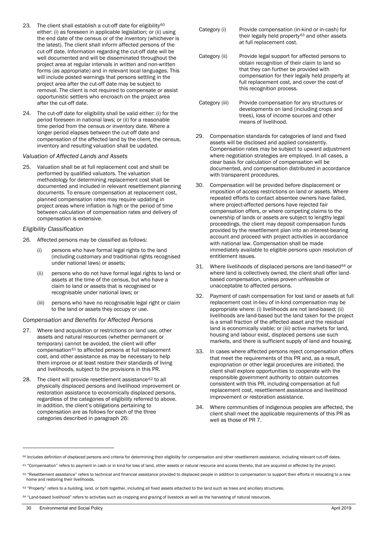- 23. The client shall establish a cut-off date for eligibility $60$ either: (i) as foreseen in applicable legislation; or (ii) using the end date of the census or of the inventory (whichever is the latest). The client shall inform affected persons of the cut-off date. Information regarding the cut-off date will be well documented and will be disseminated throughout the project area at regular intervals in written and non-written forms (as appropriate) and in relevant local languages. This will include posted warnings that persons settling in the project area after the cut-off date may be subject to removal. The client is not required to compensate or assist opportunistic settlers who encroach on the project area after the cut-off date.
- 24. The cut-off date for eligibility shall be valid either: (i) for the period foreseen in national laws; or (ii) for a reasonable time period from the census or inventory date. Where a longer period elapses between the cut-off date and compensation of the affected land by the client, the census, inventory and resulting valuation shall be updated.

### *Valuation of Affected Lands and Assets*

25. Valuation shall be at full replacement cost and shall be performed by qualified valuators. The valuation methodology for determining replacement cost shall be documented and included in relevant resettlement planning documents. To ensure compensation at replacement cost, planned compensation rates may require updating in project areas where inflation is high or the period of time between calculation of compensation rates and delivery of compensation is extensive.

#### *Eligibility Classification*

- 26. Affected persons may be classified as follows:
	- persons who have formal legal rights to the land (including customary and traditional rights recognised under national laws) or assets;
	- (ii) persons who do not have formal legal rights to land or assets at the time of the census, but who have a claim to land or assets that is recognised or recognisable under national laws; or
	- (iii) persons who have no recognisable legal right or claim to the land or assets they occupy or use.
- *Compensation and Benefits for Affected Persons*
- 27. Where land acquisition or restrictions on land use, other assets and natural resources (whether permanent or temporary) cannot be avoided, the client will offer compensation<sup>[61](#page-31-1)</sup> to affected persons at full replacement cost, and other assistance as may be necessary to help them improve or at least restore their standards of living and livelihoods, subject to the provisions in this PR.
- 28. The client will provide resettlement assistance<sup>[62](#page-31-2)</sup> to all physically displaced persons and livelihood improvement or restoration assistance to economically displaced persons, regardless of the categories of eligibility referred to above. In addition, the client's obligations pertaining to compensation are as follows for each of the three categories described in paragraph 26:
- Category (i) Provide compensation (in-kind or in-cash) for their legally held property<sup>[63](#page-31-3)</sup> and other assets at full replacement cost.
- Category (ii) Provide legal support for affected persons to obtain recognition of their claim to land so that they can further be provided with compensation for their legally held property at full replacement cost, and cover the cost of this recognition process.
- Category (iii) Provide compensation for any structures or developments on land (including crops and trees), loss of income sources and other means of livelihood.
- 29. Compensation standards for categories of land and fixed assets will be disclosed and applied consistently. Compensation rates may be subject to upward adjustment where negotiation strategies are employed. In all cases, a clear basis for calculation of compensation will be documented, and compensation distributed in accordance with transparent procedures.
- 30. Compensation will be provided before displacement or imposition of access restrictions on land or assets. Where repeated efforts to contact absentee owners have failed, where project-affected persons have rejected fair compensation offers, or where competing claims to the ownership of lands or assets are subject to lengthy legal proceedings, the client may deposit compensation funds provided by the resettlement plan into an interest-bearing account and proceed with project activities in accordance with national law. Compensation shall be made immediately available to eligible persons upon resolution of entitlement issues.
- 31. Where livelihoods of displaced persons are land-based<sup>[64](#page-31-4)</sup> or where land is collectively owned, the client shall offer landbased compensation, unless proven unfeasible or unacceptable to affected persons.
- 32. Payment of cash compensation for lost land or assets at full replacement cost in-lieu of in-kind compensation may be appropriate where: (i) livelihoods are not land-based; (ii) livelihoods are land-based but the land taken for the project is a small fraction of the affected asset and the residual land is economically viable; or (iii) active markets for land, housing and labour exist, displaced persons use such markets, and there is sufficient supply of land and housing.
- 33. In cases where affected persons reject compensation offers that meet the requirements of this PR and, as a result, expropriation or other legal procedures are initiated, the client shall explore opportunities to cooperate with the responsible government authority to obtain outcomes consistent with this PR, including compensation at full replacement cost, resettlement assistance and livelihood improvement or restoration assistance.
- 34. Where communities of indigenous peoples are affected, the client shall meet the applicable requirements of this PR as well as those of PR 7.

<span id="page-31-0"></span><sup>60</sup> Includes definition of displaced persons and criteria for determining their eligibility for compensation and other resettlement assistance, including relevant cut-off dates.

<span id="page-31-1"></span><sup>61 &</sup>quot;Compensation" refers to payment in cash or in kind for loss of land, other assets or natural resource and access thereto, that are acquired or affected by the project.

<span id="page-31-2"></span><sup>62 &</sup>quot;Resettlement assistance" refers to technical and financial assistance provided to displaced people in addition to compensation to support their efforts in relocating to a new home and restoring their livelihoods.

<span id="page-31-3"></span><sup>63 &</sup>quot;Property" refers to a building, land, or both together, including all fixed assets attached to the land such as trees and ancillary structures.

<span id="page-31-4"></span><sup>64</sup> "Land-based livelihood" refers to activities such as cropping and grazing of livestock as well as the harvesting of natural resources.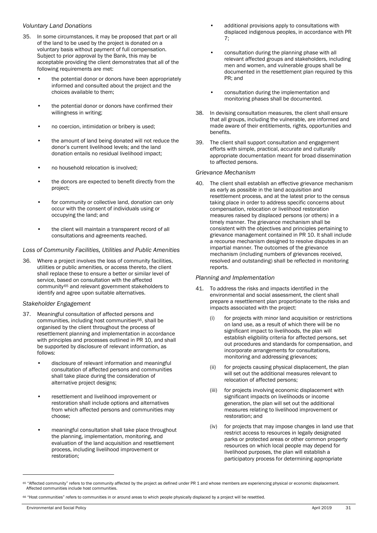# *Voluntary Land Donations*

- 35. In some circumstances, it may be proposed that part or all of the land to be used by the project is donated on a voluntary basis without payment of full compensation. Subject to prior approval by the Bank, this may be acceptable providing the client demonstrates that all of the following requirements are met:
	- the potential donor or donors have been appropriately informed and consulted about the project and the choices available to them;
	- the potential donor or donors have confirmed their willingness in writing;
	- no coercion, intimidation or bribery is used;
	- the amount of land being donated will not reduce the donor's current livelihood levels; and the land donation entails no residual livelihood impact;
	- no household relocation is involved;
	- the donors are expected to benefit directly from the project;
	- for community or collective land, donation can only occur with the consent of individuals using or occupying the land; and
	- the client will maintain a transparent record of all consultations and agreements reached.

### *Loss of Community Facilities, Utilities and Public Amenities*

36. Where a project involves the loss of community facilities, utilities or public amenities, or access thereto, the client shall replace these to ensure a better or similar level of service, based on consultation with the affected community[65](#page-32-0) and relevant government stakeholders to identify and agree upon suitable alternatives.

### *Stakeholder Engagement*

- 37. Meaningful consultation of affected persons and communities, including host communities<sup>[66](#page-32-1)</sup>, shall be organised by the client throughout the process of resettlement planning and implementation in accordance with principles and processes outlined in PR 10, and shall be supported by disclosure of relevant information, as follows:
	- disclosure of relevant information and meaningful consultation of affected persons and communities shall take place during the consideration of alternative project designs;
	- resettlement and livelihood improvement or restoration shall include options and alternatives from which affected persons and communities may choose;
	- meaningful consultation shall take place throughout the planning, implementation, monitoring, and evaluation of the land acquisition and resettlement process, including livelihood improvement or restoration;
- additional provisions apply to consultations with displaced indigenous peoples, in accordance with PR 7;
- consultation during the planning phase with all relevant affected groups and stakeholders, including men and women, and vulnerable groups shall be documented in the resettlement plan required by this PR; and
- consultation during the implementation and monitoring phases shall be documented.
- 38. In devising consultation measures, the client shall ensure that all groups, including the vulnerable, are informed and made aware of their entitlements, rights, opportunities and benefits.
- 39. The client shall support consultation and engagement efforts with simple, practical, accurate and culturally appropriate documentation meant for broad dissemination to affected persons.

#### *Grievance Mechanism*

40. The client shall establish an effective grievance mechanism as early as possible in the land acquisition and resettlement process, and at the latest prior to the census taking place in order to address specific concerns about compensation, relocation or livelihood restoration measures raised by displaced persons (or others) in a timely manner. The grievance mechanism shall be consistent with the objectives and principles pertaining to grievance management contained in PR 10. It shall include a recourse mechanism designed to resolve disputes in an impartial manner. The outcomes of the grievance mechanism (including numbers of grievances received, resolved and outstanding) shall be reflected in monitoring reports.

#### *Planning and Implementation*

- 41. To address the risks and impacts identified in the environmental and social assessment, the client shall prepare a resettlement plan proportionate to the risks and impacts associated with the project:
	- (i) for projects with minor land acquisition or restrictions on land use, as a result of which there will be no significant impact to livelihoods, the plan will establish eligibility criteria for affected persons, set out procedures and standards for compensation, and incorporate arrangements for consultations, monitoring and addressing grievances;
	- (ii) for projects causing physical displacement, the plan will set out the additional measures relevant to relocation of affected persons;
	- (iii) for projects involving economic displacement with significant impacts on livelihoods or income generation, the plan will set out the additional measures relating to livelihood improvement or restoration; and
	- (iv) for projects that may impose changes in land use that restrict access to resources in legally designated parks or protected areas or other common property resources on which local people may depend for livelihood purposes, the plan will establish a participatory process for determining appropriate

<span id="page-32-0"></span><sup>65</sup> "Affected community" refers to the community affected by the project as defined under PR 1 and whose members are experiencing physical or economic displacement. Affected communities include host communities.

<span id="page-32-1"></span><sup>66</sup> "Host communities" refers to communities in or around areas to which people physically displaced by a project will be resettled.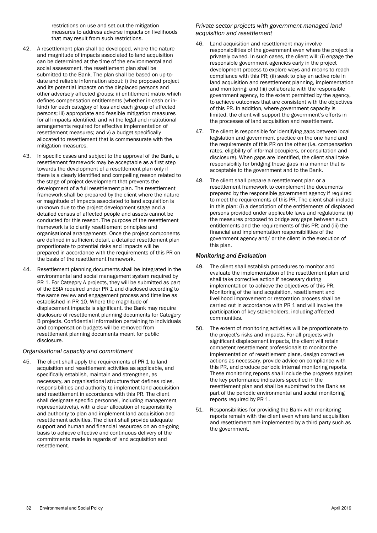restrictions on use and set out the mitigation measures to address adverse impacts on livelihoods that may result from such restrictions.

- 42. A resettlement plan shall be developed, where the nature and magnitude of impacts associated to land acquisition can be determined at the time of the environmental and social assessment, the resettlement plan shall be submitted to the Bank. The plan shall be based on up-todate and reliable information about: i) the proposed project and its potential impacts on the displaced persons and other adversely affected groups; ii) entitlement matrix which defines compensation entitlements (whether in-cash or inkind) for each category of loss and each group of affected persons; iii) appropriate and feasible mitigation measures for all impacts identified; and iv) the legal and institutional arrangements required for effective implementation of resettlement measures; and v) a budget specifically allocated to resettlement that is commensurate with the mitigation measures.
- 43. In specific cases and subject to the approval of the Bank, a resettlement framework may be acceptable as a first step towards the development of a resettlement plan only if there is a clearly identified and compelling reason related to the stage of project development that prevents the development of a full resettlement plan. The resettlement framework shall be prepared by the client where the nature or magnitude of impacts associated to land acquisition is unknown due to the project development stage and a detailed census of affected people and assets cannot be conducted for this reason. The purpose of the resettlement framework is to clarify resettlement principles and organisational arrangements. Once the project components are defined in sufficient detail, a detailed resettlement plan proportionate to potential risks and impacts will be prepared in accordance with the requirements of this PR on the basis of the resettlement framework.
- 44. Resettlement planning documents shall be integrated in the environmental and social management system required by PR 1. For Category A projects, they will be submitted as part of the ESIA required under PR 1 and disclosed according to the same review and engagement process and timeline as established in PR 10. Where the magnitude of displacement impacts is significant, the Bank may require disclosure of resettlement planning documents for Category B projects. Confidential information pertaining to individuals and compensation budgets will be removed from resettlement planning documents meant for public disclosure.

### *Organisational capacity and commitment*

45. The client shall apply the requirements of PR 1 to land acquisition and resettlement activities as applicable, and specifically establish, maintain and strengthen, as necessary, an organisational structure that defines roles, responsibilities and authority to implement land acquisition and resettlement in accordance with this PR. The client shall designate specific personnel, including management representative(s), with a clear allocation of responsibility and authority to plan and implement land acquisition and resettlement activities. The client shall provide adequate support and human and financial resources on an on-going basis to achieve effective and continuous delivery of the commitments made in regards of land acquisition and resettlement.

*Private-sector projects with government-managed land acquisition and resettlement*

- 46. Land acquisition and resettlement may involve responsibilities of the government even where the project is privately owned. In such cases, the client will: (i) engage the responsible government agencies early in the project development process to explore ways and means to reach compliance with this PR; (ii) seek to play an active role in land acquisition and resettlement planning, implementation and monitoring; and (iii) collaborate with the responsible government agency, to the extent permitted by the agency, to achieve outcomes that are consistent with the objectives of this PR. In addition, where government capacity is limited, the client will support the government's efforts in the processes of land acquisition and resettlement.
- 47. The client is responsible for identifying gaps between local legislation and government practice on the one hand and the requirements of this PR on the other (i.e. compensation rates, eligibility of informal occupiers, or consultation and disclosure). When gaps are identified, the client shall take responsibility for bridging these gaps in a manner that is acceptable to the government and to the Bank.
- 48. The client shall prepare a resettlement plan or a resettlement framework to complement the documents prepared by the responsible government agency if required to meet the requirements of this PR. The client shall include in this plan: (i) a description of the entitlements of displaced persons provided under applicable laws and regulations; (ii) the measures proposed to bridge any gaps between such entitlements and the requirements of this PR; and (iii) the financial and implementation responsibilities of the government agency and/ or the client in the execution of this plan.

#### *Monitoring and Evaluation*

- 49. The client shall establish procedures to monitor and evaluate the implementation of the resettlement plan and shall take corrective action if necessary during implementation to achieve the objectives of this PR. Monitoring of the land acquisition, resettlement and livelihood improvement or restoration process shall be carried out in accordance with PR 1 and will involve the participation of key stakeholders, including affected communities.
- 50. The extent of monitoring activities will be proportionate to the project's risks and impacts. For all projects with significant displacement impacts, the client will retain competent resettlement professionals to monitor the implementation of resettlement plans, design corrective actions as necessary, provide advice on compliance with this PR, and produce periodic internal monitoring reports. These monitoring reports shall include the progress against the key performance indicators specified in the resettlement plan and shall be submitted to the Bank as part of the periodic environmental and social monitoring reports required by PR 1.
- 51. Responsibilities for providing the Bank with monitoring reports remain with the client even where land acquisition and resettlement are implemented by a third party such as the government.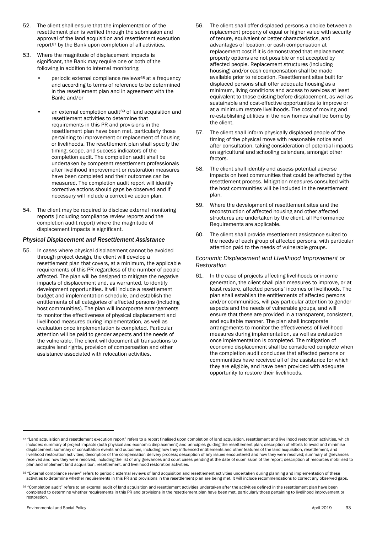- 52. The client shall ensure that the implementation of the resettlement plan is verified through the submission and approval of the land acquisition and resettlement execution report<sup>[67](#page-34-0)</sup> by the Bank upon completion of all activities.
- 53. Where the magnitude of displacement impacts is significant, the Bank may require one or both of the following in addition to internal monitoring:
	- periodic external compliance reviews<sup>[68](#page-34-1)</sup> at a frequency and according to terms of reference to be determined in the resettlement plan and in agreement with the Bank; and/or
	- an external completion audit<sup>[69](#page-34-2)</sup> of land acquisition and resettlement activities to determine that requirements in this PR and provisions in the resettlement plan have been met, particularly those pertaining to improvement or replacement of housing or livelihoods. The resettlement plan shall specify the timing, scope, and success indicators of the completion audit. The completion audit shall be undertaken by competent resettlement professionals after livelihood improvement or restoration measures have been completed and their outcomes can be measured. The completion audit report will identify corrective actions should gaps be observed and if necessary will include a corrective action plan.
- 54. The client may be required to disclose external monitoring reports (including compliance review reports and the completion audit report) where the magnitude of displacement impacts is significant.

#### *Physical Displacement and Resettlement Assistance*

55. In cases where physical displacement cannot be avoided through project design, the client will develop a resettlement plan that covers, at a minimum, the applicable requirements of this PR regardless of the number of people affected. The plan will be designed to mitigate the negative impacts of displacement and, as warranted, to identify development opportunities. It will include a resettlement budget and implementation schedule, and establish the entitlements of all categories of affected persons (including host communities). The plan will incorporate arrangements to monitor the effectiveness of physical displacement and livelihood measures during implementation, as well as evaluation once implementation is completed. Particular attention will be paid to gender aspects and the needs of the vulnerable. The client will document all transactions to acquire land rights, provision of compensation and other assistance associated with relocation activities.

- 56. The client shall offer displaced persons a choice between a replacement property of equal or higher value with security of tenure, equivalent or better characteristics, and advantages of location, or cash compensation at replacement cost if it is demonstrated that replacement property options are not possible or not accepted by affected people. Replacement structures (including housing) and/or cash compensation shall be made available prior to relocation. Resettlement sites built for displaced persons shall offer adequate housing as a minimum, living conditions and access to services at least equivalent to those existing before displacement, as well as sustainable and cost-effective opportunities to improve or at a minimum restore livelihoods. The cost of moving and re-establishing utilities in the new homes shall be borne by the client.
- 57. The client shall inform physically displaced people of the timing of the physical move with reasonable notice and after consultation, taking consideration of potential impacts on agricultural and schooling calendars, amongst other factors.
- 58. The client shall identify and assess potential adverse impacts on host communities that could be affected by the resettlement process. Mitigation measures consulted with the host communities will be included in the resettlement plan.
- 59. Where the development of resettlement sites and the reconstruction of affected housing and other affected structures are undertaken by the client, all Performance Requirements are applicable.
- 60. The client shall provide resettlement assistance suited to the needs of each group of affected persons, with particular attention paid to the needs of vulnerable groups.

#### *Economic Displacement and Livelihood Improvement or Restoration*

61. In the case of projects affecting livelihoods or income generation, the client shall plan measures to improve, or at least restore, affected persons' incomes or livelihoods. The plan shall establish the entitlements of affected persons and/or communities, will pay particular attention to gender aspects and the needs of vulnerable groups, and will ensure that these are provided in a transparent, consistent, and equitable manner. The plan shall incorporate arrangements to monitor the effectiveness of livelihood measures during implementation, as well as evaluation once implementation is completed. The mitigation of economic displacement shall be considered complete when the completion audit concludes that affected persons or communities have received all of the assistance for which they are eligible, and have been provided with adequate opportunity to restore their livelihoods.

<span id="page-34-0"></span><sup>67</sup> "Land acquisition and resettlement execution report" refers to a report finalised upon completion of land acquisition, resettlement and livelihood restoration activities, which includes: summary of project impacts (both physical and economic displacement) and principles guiding the resettlement plan; description of efforts to avoid and minimise displacement; summary of consultation events and outcomes, including how they influenced entitlements and other features of the land acquisition, resettlement, and livelihood restoration activities; description of the compensation delivery process; description of any issues encountered and how they were resolved; summary of grievances received and how they were resolved, including the list of any grievances and court cases pending at the date of submission of the report; description of resources mobilised to plan and implement land acquisition, resettlement, and livelihood restoration activities.

<span id="page-34-1"></span><sup>68 &</sup>quot;External compliance review" refers to periodic external reviews of land acquisition and resettlement activities undertaken during planning and implementation of these activities to determine whether requirements in this PR and provisions in the resettlement plan are being met. It will include recommendations to correct any observed gaps.

<span id="page-34-2"></span><sup>69</sup> "Completion audit" refers to an external audit of land acquisition and resettlement activities undertaken after the activities defined in the resettlement plan have been completed to determine whether requirements in this PR and provisions in the resettlement plan have been met, particularly those pertaining to livelihood improvement or restoration.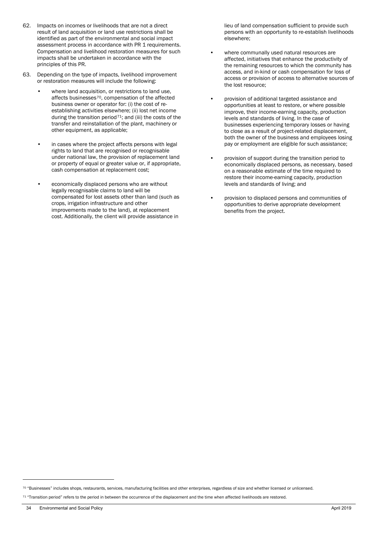- 62. Impacts on incomes or livelihoods that are not a direct result of land acquisition or land use restrictions shall be identified as part of the environmental and social impact assessment process in accordance with PR 1 requirements. Compensation and livelihood restoration measures for such impacts shall be undertaken in accordance with the principles of this PR.
- 63. Depending on the type of impacts, livelihood improvement or restoration measures will include the following:
	- where land acquisition, or restrictions to land use, affects businesses[70,](#page-35-0) compensation of the affected business owner or operator for: (i) the cost of reestablishing activities elsewhere; (ii) lost net income during the transition period<sup> $71$ </sup>; and (iii) the costs of the transfer and reinstallation of the plant, machinery or other equipment, as applicable;
	- in cases where the project affects persons with legal rights to land that are recognised or recognisable under national law, the provision of replacement land or property of equal or greater value or, if appropriate, cash compensation at replacement cost;
	- economically displaced persons who are without legally recognisable claims to land will be compensated for lost assets other than land (such as crops, irrigation infrastructure and other improvements made to the land), at replacement cost. Additionally, the client will provide assistance in

lieu of land compensation sufficient to provide such persons with an opportunity to re-establish livelihoods elsewhere;

- where communally used natural resources are affected, initiatives that enhance the productivity of the remaining resources to which the community has access, and in-kind or cash compensation for loss of access or provision of access to alternative sources of the lost resource;
- provision of additional targeted assistance and opportunities at least to restore, or where possible improve, their income-earning capacity, production levels and standards of living. In the case of businesses experiencing temporary losses or having to close as a result of project-related displacement, both the owner of the business and employees losing pay or employment are eligible for such assistance;
- provision of support during the transition period to economically displaced persons, as necessary, based on a reasonable estimate of the time required to restore their income-earning capacity, production levels and standards of living; and
- provision to displaced persons and communities of opportunities to derive appropriate development benefits from the project.

<span id="page-35-0"></span><sup>70</sup> "Businesses" includes shops, restaurants, services, manufacturing facilities and other enterprises, regardless of size and whether licensed or unlicensed.

<span id="page-35-1"></span><sup>71</sup> "Transition period" refers to the period in between the occurrence of the displacement and the time when affected livelihoods are restored.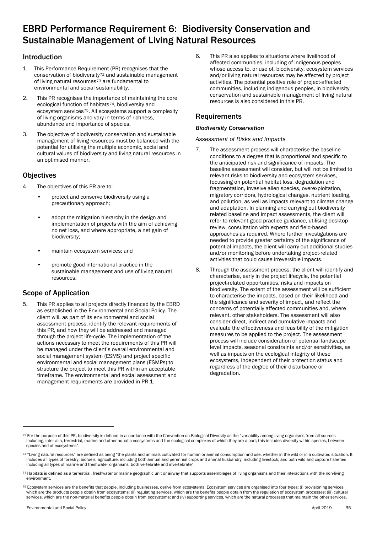# EBRD Performance Requirement 6: Biodiversity Conservation and Sustainable Management of Living Natural Resources

# Introduction

- 1. This Performance Requirement (PR) recognises that the conservation of biodiversity[72](#page-36-0) and sustainable management of living natural resources<sup>[73](#page-36-1)</sup> are fundamental to environmental and social sustainability.
- 2. This PR recognises the importance of maintaining the core ecological function of habitats[74](#page-36-2), biodiversity and ecosystem services[75.](#page-36-3) All ecosystems support a complexity of living organisms and vary in terms of richness, abundance and importance of species.
- 3. The objective of biodiversity conservation and sustainable management of living resources must be balanced with the potential for utilising the multiple economic, social and cultural values of biodiversity and living natural resources in an optimised manner.

# **Objectives**

- 4. The objectives of this PR are to:
	- protect and conserve biodiversity using a precautionary approach;
	- adopt the mitigation hierarchy in the design and implementation of projects with the aim of achieving no net loss, and where appropriate, a net gain of biodiversity;
	- maintain ecosystem services; and
	- promote good international practice in the sustainable management and use of living natural resources.

# Scope of Application

5. This PR applies to all projects directly financed by the EBRD as established in the Environmental and Social Policy. The client will, as part of its environmental and social assessment process, identify the relevant requirements of this PR, and how they will be addressed and managed through the project life-cycle. The implementation of the actions necessary to meet the requirements of this PR will be managed under the client's overall environmental and social management system (ESMS) and project specific environmental and social management plans (ESMPs) to structure the project to meet this PR within an acceptable timeframe. The environmental and social assessment and management requirements are provided in PR 1.

6. This PR also applies to situations where livelihood of affected communities, including of indigenous peoples whose access to, or use of, biodiversity, ecosystem services and/or living natural resources may be affected by project activities. The potential positive role of project-affected communities, including indigenous peoples, in biodiversity conservation and sustainable management of living natural resources is also considered in this PR.

# **Requirements**

# *Biodiversity Conservation*

### *Assessment of Risks and Impacts*

- 7. The assessment process will characterise the baseline conditions to a degree that is proportional and specific to the anticipated risk and significance of impacts. The baseline assessment will consider, but will not be limited to relevant risks to biodiversity and ecosystem services, focussing on potential habitat loss, degradation and fragmentation, invasive alien species, overexploitation, migratory corridors, hydrological changes, nutrient loading, and pollution, as well as impacts relevant to climate change and adaptation. In planning and carrying out biodiversity related baseline and impact assessments, the client will refer to relevant good practice guidance, utilising desktop review, consultation with experts and field-based approaches as required. Where further investigations are needed to provide greater certainty of the significance of potential impacts, the client will carry out additional studies and/or monitoring before undertaking project-related activities that could cause irreversible impacts.
- 8. Through the assessment process, the client will identify and characterise, early in the project lifecycle, the potential project-related opportunities, risks and impacts on biodiversity. The extent of the assessment will be sufficient to characterise the impacts, based on their likelihood and the significance and severity of impact, and reflect the concerns of potentially affected communities and, where relevant, other stakeholders. The assessment will also consider direct, indirect and cumulative impacts and evaluate the effectiveness and feasibility of the mitigation measures to be applied to the project. The assessment process will include consideration of potential landscape level impacts, seasonal constraints and/or sensitivities, as well as impacts on the ecological integrity of these ecosystems, independent of their protection status and regardless of the degree of their disturbance or degradation.

<span id="page-36-0"></span><sup>72</sup> For the purpose of this PR, biodiversity is defined in accordance with the Convention on Biological Diversity as the "variability among living organisms from all sources including, inter alia, terrestrial, marine and other aquatic ecosystems and the ecological complexes of which they are a part; this includes diversity within species, between species and of ecosystems".

<span id="page-36-1"></span><sup>73 &</sup>quot;Living natural resources" are defined as being "the plants and animals cultivated for human or animal consumption and use, whether in the wild or in a cultivated situation. It includes all types of forestry, biofuels, agriculture, including both annual and perennial crops and animal husbandry, including livestock; and both wild and capture fisheries including all types of marine and freshwater organisms, both vertebrate and invertebrate".

<span id="page-36-2"></span><sup>74</sup> Habitats is defined as a terrestrial, freshwater or marine geographic unit or airway that supports assemblages of living organisms and their interactions with the non-living environment.

<span id="page-36-3"></span><sup>75</sup> Ecosystem services are the benefits that people, including businesses, derive from ecosystems. Ecosystem services are organised into four types: (i) provisioning services, which are the products people obtain from ecosystems; (ii) regulating services, which are the benefits people obtain from the regulation of ecosystem processes; (iii) cultural services, which are the non-material benefits people obtain from ecosystems; and (iv) supporting services, which are the natural processes that maintain the other services.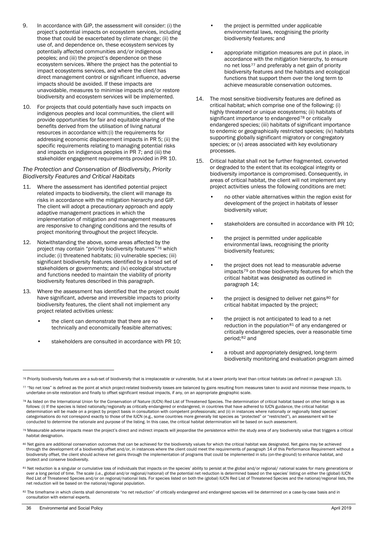- 9. In accordance with GIP, the assessment will consider: (i) the project's potential impacts on ecosystem services, including those that could be exacerbated by climate change; (ii) the use of, and dependence on, these ecosystem services by potentially affected communities and/or indigenous peoples; and (iii) the project's dependence on these ecosystem services. Where the project has the potential to impact ecosystems services, and where the client has direct management control or significant influence, adverse impacts should be avoided. If these impacts are unavoidable, measures to minimise impacts and/or restore biodiversity and ecosystem services will be implemented.
- 10. For projects that could potentially have such impacts on indigenous peoples and local communities, the client will provide opportunities for fair and equitable sharing of the benefits derived from the utilisation of living natural resources in accordance with:(i) the requirements for addressing economic displacement impacts in PR 5; (ii) the specific requirements relating to managing potential risks and impacts on indigenous peoples in PR 7; and (iii) the stakeholder engagement requirements provided in PR 10.

#### *The Protection and Conservation of Biodiversity, Priority Biodiversity Features and Critical Habitats*

- 11. Where the assessment has identified potential project related impacts to biodiversity, the client will manage its risks in accordance with the mitigation hierarchy and GIP. The client will adopt a precautionary approach and apply adaptive management practices in which the implementation of mitigation and management measures are responsive to changing conditions and the results of project monitoring throughout the project lifecycle.
- 12. Notwithstanding the above, some areas affected by the project may contain "priority biodiversity features"[76](#page-37-0) which include: (i) threatened habitats; (ii) vulnerable species; (iii) significant biodiversity features identified by a broad set of stakeholders or governments; and (iv) ecological structure and functions needed to maintain the viability of priority biodiversity features described in this paragraph.
- 13. Where the assessment has identified that the project could have significant, adverse and irreversible impacts to priority biodiversity features, the client shall not implement any project related activities unless:
	- the client can demonstrate that there are no technically and economically feasible alternatives;
	- stakeholders are consulted in accordance with PR 10:
- the project is permitted under applicable environmental laws, recognising the priority biodiversity features; and
- appropriate mitigation measures are put in place, in accordance with the mitigation hierarchy, to ensure no net loss[77](#page-37-1) and preferably a net gain of priority biodiversity features and the habitats and ecological functions that support them over the long term to achieve measurable conservation outcomes.
- 14. The most sensitive biodiversity features are defined as critical habitat; which comprise one of the following: (i) highly threatened or unique ecosystems; (ii) habitats of significant importance to endangered<sup>[78](#page-37-2)</sup> or critically endangered species; (iii) habitats of significant importance to endemic or geographically restricted species; (iv) habitats supporting globally significant migratory or congregatory species; or (v) areas associated with key evolutionary processes.
- 15. Critical habitat shall not be further fragmented, converted or degraded to the extent that its ecological integrity or biodiversity importance is compromised. Consequently, in areas of critical habitat, the client will not implement any project activities unless the following conditions are met:
	- no other viable alternatives within the region exist for development of the project in habitats of lesser biodiversity value;
	- stakeholders are consulted in accordance with PR 10;
	- the project is permitted under applicable environmental laws, recognising the priority biodiversity features;
	- the project does not lead to measurable adverse impacts[79](#page-37-3) on those biodiversity features for which the critical habitat was designated as outlined in paragraph 14;
	- the project is designed to deliver net gains<sup>[80](#page-37-4)</sup> for critical habitat impacted by the project;
	- the project is not anticipated to lead to a net reduction in the population<sup>[81](#page-37-5)</sup> of any endangered or critically endangered species, over a reasonable time period;[82](#page-37-6) and
	- a robust and appropriately designed, long-term biodiversity monitoring and evaluation program aimed

<span id="page-37-0"></span><sup>76</sup> Priority biodiversity features are a sub-set of biodiversity that is irreplaceable or vulnerable, but at a lower priority level than critical habitats (as defined in paragraph 13).

<span id="page-37-1"></span><sup>77</sup> "No net loss" is defined as the point at which project-related biodiversity losses are balanced by gains resulting from measures taken to avoid and minimise these impacts, to undertake on-site restoration and finally to offset significant residual impacts, if any, on an appropriate geographic scale.

<span id="page-37-2"></span><sup>78</sup> As listed on the International Union for the Conservation of Nature (IUCN) Red List of Threatened Species. The determination of critical habitat based on other listings is as follows: (i) If the species is listed nationally/regionally as critically endangered or endangered, in countries that have adhered to IUCN guidance, the critical habitat determination will be made on a project by project basis in consultation with competent professionals; and (ii) in instances where nationally or regionally listed species' categorisations do not correspond exactly to those of the IUCN (e.g., some countries more generally list species as "protected" or "restricted"), an assessment will be conducted to determine the rationale and purpose of the listing. In this case, the critical habitat determination will be based on such assessment.

<span id="page-37-3"></span><sup>79</sup> Measurable adverse impacts mean the project's direct and indirect impacts will jeopardise the persistence within the study area of any biodiversity value that triggers a critical habitat designation.

<span id="page-37-4"></span><sup>80</sup> Net gains are additional conservation outcomes that can be achieved for the biodiversity values for which the critical habitat was designated. Net gains may be achieved through the development of a biodiversity offset and/or, in instances where the client could meet the requirements of paragraph 14 of this Performance Requirement without a biodiversity offset, the client should achieve net gains through the implementation of programs that could be implemented in situ (on-the-ground) to enhance habitat, and protect and conserve biodiversity.

<span id="page-37-5"></span><sup>81</sup> Net reduction is a singular or cumulative loss of individuals that impacts on the species' ability to persist at the global and/or regional/ national scales for many generations or over a long period of time. The scale (i.e., global and/or regional/national) of the potential net reduction is determined based on the species' listing on either the (global) IUCN Red List of Threatened Species and/or on regional/national lists. For species listed on both the (global) IUCN Red List of Threatened Species and the national/regional lists, the net reduction will be based on the national/regional population.

<span id="page-37-6"></span><sup>82</sup> The timeframe in which clients shall demonstrate "no net reduction" of critically endangered and endangered species will be determined on a case-by-case basis and in consultation with external experts.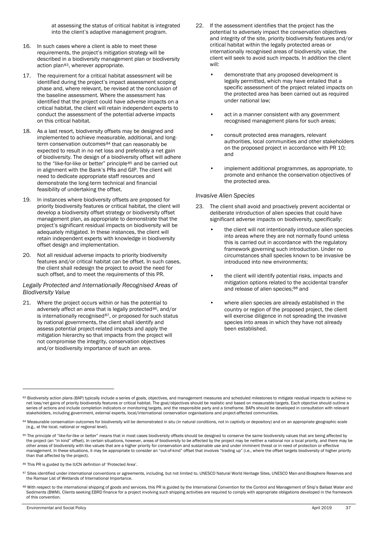at assessing the status of critical habitat is integrated into the client's adaptive management program.

- 16. In such cases where a client is able to meet these requirements, the project's mitigation strategy will be described in a biodiversity management plan or biodiversity action plan[83](#page-38-0), wherever appropriate.
- 17. The requirement for a critical habitat assessment will be identified during the project's impact assessment scoping phase and, where relevant, be revised at the conclusion of the baseline assessment. Where the assessment has identified that the project could have adverse impacts on a critical habitat, the client will retain independent experts to conduct the assessment of the potential adverse impacts on this critical habitat.
- 18. As a last resort, biodiversity offsets may be designed and implemented to achieve measurable, additional, and long-term conservation outcomes<sup>[84](#page-38-1)</sup> that can reasonably be expected to result in no net loss and preferably a net gain of biodiversity. The design of a biodiversity offset will adhere to the "like-for-like or better" principle<sup>[85](#page-38-2)</sup> and be carried out in alignment with the Bank's PRs and GIP. The client will need to dedicate appropriate staff resources and demonstrate the long-term technical and financial feasibility of undertaking the offset.
- 19. In instances where biodiversity offsets are proposed for priority biodiversity features or critical habitat, the client will develop a biodiversity offset strategy or biodiversity offset management plan, as appropriate to demonstrate that the project's significant residual impacts on biodiversity will be adequately mitigated. In these instances, the client will retain independent experts with knowledge in biodiversity offset design and implementation.
- 20. Not all residual adverse impacts to priority biodiversity features and/or critical habitat can be offset. In such cases, the client shall redesign the project to avoid the need for such offset, and to meet the requirements of this PR.

#### *Legally Protected and Internationally Recognised Areas of Biodiversity Value*

21. Where the project occurs within or has the potential to adversely affect an area that is legally protected<sup>[86](#page-38-3)</sup>, and/or is internationally recognised<sup>87</sup>, or proposed for such status by national governments, the client shall identify and assess potential project-related impacts and apply the mitigation hierarchy so that impacts from the project will not compromise the integrity, conservation objectives and/or biodiversity importance of such an area.

- 22. If the assessment identifies that the project has the potential to adversely impact the conservation objectives and integrity of the site, priority biodiversity features and/or critical habitat within the legally protected areas or internationally recognised areas of biodiversity value, the client will seek to avoid such impacts. In addition the client will:
	- demonstrate that any proposed development is legally permitted, which may have entailed that a specific assessment of the project related impacts on the protected area has been carried out as required under national law;
	- act in a manner consistent with any government recognised management plans for such areas;
	- consult protected area managers, relevant authorities, local communities and other stakeholders on the proposed project in accordance with PR 10; and
	- implement additional programmes, as appropriate, to promote and enhance the conservation objectives of the protected area.

### *Invasive Alien Species*

- 23. The client shall avoid and proactively prevent accidental or deliberate introduction of alien species that could have significant adverse impacts on biodiversity, specifically:
	- the client will not intentionally introduce alien species into areas where they are not normally found unless this is carried out in accordance with the regulatory framework governing such introduction. Under no circumstances shall species known to be invasive be introduced into new environments;
	- the client will identify potential risks, impacts and mitigation options related to the accidental transfer and release of alien species;[88](#page-38-5) and
	- where alien species are already established in the country or region of the proposed project, the client will exercise diligence in not spreading the invasive species into areas in which they have not already been established.

<span id="page-38-0"></span><sup>83</sup> Biodiversity action plans (BAP) typically include a series of goals, objectives, and management measures and scheduled milestones to mitigate residual impacts to achieve no net loss/net gains of priority biodiversity features or critical habitat. The goal/objectives should be realistic and based on measurable targets. Each objective should outline a series of actions and include completion indicators or monitoring targets, and the responsible party and a timeframe. BAPs should be developed in consultation with relevant stakeholders, including government, external experts, local/international conservation organisations and project-affected communities.

<span id="page-38-1"></span><sup>84</sup> Measurable conservation outcomes for biodiversity will be demonstrated in situ (in natural conditions, not in captivity or depository) and on an appropriate geographic scale (e.g., at the local, national or regional level).

<span id="page-38-2"></span><sup>85</sup> The principle of "like-for-like or better" means that in most cases biodiversity offsets should be designed to conserve the same biodiversity values that are being affected by the project (an "in kind" offset). In certain situations, however, areas of biodiversity to be affected by the project may be neither a national nor a local priority, and there may be other areas of biodiversity with like values that are a higher priority for conservation and sustainable use and under imminent threat or in need of protection or effective management. In these situations, it may be appropriate to consider an "out-of-kind" offset that involves "trading up" (i.e., where the offset targets biodiversity of higher priority than that affected by the project).

<span id="page-38-3"></span><sup>86</sup> This PR is guided by the IUCN definition of 'Protected Area'.

<span id="page-38-4"></span><sup>87</sup> Sites identified under international conventions or agreements, including, but not limited to, UNESCO Natural World Heritage Sites, UNESCO Man-and-Biosphere Reserves and the Ramsar List of Wetlands of International Importance.

<span id="page-38-5"></span><sup>88</sup> With respect to the international shipping of goods and services, this PR is guided by the International Convention for the Control and Management of Ship's Ballast Water and Sediments (BWM). Clients seeking EBRD finance for a project involving such shipping activities are required to comply with appropriate obligations developed in the framework of this convention.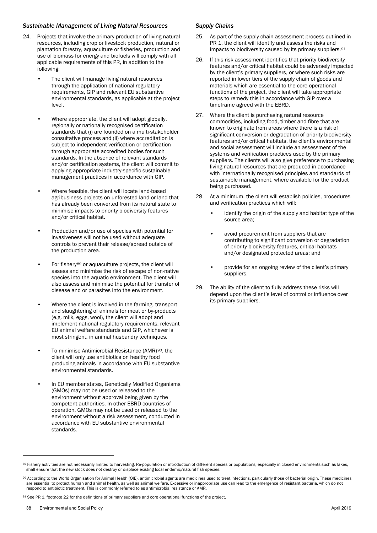#### *Sustainable Management of Living Natural Resources*

- 24. Projects that involve the primary production of living natural resources, including crop or livestock production, natural or plantation forestry, aquaculture or fisheries, production and use of biomass for energy and biofuels will comply with all applicable requirements of this PR, in addition to the following:
	- The client will manage living natural resources through the application of national regulatory requirements, GIP and relevant EU substantive environmental standards, as applicable at the project level.
	- Where appropriate, the client will adopt globally, regionally or nationally recognised certification standards that (i) are founded on a multi-stakeholder consultative process and (ii) where accreditation is subject to independent verification or certification through appropriate accredited bodies for such standards. In the absence of relevant standards and/or certification systems, the client will commit to applying appropriate industry-specific sustainable management practices in accordance with GIP.
	- Where feasible, the client will locate land-based agribusiness projects on unforested land or land that has already been converted from its natural state to minimise impacts to priority biodiversity features and/or critical habitat.
	- Production and/or use of species with potential for invasiveness will not be used without adequate controls to prevent their release/spread outside of the production area.
	- For fishery<sup>[89](#page-39-0)</sup> or aquaculture projects, the client will assess and minimise the risk of escape of non-native species into the aquatic environment. The client will also assess and minimise the potential for transfer of disease and or parasites into the environment.
	- Where the client is involved in the farming, transport and slaughtering of animals for meat or by-products (e.g. milk, eggs, wool), the client will adopt and implement national regulatory requirements, relevant EU animal welfare standards and GIP, whichever is most stringent, in animal husbandry techniques.
	- To minimise Antimicrobial Resistance (AMR)<sup>90</sup>, the client will only use antibiotics on healthy food producing animals in accordance with EU substantive environmental standards.
	- In EU member states, Genetically Modified Organisms (GMOs) may not be used or released to the environment without approval being given by the competent authorities. In other EBRD countries of operation, GMOs may not be used or released to the environment without a risk assessment, conducted in accordance with EU substantive environmental standards.

### *Supply Chains*

- 25. As part of the supply chain assessment process outlined in PR 1, the client will identify and assess the risks and impacts to biodiversity caused by its primary suppliers. [91](#page-39-2)
- 26. If this risk assessment identifies that priority biodiversity features and/or critical habitat could be adversely impacted by the client's primary suppliers, or where such risks are reported in lower tiers of the supply chain of goods and materials which are essential to the core operational functions of the project, the client will take appropriate steps to remedy this in accordance with GIP over a timeframe agreed with the EBRD.
- 27. Where the client is purchasing natural resource commodities, including food, timber and fibre that are known to originate from areas where there is a risk of significant conversion or degradation of priority biodiversity features and/or critical habitats, the client's environmental and social assessment will include an assessment of the systems and verification practices used by the primary suppliers. The clients will also give preference to purchasing living natural resources that are produced in accordance with internationally recognised principles and standards of sustainable management, where available for the product being purchased.
- 28. At a minimum, the client will establish policies, procedures and verification practices which will:
	- identify the origin of the supply and habitat type of the source area;
	- avoid procurement from suppliers that are contributing to significant conversion or degradation of priority biodiversity features, critical habitats and/or designated protected areas; and
	- provide for an ongoing review of the client's primary suppliers.
- 29. The ability of the client to fully address these risks will depend upon the client's level of control or influence over its primary suppliers.

<span id="page-39-0"></span><sup>89</sup> Fishery activities are not necessarily limited to harvesting. Re-population or introduction of different species or populations, especially in closed environments such as lakes,<br>shall ensure that the new stock does not

<span id="page-39-1"></span><sup>90</sup> According to the World Organisation for Animal Health (OIE), antimicrobial agents are medicines used to treat infections, particularly those of bacterial origin. These medicines are essential to protect human and animal health, as well as animal welfare. Excessive or inappropriate use can lead to the emergence of resistant bacteria, which do not respond to antibiotic treatment. This is commonly referred to as antimicrobial resistance or AMR.

<span id="page-39-2"></span><sup>91</sup> See PR 1, footnote 22 for the definitions of primary suppliers and core operational functions of the project.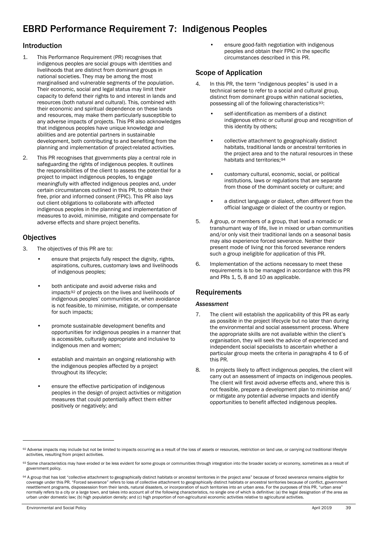# EBRD Performance Requirement 7: Indigenous Peoples

# Introduction

- 1. This Performance Requirement (PR) recognises that indigenous peoples are social groups with identities and livelihoods that are distinct from dominant groups in national societies. They may be among the most marginalised and vulnerable segments of the population. Their economic, social and legal status may limit their capacity to defend their rights to and interest in lands and resources (both natural and cultural). This, combined with their economic and spiritual dependence on these lands and resources, may make them particularly susceptible to any adverse impacts of projects. This PR also acknowledges that indigenous peoples have unique knowledge and abilities and are potential partners in sustainable development, both contributing to and benefiting from the planning and implementation of project-related activities.
- 2. This PR recognises that governments play a central role in safeguarding the rights of indigenous peoples. It outlines the responsibilities of the client to assess the potential for a project to impact indigenous peoples, to engage meaningfully with affected indigenous peoples and, under certain circumstances outlined in this PR, to obtain their free, prior and informed consent (FPIC). This PR also lays out client obligations to collaborate with affected indigenous peoples in the planning and implementation of measures to avoid, minimise, mitigate and compensate for adverse effects and share project benefits.

# **Objectives**

- 3. The objectives of this PR are to:
	- ensure that projects fully respect the dignity, rights, aspirations, cultures, customary laws and livelihoods of indigenous peoples;
	- both anticipate and avoid adverse risks and impacts[92](#page-40-0) of projects on the lives and livelihoods of indigenous peoples' communities or, when avoidance is not feasible, to minimise, mitigate, or compensate for such impacts;
	- promote sustainable development benefits and opportunities for indigenous peoples in a manner that is accessible, culturally appropriate and inclusive to indigenous men and women;
	- establish and maintain an ongoing relationship with the indigenous peoples affected by a project throughout its lifecycle;
	- ensure the effective participation of indigenous peoples in the design of project activities or mitigation measures that could potentially affect them either positively or negatively; and

• ensure good-faith negotiation with indigenous peoples and obtain their FPIC in the specific circumstances described in this PR.

# Scope of Application

- 4. In this PR, the term "indigenous peoples" is used in a technical sense to refer to a social and cultural group, distinct from dominant groups within national societies, possessing all of the following characteristics<sup>[93](#page-40-1)</sup>:
	- self-identification as members of a distinct indigenous ethnic or cultural group and recognition of this identity by others;
	- collective attachment to geographically distinct habitats, traditional lands or ancestral territories in the project area and to the natural resources in these habitats and territories; [94](#page-40-2)
	- customary cultural, economic, social, or political institutions, laws or regulations that are separate from those of the dominant society or culture; and
	- a distinct language or dialect, often different from the official language or dialect of the country or region.
- 5. A group, or members of a group, that lead a nomadic or transhumant way of life, live in mixed or urban communities and/or only visit their traditional lands on a seasonal basis may also experience forced severance. Neither their present mode of living nor this forced severance renders such a group ineligible for application of this PR.
- 6. Implementation of the actions necessary to meet these requirements is to be managed in accordance with this PR and PRs 1, 5, 8 and 10 as applicable.

# **Requirements**

### *Assessment*

- 7. The client will establish the applicability of this PR as early as possible in the project lifecycle but no later than during the environmental and social assessment process. Where the appropriate skills are not available within the client's organisation, they will seek the advice of experienced and independent social specialists to ascertain whether a particular group meets the criteria in paragraphs 4 to 6 of this PR.
- 8. In projects likely to affect indigenous peoples, the client will carry out an assessment of impacts on indigenous peoples. The client will first avoid adverse effects and, where this is not feasible, prepare a development plan to minimise and/ or mitigate any potential adverse impacts and identify opportunities to benefit affected indigenous peoples.

<span id="page-40-0"></span><sup>92</sup> Adverse impacts may include but not be limited to impacts occurring as a result of the loss of assets or resources, restriction on land use, or carrying out traditional lifestyle activities, resulting from project activities.

<span id="page-40-1"></span><sup>93</sup> Some characteristics may have eroded or be less evident for some groups or communities through integration into the broader society or economy, sometimes as a result of government policy.

<span id="page-40-2"></span><sup>94</sup> A group that has lost "collective attachment to geographically distinct habitats or ancestral territories in the project area" because of forced severance remains eligible for<br>coverage under this PR. "Forced severance" resettlement programs, dispossession from their lands, natural disasters, or incorporation of such territories into an urban area. For the purposes of this PR, "urban area" normally refers to a city or a large town, and takes into account all of the following characteristics, no single one of which is definitive: (a) the legal designation of the area as urban under domestic law; (b) high population density; and (c) high proportion of non-agricultural economic activities relative to agricultural activities.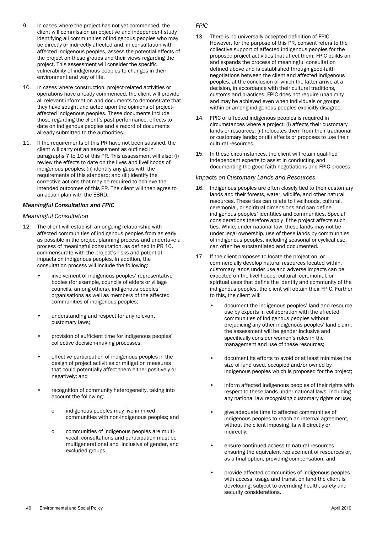- 9. In cases where the project has not yet commenced, the client will commission an objective and independent study identifying all communities of indigenous peoples who may be directly or indirectly affected and, in consultation with affected indigenous peoples, assess the potential effects of the project on these groups and their views regarding the project. This assessment will consider the specific vulnerability of indigenous peoples to changes in their environment and way of life.
- 10. In cases where construction, project-related activities or operations have already commenced, the client will provide all relevant information and documents to demonstrate that they have sought and acted upon the opinions of projectaffected indigenous peoples. These documents include those regarding the client's past performance, effects to date on indigenous peoples and a record of documents already submitted to the authorities.
- 11. If the requirements of this PR have not been satisfied, the client will carry out an assessment as outlined in paragraphs 7 to 10 of this PR. This assessment will also: (i) review the effects to date on the lives and livelihoods of indigenous peoples; (ii) identify any gaps with the requirements of this standard; and (iii) identify the corrective actions that may be required to achieve the intended outcomes of this PR. The client will then agree to an action plan with the EBRD.

# *Meaningful Consultation and FPIC*

### *Meaningful Consultation*

- 12. The client will establish an ongoing relationship with affected communities of indigenous peoples from as early as possible in the project planning process and undertake a process of meaningful consultation, as defined in PR 10, commensurate with the project's risks and potential impacts on indigenous peoples. In addition, the consultation process will include the following:
	- involvement of indigenous peoples' representative bodies (for example, councils of elders or village councils, among others), indigenous peoples' organisations as well as members of the affected communities of indigenous peoples;
	- understanding and respect for any relevant customary laws;
	- provision of sufficient time for indigenous peoples' collective decision-making processes;
	- effective participation of indigenous peoples in the design of project activities or mitigation measures that could potentially affect them either positively or negatively; and
	- recognition of community heterogeneity, taking into account the following:
		- o indigenous peoples may live in mixed communities with non-indigenous peoples; and
		- o communities of indigenous peoples are multivocal; consultations and participation must be multigenerational and inclusive of gender, and excluded groups.

*FPIC*

- 13. There is no universally accepted definition of FPIC. However, for the purpose of this PR, consent refers to the collective support of affected indigenous peoples for the proposed project activities that affect them. FPIC builds on and expands the process of meaningful consultation defined above and is established through good-faith negotiations between the client and affected indigenous peoples, at the conclusion of which the latter arrive at a decision, in accordance with their cultural traditions, customs and practices. FPIC does not require unanimity and may be achieved even when individuals or groups within or among indigenous peoples explicitly disagree.
- 14. FPIC of affected indigenous peoples is required in circumstances where a project: (i) affects their customary lands or resources; (ii) relocates them from their traditional or customary lands; or (iii) affects or proposes to use their cultural resources.
- 15. In these circumstances, the client will retain qualified independent experts to assist in conducting and documenting the good faith negotiations and FPIC process.

### *Impacts on Customary Lands and Resources*

- 16. Indigenous peoples are often closely tied to their customary lands and their forests, water, wildlife, and other natural resources. These ties can relate to livelihoods, cultural, ceremonial, or spiritual dimensions and can define indigenous peoples' identities and communities. Special considerations therefore apply if the project affects such ties. While, under national law, these lands may not be under legal ownership, use of these lands by communities of indigenous peoples, including seasonal or cyclical use, can often be substantiated and documented.
- 17. If the client proposes to locate the project on, or commercially develop natural resources located within, customary lands under use and adverse impacts can be expected on the livelihoods, cultural, ceremonial, or spiritual uses that define the identity and community of the indigenous peoples, the client will obtain their FPIC. Further to this, the client will:
	- document the indigenous peoples' land and resource use by experts in collaboration with the affected communities of indigenous peoples without prejudicing any other indigenous peoples' land claim; the assessment will be gender inclusive and specifically consider women's roles in the management and use of these resources;
	- document its efforts to avoid or at least minimise the size of land used, occupied and/or owned by indigenous peoples which is proposed for the project;
	- inform affected indigenous peoples of their rights with respect to these lands under national laws, including any national law recognising customary rights or use;
	- give adequate time to affected communities of indigenous peoples to reach an internal agreement, without the client imposing its will directly or indirectly;
	- ensure continued access to natural resources, ensuring the equivalent replacement of resources or, as a final option, providing compensation; and
	- provide affected communities of indigenous peoples with access, usage and transit on land the client is developing, subject to overriding health, safety and security considerations.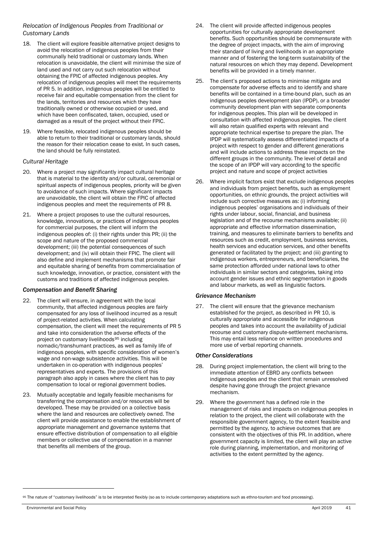# *Relocation of Indigenous Peoples from Traditional or Customary Lands*

- 18. The client will explore feasible alternative project designs to avoid the relocation of indigenous peoples from their communally held traditional or customary lands. When relocation is unavoidable, the client will minimise the size of land used and not carry out such relocation without obtaining the FPIC of affected indigenous peoples. Any relocation of indigenous peoples will meet the requirements of PR 5. In addition, indigenous peoples will be entitled to receive fair and equitable compensation from the client for the lands, territories and resources which they have traditionally owned or otherwise occupied or used, and which have been confiscated, taken, occupied, used or damaged as a result of the project without their FPIC.
- 19. Where feasible, relocated indigenous peoples should be able to return to their traditional or customary lands, should the reason for their relocation cease to exist. In such cases, the land should be fully reinstated.

#### *Cultural Heritage*

- 20. Where a project may significantly impact cultural heritage that is material to the identity and/or cultural, ceremonial or spiritual aspects of indigenous peoples, priority will be given to avoidance of such impacts. Where significant impacts are unavoidable, the client will obtain the FPIC of affected indigenous peoples and meet the requirements of PR 8.
- 21. Where a project proposes to use the cultural resources, knowledge, innovations, or practices of indigenous peoples for commercial purposes, the client will inform the indigenous peoples of: (i) their rights under this PR; (ii) the scope and nature of the proposed commercial development; (iii) the potential consequences of such development; and (iv) will obtain their FPIC. The client will also define and implement mechanisms that promote fair and equitable sharing of benefits from commercialisation of such knowledge, innovation, or practice, consistent with the customs and traditions of affected indigenous peoples.

### *Compensation and Benefit Sharing*

- 22. The client will ensure, in agreement with the local community, that affected indigenous peoples are fairly compensated for any loss of livelihood incurred as a result of project-related activities. When calculating compensation, the client will meet the requirements of PR 5 and take into consideration the adverse effects of the project on customary livelihoods[95](#page-42-0) including nomadic/transhumant practices, as well as family life of indigenous peoples, with specific consideration of women's wage and non-wage subsistence activities. This will be undertaken in co-operation with indigenous peoples' representatives and experts. The provisions of this paragraph also apply in cases where the client has to pay compensation to local or regional government bodies.
- 23. Mutually acceptable and legally feasible mechanisms for transferring the compensation and/or resources will be developed. These may be provided on a collective basis where the land and resources are collectively owned. The client will provide assistance to enable the establishment of appropriate management and governance systems that ensure effective distribution of compensation to all eligible members or collective use of compensation in a manner that benefits all members of the group.
- 24. The client will provide affected indigenous peoples opportunities for culturally appropriate development benefits. Such opportunities should be commensurate with the degree of project impacts, with the aim of improving their standard of living and livelihoods in an appropriate manner and of fostering the long-term sustainability of the natural resources on which they may depend. Development benefits will be provided in a timely manner.
- 25. The client's proposed actions to minimise mitigate and compensate for adverse effects and to identify and share benefits will be contained in a time-bound plan, such as an indigenous peoples development plan (IPDP), or a broader community development plan with separate components for indigenous peoples. This plan will be developed in consultation with affected indigenous peoples. The client will also retain qualified experts with relevant and appropriate technical expertise to prepare the plan. The IPDP will systematically assess differentiated impacts of a project with respect to gender and different generations and will include actions to address these impacts on the different groups in the community. The level of detail and the scope of an IPDP will vary according to the specific project and nature and scope of project activities
- 26. Where implicit factors exist that exclude indigenous peoples and individuals from project benefits, such as employment opportunities, on ethnic grounds, the project activities will include such corrective measures as: (i) informing indigenous peoples' organisations and individuals of their rights under labour, social, financial, and business legislation and of the recourse mechanisms available; (ii) appropriate and effective information dissemination, training, and measures to eliminate barriers to benefits and resources such as credit, employment, business services, health services and education services, and other benefits generated or facilitated by the project; and (iii) granting to indigenous workers, entrepreneurs, and beneficiaries, the same protection afforded under national laws to other individuals in similar sectors and categories, taking into account gender issues and ethnic segmentation in goods and labour markets, as well as linguistic factors.

### *Grievance Mechanism*

27. The client will ensure that the grievance mechanism established for the project, as described in PR 10, is culturally appropriate and accessible for indigenous peoples and takes into account the availability of judicial recourse and customary dispute-settlement mechanisms. This may entail less reliance on written procedures and more use of verbal reporting channels.

### *Other Considerations*

- 28. During project implementation, the client will bring to the immediate attention of EBRD any conflicts between indigenous peoples and the client that remain unresolved despite having gone through the project grievance mechanism.
- 29. Where the government has a defined role in the management of risks and impacts on indigenous peoples in relation to the project, the client will collaborate with the responsible government agency, to the extent feasible and permitted by the agency, to achieve outcomes that are consistent with the objectives of this PR. In addition, where government capacity is limited, the client will play an active role during planning, implementation, and monitoring of activities to the extent permitted by the agency.

<span id="page-42-0"></span><sup>95</sup> The nature of "customary livelihoods" is to be interpreted flexibly (so as to include contemporary adaptations such as ethno-tourism and food processing).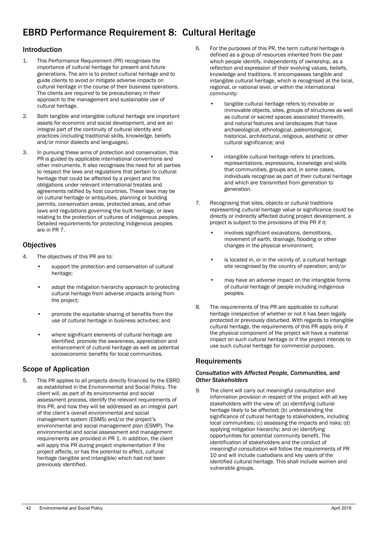# EBRD Performance Requirement 8: Cultural Heritage

# Introduction

- 1. This Performance Requirement (PR) recognises the importance of cultural heritage for present and future generations. The aim is to protect cultural heritage and to guide clients to avoid or mitigate adverse impacts on cultural heritage in the course of their business operations. The clients are required to be precautionary in their approach to the management and sustainable use of cultural heritage.
- 2. Both tangible and intangible cultural heritage are important assets for economic and social development, and are an integral part of the continuity of cultural identity and practices (including traditional skills, knowledge, beliefs and/or minor dialects and languages).
- 3. In pursuing these aims of protection and conservation, this PR is guided by applicable international conventions and other instruments. It also recognises the need for all parties to respect the laws and regulations that pertain to cultural heritage that could be affected by a project and the obligations under relevant international treaties and agreements ratified by host countries. These laws may be on cultural heritage or antiquities, planning or building permits, conservation areas, protected areas, and other laws and regulations governing the built heritage, or laws relating to the protection of cultures of indigenous peoples. Detailed requirements for protecting indigenous peoples are in PR 7.

# **Objectives**

- 4. The objectives of this PR are to:
	- support the protection and conservation of cultural heritage;
	- adopt the mitigation hierarchy approach to protecting cultural heritage from adverse impacts arising from the project;
	- promote the equitable sharing of benefits from the use of cultural heritage in business activities; and
	- where significant elements of cultural heritage are identified, promote the awareness, appreciation and enhancement of cultural heritage as well as potential socioeconomic benefits for local communities.

# Scope of Application

5. This PR applies to all projects directly financed by the EBRD as established in the Environmental and Social Policy. The client will, as part of its environmental and social assessment process, identify the relevant requirements of this PR, and how they will be addressed as an integral part of the client's overall environmental and social management system (ESMS) and/or the project's environmental and social management plan (ESMP). The environmental and social assessment and management requirements are provided in PR 1. In addition, the client will apply this PR during project implementation if the project affects, or has the potential to affect, cultural heritage (tangible and intangible) which had not been previously identified.

- 6. For the purposes of this PR, the term cultural heritage is defined as a group of resources inherited from the past which people identify, independently of ownership, as a reflection and expression of their evolving values, beliefs, knowledge and traditions. It encompasses tangible and intangible cultural heritage, which is recognised at the local, regional, or national level, or within the international community:
	- tangible cultural heritage refers to movable or immovable objects, sites, groups of structures as well as cultural or sacred spaces associated therewith, and natural features and landscapes that have archaeological, ethnological, paleontological, historical, architectural, religious, aesthetic or other cultural significance; and
	- intangible cultural heritage refers to practices, representations, expressions, knowledge and skills that communities, groups and, in some cases, individuals recognise as part of their cultural heritage and which are transmitted from generation to generation.
- 7. Recognising that sites, objects or cultural traditions representing cultural heritage value or significance could be directly or indirectly affected during project development, a project is subject to the provisions of this PR if it:
	- involves significant excavations, demolitions, movement of earth, drainage, flooding or other changes in the physical environment;
	- is located in, or in the vicinity of, a cultural heritage site recognised by the country of operation; and/or
	- may have an adverse impact on the intangible forms of cultural heritage of people including indigenous peoples.
- 8. The requirements of this PR are applicable to cultural heritage irrespective of whether or not it has been legally protected or previously disturbed. With regards to intangible cultural heritage, the requirements of this PR apply only if the physical component of the project will have a material impact on such cultural heritage or if the project intends to use such cultural heritage for commercial purposes.

# **Requirements**

# *Consultation with Affected People, Communities, and Other Stakeholders*

9. The client will carry out meaningful consultation and information provision in respect of the project with all key stakeholders with the view of: (a) identifying cultural heritage likely to be affected; (b) understanding the significance of cultural heritage to stakeholders, including local communities; (c) assessing the impacts and risks; (d) applying mitigation hierarchy; and (e) identifying opportunities for potential community benefit. The identification of stakeholders and the conduct of meaningful consultation will follow the requirements of PR 10 and will include custodians and key users of the identified cultural heritage. This shall include women and vulnerable groups.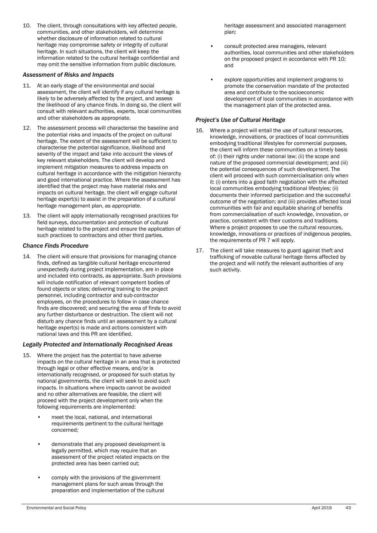10. The client, through consultations with key affected people, communities, and other stakeholders, will determine whether disclosure of information related to cultural heritage may compromise safety or integrity of cultural heritage. In such situations, the client will keep the information related to the cultural heritage confidential and may omit the sensitive information from public disclosure.

#### *Assessment of Risks and Impacts*

- 11. At an early stage of the environmental and social assessment, the client will identify if any cultural heritage is likely to be adversely affected by the project, and assess the likelihood of any chance finds. In doing so, the client will consult with relevant authorities, experts, local communities and other stakeholders as appropriate.
- 12. The assessment process will characterise the baseline and the potential risks and impacts of the project on cultural heritage. The extent of the assessment will be sufficient to characterise the potential significance, likelihood and severity of the impact and take into account the views of key relevant stakeholders. The client will develop and implement mitigation measures to address impacts on cultural heritage in accordance with the mitigation hierarchy and good international practice. Where the assessment has identified that the project may have material risks and impacts on cultural heritage, the client will engage cultural heritage expert(s) to assist in the preparation of a cultural heritage management plan, as appropriate.
- 13. The client will apply internationally recognised practices for field surveys, documentation and protection of cultural heritage related to the project and ensure the application of such practices to contractors and other third parties.

### *Chance Finds Procedure*

14. The client will ensure that provisions for managing chance finds, defined as tangible cultural heritage encountered unexpectedly during project implementation, are in place and included into contracts, as appropriate. Such provisions will include notification of relevant competent bodies of found objects or sites; delivering training to the project personnel, including contractor and sub-contractor employees, on the procedures to follow in case chance finds are discovered; and securing the area of finds to avoid any further disturbance or destruction. The client will not disturb any chance finds until an assessment by a cultural heritage expert(s) is made and actions consistent with national laws and this PR are identified.

#### *Legally Protected and Internationally Recognised Areas*

- 15. Where the project has the potential to have adverse impacts on the cultural heritage in an area that is protected through legal or other effective means, and/or is internationally recognised, or proposed for such status by national governments, the client will seek to avoid such impacts. In situations where impacts cannot be avoided and no other alternatives are feasible, the client will proceed with the project development only when the following requirements are implemented:
	- meet the local, national, and international requirements pertinent to the cultural heritage concerned;
	- demonstrate that any proposed development is legally permitted, which may require that an assessment of the project related impacts on the protected area has been carried out;
	- comply with the provisions of the government management plans for such areas through the preparation and implementation of the cultural

heritage assessment and associated management plan;

- consult protected area managers, relevant authorities, local communities and other stakeholders on the proposed project in accordance with PR 10; and
- explore opportunities and implement programs to promote the conservation mandate of the protected area and contribute to the socioeconomic development of local communities in accordance with the management plan of the protected area.

### *Project's Use of Cultural Heritage*

- 16. Where a project will entail the use of cultural resources, knowledge, innovations, or practices of local communities embodying traditional lifestyles for commercial purposes, the client will inform these communities on a timely basis of: (i) their rights under national law; (ii) the scope and nature of the proposed commercial development; and (iii) the potential consequences of such development. The client will proceed with such commercialisation only when it: (i) enters into a good faith negotiation with the affected local communities embodying traditional lifestyles; (ii) documents their informed participation and the successful outcome of the negotiation; and (iii) provides affected local communities with fair and equitable sharing of benefits from commercialisation of such knowledge, innovation, or practice, consistent with their customs and traditions. Where a project proposes to use the cultural resources, knowledge, innovations or practices of indigenous peoples, the requirements of PR 7 will apply.
- 17. The client will take measures to guard against theft and trafficking of movable cultural heritage items affected by the project and will notify the relevant authorities of any such activity.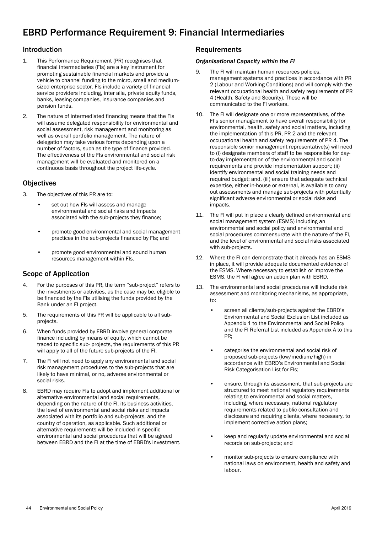# EBRD Performance Requirement 9: Financial Intermediaries

# Introduction

- 1. This Performance Requirement (PR) recognises that financial intermediaries (FIs) are a key instrument for promoting sustainable financial markets and provide a vehicle to channel funding to the micro, small and mediumsized enterprise sector. FIs include a variety of financial service providers including, inter alia, private equity funds, banks, leasing companies, insurance companies and pension funds.
- 2. The nature of intermediated financing means that the FIs will assume delegated responsibility for environmental and social assessment, risk management and monitoring as well as overall portfolio management. The nature of delegation may take various forms depending upon a number of factors, such as the type of finance provided. The effectiveness of the FIs environmental and social risk management will be evaluated and monitored on a continuous basis throughout the project life-cycle.

# **Objectives**

- 3. The objectives of this PR are to:
	- set out how FIs will assess and manage environmental and social risks and impacts associated with the sub-projects they finance;
	- promote good environmental and social management practices in the sub-projects financed by FIs; and
	- promote good environmental and sound human resources management within FIs.

# Scope of Application

- 4. For the purposes of this PR, the term "sub-project" refers to the investments or activities, as the case may be, eligible to be financed by the FIs utilising the funds provided by the Bank under an FI project.
- 5. The requirements of this PR will be applicable to all subprojects.
- 6. When funds provided by EBRD involve general corporate finance including by means of equity, which cannot be traced to specific sub- projects, the requirements of this PR will apply to all of the future sub-projects of the FI.
- 7. The FI will not need to apply any environmental and social risk management procedures to the sub-projects that are likely to have minimal, or no, adverse environmental or social risks.
- 8. EBRD may require FIs to adopt and implement additional or alternative environmental and social requirements, depending on the nature of the FI, its business activities, the level of environmental and social risks and impacts associated with its portfolio and sub-projects, and the country of operation, as applicable. Such additional or alternative requirements will be included in specific environmental and social procedures that will be agreed between EBRD and the FI at the time of EBRD's investment.

# **Requirements**

# *Organisational Capacity within the FI*

- 9. The FI will maintain human resources policies, management systems and practices in accordance with PR 2 (Labour and Working Conditions) and will comply with the relevant occupational health and safety requirements of PR 4 (Health, Safety and Security). These will be communicated to the FI workers.
- 10. The FI will designate one or more representatives, of the FI's senior management to have overall responsibility for environmental, health, safety and social matters, including the implementation of this PR, PR 2 and the relevant occupational health and safety requirements of PR 4. The responsible senior management representative(s) will need to (i) designate members of staff to be responsible for dayto-day implementation of the environmental and social requirements and provide implementation support; (ii) identify environmental and social training needs and required budget; and, (iii) ensure that adequate technical expertise, either in-house or external, is available to carry out assessments and manage sub-projects with potentially significant adverse environmental or social risks and impacts.
- 11. The FI will put in place a clearly defined environmental and social management system (ESMS) including an environmental and social policy and environmental and social procedures commensurate with the nature of the FI, and the level of environmental and social risks associated with sub-projects.
- 12. Where the FI can demonstrate that it already has an ESMS in place, it will provide adequate documented evidence of the ESMS. Where necessary to establish or improve the ESMS, the FI will agree an action plan with EBRD.
- 13. The environmental and social procedures will include risk assessment and monitoring mechanisms, as appropriate, to:
	- screen all clients/sub-projects against the EBRD's Environmental and Social Exclusion List included as Appendix 1 to the Environmental and Social Policy and the FI Referral List included as Appendix A to this PR;
	- categorise the environmental and social risk of proposed sub-projects (low/medium/high) in accordance with EBRD's Environmental and Social Risk Categorisation List for FIs;
	- ensure, through its assessment, that sub-projects are structured to meet national regulatory requirements relating to environmental and social matters, including, where necessary, national regulatory requirements related to public consultation and disclosure and requiring clients, where necessary, to implement corrective action plans;
	- keep and regularly update environmental and social records on sub-projects; and
	- monitor sub-projects to ensure compliance with national laws on environment, health and safety and labour.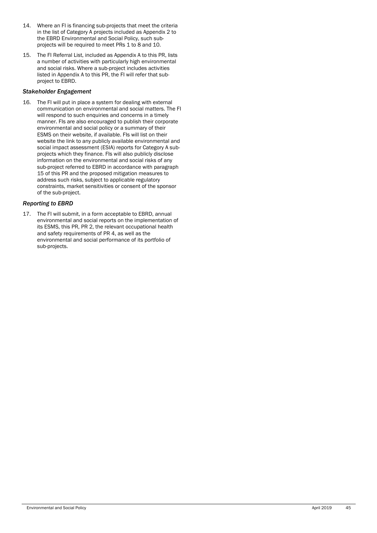- 14. Where an FI is financing sub-projects that meet the criteria in the list of Category A projects included as Appendix 2 to the EBRD Environmental and Social Policy, such subprojects will be required to meet PRs 1 to 8 and 10.
- 15. The FI Referral List, included as Appendix A to this PR, lists a number of activities with particularly high environmental and social risks. Where a sub-project includes activities listed in Appendix A to this PR, the FI will refer that subproject to EBRD.

### *Stakeholder Engagement*

16. The FI will put in place a system for dealing with external communication on environmental and social matters. The FI will respond to such enquiries and concerns in a timely manner. FIs are also encouraged to publish their corporate environmental and social policy or a summary of their ESMS on their website, if available. FIs will list on their website the link to any publicly available environmental and social impact assessment (ESIA) reports for Category A subprojects which they finance. FIs will also publicly disclose information on the environmental and social risks of any sub-project referred to EBRD in accordance with paragraph 15 of this PR and the proposed mitigation measures to address such risks, subject to applicable regulatory constraints, market sensitivities or consent of the sponsor of the sub-project.

### *Reporting to EBRD*

17. The FI will submit, in a form acceptable to EBRD, annual environmental and social reports on the implementation of its ESMS, this PR, PR 2, the relevant occupational health and safety requirements of PR 4, as well as the environmental and social performance of its portfolio of sub-projects.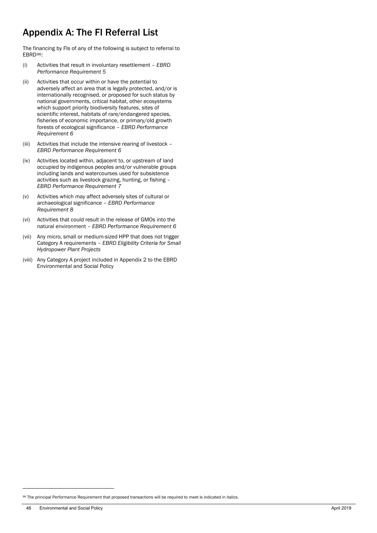# Appendix A: The FI Referral List

The financing by FIs of any of the following is subject to referral to EBRD[96](#page-47-0):

- (i) Activities that result in involuntary resettlement *EBRD Performance Requirement 5*
- (ii) Activities that occur within or have the potential to adversely affect an area that is legally protected, and/or is internationally recognised, or proposed for such status by national governments, critical habitat, other ecosystems which support priority biodiversity features, sites of scientific interest, habitats of rare/endangered species, fisheries of economic importance, or primary/old growth forests of ecological significance – *EBRD Performance Requirement 6*
- (iii) Activities that include the intensive rearing of livestock *EBRD Performance Requirement 6*
- (iv) Activities located within, adjacent to, or upstream of land occupied by indigenous peoples and/or vulnerable groups including lands and watercourses used for subsistence activities such as livestock grazing, hunting, or fishing – *EBRD Performance Requirement 7*
- (v) Activities which may affect adversely sites of cultural or archaeological significance – *EBRD Performance Requirement 8*
- (vi) Activities that could result in the release of GMOs into the natural environment – *EBRD Performance Requirement 6*
- (vii) Any micro, small or medium-sized HPP that does not trigger Category A requirements – *EBRD Eligibility Criteria for Small Hydropower Plant Projects*
- (viii) Any Category A project included in Appendix 2 to the EBRD Environmental and Social Policy

<span id="page-47-0"></span><sup>96</sup> The principal Performance Requirement that proposed transactions will be required to meet is indicated in italics.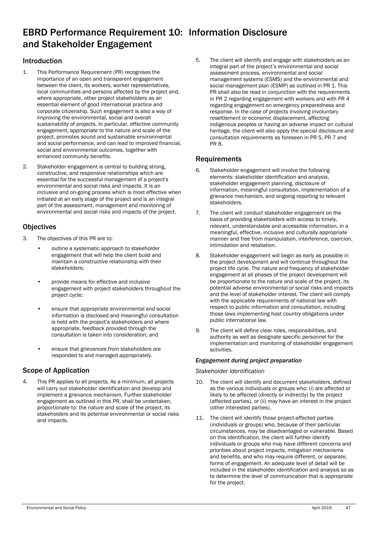# EBRD Performance Requirement 10: Information Disclosure and Stakeholder Engagement

# Introduction

- 1. This Performance Requirement (PR) recognises the importance of an open and transparent engagement between the client, its workers, worker representatives, local communities and persons affected by the project and, where appropriate, other project stakeholders as an essential element of good international practice and corporate citizenship. Such engagement is also a way of improving the environmental, social and overall sustainability of projects. In particular, effective community engagement, appropriate to the nature and scale of the project, promotes sound and sustainable environmental and social performance, and can lead to improved financial, social and environmental outcomes, together with enhanced community benefits.
- 2. Stakeholder engagement is central to building strong, constructive, and responsive relationships which are essential for the successful management of a project's environmental and social risks and impacts. It is an inclusive and on-going process which is most effective when initiated at an early stage of the project and is an integral part of the assessment, management and monitoring of environmental and social risks and impacts of the project.

# **Objectives**

- 3. The objectives of this PR are to:
	- outline a systematic approach to stakeholder engagement that will help the client build and maintain a constructive relationship with their stakeholders;
	- provide means for effective and inclusive engagement with project stakeholders throughout the project cycle;
	- ensure that appropriate environmental and social information is disclosed and meaningful consultation is held with the project's stakeholders and where appropriate, feedback provided through the consultation is taken into consideration; and
	- ensure that grievances from stakeholders are responded to and managed appropriately.

# Scope of Application

4. This PR applies to all projects. As a minimum, all projects will carry out stakeholder identification and develop and implement a grievance mechanism. Further stakeholder engagement as outlined in this PR, shall be undertaken, proportionate to: the nature and scale of the project, its stakeholders and its potential environmental or social risks and impacts.

5. The client will identify and engage with stakeholders as an integral part of the project's environmental and social assessment process, environmental and social management systems (ESMS) and the environmental and social management plan (ESMP) as outlined in PR 1. This PR shall also be read in conjunction with the requirements in PR 2 regarding engagement with workers and with PR 4 regarding engagement on emergency preparedness and response. In the case of projects involving involuntary resettlement or economic displacement, affecting indigenous peoples or having an adverse impact on cultural heritage, the client will also apply the special disclosure and consultation requirements as foreseen in PR 5, PR 7 and PR 8.

# **Requirements**

- 6. Stakeholder engagement will involve the following elements: stakeholder identification and analysis, stakeholder engagement planning, disclosure of information, meaningful consultation, implementation of a grievance mechanism, and ongoing reporting to relevant stakeholders.
- 7. The client will conduct stakeholder engagement on the basis of providing stakeholders with access to timely, relevant, understandable and accessible information, in a meaningful, effective, inclusive and culturally appropriate manner and free from manipulation, interference, coercion, intimidation and retaliation.
- 8. Stakeholder engagement will begin as early as possible in the project development and will continue throughout the project life cycle. The nature and frequency of stakeholder engagement at all phases of the project development will be proportionate to the nature and scale of the project, its potential adverse environmental or social risks and impacts and the level of stakeholder interest. The client will comply with the applicable requirements of national law with respect to public information and consultation, including those laws implementing host country obligations under public international law.
- 9. The client will define clear roles, responsibilities, and authority as well as designate specific personnel for the implementation and monitoring of stakeholder engagement activities.

# *Engagement during project preparation*

### *Stakeholder Identification*

- 10. The client will identify and document stakeholders, defined as the various individuals or groups who: (i) are affected or likely to be affected (directly or indirectly) by the project (affected parties), or (ii) may have an interest in the project (other interested parties).
- 11. The client will identify those project-affected parties (individuals or groups) who, because of their particular circumstances, may be disadvantaged or vulnerable. Based on this identification, the client will further identify individuals or groups who may have different concerns and priorities about project impacts, mitigation mechanisms and benefits, and who may require different, or separate, forms of engagement. An adequate level of detail will be included in the stakeholder identification and analysis so as to determine the level of communication that is appropriate for the project.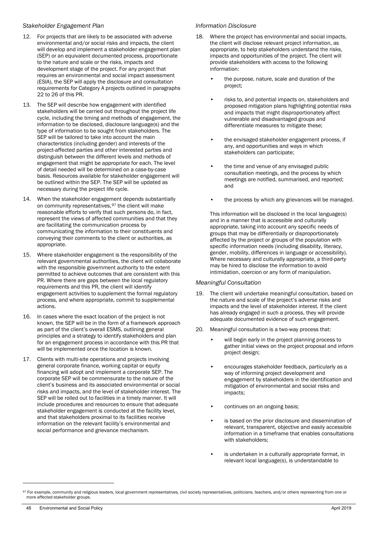### *Stakeholder Engagement Plan*

- 12. For projects that are likely to be associated with adverse environmental and/or social risks and impacts, the client will develop and implement a stakeholder engagement plan (SEP) or an equivalent documented process, proportionate to the nature and scale or the risks, impacts and development stage of the project. For any project that requires an environmental and social impact assessment (ESIA), the SEP will apply the disclosure and consultation requirements for Category A projects outlined in paragraphs 22 to 26 of this PR.
- 13. The SEP will describe how engagement with identified stakeholders will be carried out throughout the project life cycle, including the timing and methods of engagement, the information to be disclosed, disclosure language(s) and the type of information to be sought from stakeholders. The SEP will be tailored to take into account the main characteristics (including gender) and interests of the project-affected parties and other interested parties and distinguish between the different levels and methods of engagement that might be appropriate for each. The level of detail needed will be determined on a case-by-case basis. Resources available for stakeholder engagement will be outlined within the SEP. The SEP will be updated as necessary during the project life cycle.
- 14. When the stakeholder engagement depends substantially on community representatives, [97](#page-49-0) the client will make reasonable efforts to verify that such persons do, in fact, represent the views of affected communities and that they are facilitating the communication process by communicating the information to their constituents and conveying their comments to the client or authorities, as appropriate.
- 15. Where stakeholder engagement is the responsibility of the relevant governmental authorities, the client will collaborate with the responsible government authority to the extent permitted to achieve outcomes that are consistent with this PR. Where there are gaps between the local regulatory requirements and this PR, the client will identify engagement activities to supplement the formal regulatory process, and where appropriate, commit to supplemental actions.
- 16. In cases where the exact location of the project is not known, the SEP will be in the form of a framework approach as part of the client's overall ESMS, outlining general principles and a strategy to identify stakeholders and plan for an engagement process in accordance with this PR that will be implemented once the location is known.
- 17. Clients with multi-site operations and projects involving general corporate finance, working capital or equity financing will adopt and implement a corporate SEP. The corporate SEP will be commensurate to the nature of the client's business and its associated environmental or social risks and impacts, and the level of stakeholder interest. The SEP will be rolled out to facilities in a timely manner. It will include procedures and resources to ensure that adequate stakeholder engagement is conducted at the facility level, and that stakeholders proximal to its facilities receive information on the relevant facility's environmental and social performance and grievance mechanism.

### *Information Disclosure*

- 18. Where the project has environmental and social impacts, the client will disclose relevant project information, as appropriate, to help stakeholders understand the risks, impacts and opportunities of the project. The client will provide stakeholders with access to the following information:
	- the purpose, nature, scale and duration of the project;
	- risks to, and potential impacts on, stakeholders and proposed mitigation plans highlighting potential risks and impacts that might disproportionately affect vulnerable and disadvantaged groups and differentiate measures to mitigate these;
	- the envisaged stakeholder engagement process, if any, and opportunities and ways in which stakeholders can participate;
	- the time and venue of any envisaged public consultation meetings, and the process by which meetings are notified, summarised, and reported; and
	- the process by which any grievances will be managed.

This information will be disclosed in the local language(s) and in a manner that is accessible and culturally appropriate, taking into account any specific needs of groups that may be differentially or disproportionately affected by the project or groups of the population with specific information needs (including disability, literacy, gender, mobility, differences in language or accessibility). Where necessary and culturally appropriate, a third-party may be hired to disclose the information to avoid intimidation, coercion or any form of manipulation.

#### *Meaningful Consultation*

- 19. The client will undertake meaningful consultation, based on the nature and scale of the project's adverse risks and impacts and the level of stakeholder interest. If the client has already engaged in such a process, they will provide adequate documented evidence of such engagement.
- 20. Meaningful consultation is a two-way process that:
	- will begin early in the project planning process to gather initial views on the project proposal and inform project design;
	- encourages stakeholder feedback, particularly as a way of informing project development and engagement by stakeholders in the identification and mitigation of environmental and social risks and impacts;
	- continues on an ongoing basis;
	- is based on the prior disclosure and dissemination of relevant, transparent, objective and easily accessible information in a timeframe that enables consultations with stakeholders;
	- is undertaken in a culturally appropriate format, in relevant local language(s), is understandable to

<span id="page-49-0"></span><sup>97</sup> For example, community and religious leaders, local government representatives, civil society representatives, politicians, teachers, and/or others representing from one or more affected stakeholder groups.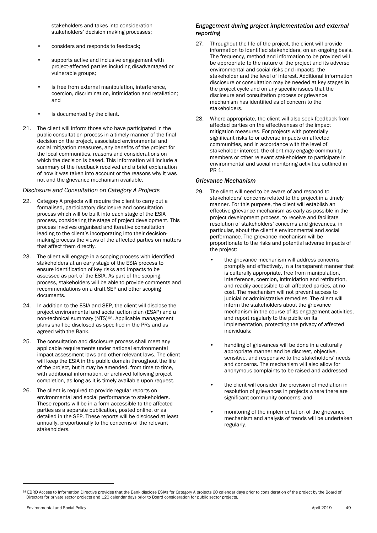stakeholders and takes into consideration stakeholders' decision making processes;

- considers and responds to feedback;
- supports active and inclusive engagement with project-affected parties including disadvantaged or vulnerable groups;
- is free from external manipulation, interference, coercion, discrimination, intimidation and retaliation; and
- is documented by the client.
- 21. The client will inform those who have participated in the public consultation process in a timely manner of the final decision on the project, associated environmental and social mitigation measures, any benefits of the project for the local communities, reasons and considerations on which the decision is based. This information will include a summary of the feedback received and a brief explanation of how it was taken into account or the reasons why it was not and the grievance mechanism available.

# *Disclosure and Consultation on Category A Projects*

- 22. Category A projects will require the client to carry out a formalised, participatory disclosure and consultation process which will be built into each stage of the ESIA process, considering the stage of project development. This process involves organised and iterative consultation leading to the client's incorporating into their decisionmaking process the views of the affected parties on matters that affect them directly.
- 23. The client will engage in a scoping process with identified stakeholders at an early stage of the ESIA process to ensure identification of key risks and impacts to be assessed as part of the ESIA. As part of the scoping process, stakeholders will be able to provide comments and recommendations on a draft SEP and other scoping documents.
- 24. In addition to the ESIA and SEP, the client will disclose the project environmental and social action plan (ESAP) and a non-technical summary (NTS)[98.](#page-50-0) Applicable management plans shall be disclosed as specified in the PRs and as agreed with the Bank.
- 25. The consultation and disclosure process shall meet any applicable requirements under national environmental impact assessment laws and other relevant laws. The client will keep the ESIA in the public domain throughout the life of the project, but it may be amended, from time to time, with additional information, or archived following project completion, as long as it is timely available upon request.
- 26. The client is required to provide regular reports on environmental and social performance to stakeholders. These reports will be in a form accessible to the affected parties as a separate publication, posted online, or as detailed in the SEP. These reports will be disclosed at least annually, proportionally to the concerns of the relevant stakeholders.

# *Engagement during project implementation and external reporting*

- 27. Throughout the life of the project, the client will provide information to identified stakeholders, on an ongoing basis. The frequency, method and information to be provided will be appropriate to the nature of the project and its adverse environmental and social risks and impacts, the stakeholder and the level of interest. Additional information disclosure or consultation may be needed at key stages in the project cycle and on any specific issues that the disclosure and consultation process or grievance mechanism has identified as of concern to the stakeholders.
- 28. Where appropriate, the client will also seek feedback from affected parties on the effectiveness of the impact mitigation measures. For projects with potentially significant risks to or adverse impacts on affected communities, and in accordance with the level of stakeholder interest, the client may engage community members or other relevant stakeholders to participate in environmental and social monitoring activities outlined in PR 1.

# *Grievance Mechanism*

- 29. The client will need to be aware of and respond to stakeholders' concerns related to the project in a timely manner. For this purpose, the client will establish an effective grievance mechanism as early as possible in the project development process, to receive and facilitate resolution of stakeholders' concerns and grievances, in particular, about the client's environmental and social performance. The grievance mechanism will be proportionate to the risks and potential adverse impacts of the project:
	- the grievance mechanism will address concerns promptly and effectively, in a transparent manner that is culturally appropriate, free from manipulation, interference, coercion, intimidation and retribution, and readily accessible to all affected parties, at no cost. The mechanism will not prevent access to judicial or administrative remedies. The client will inform the stakeholders about the grievance mechanism in the course of its engagement activities, and report regularly to the public on its implementation, protecting the privacy of affected individuals;
	- handling of grievances will be done in a culturally appropriate manner and be discreet, objective, sensitive, and responsive to the stakeholders' needs and concerns. The mechanism will also allow for anonymous complaints to be raised and addressed;
	- the client will consider the provision of mediation in resolution of grievances in projects where there are significant community concerns; and
	- monitoring of the implementation of the grievance mechanism and analysis of trends will be undertaken regularly.

Environmental and Social Policy **April 2019** 49

<span id="page-50-0"></span><sup>98</sup> EBRD Access to Information Directive provides that the Bank disclose ESIAs for Category A projects 60 calendar days prior to consideration of the project by the Board of Directors for private sector projects and 120 calendar days prior to Board consideration for public sector projects.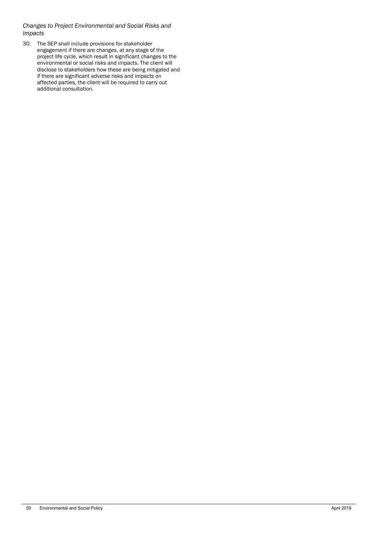*Changes to Project Environmental and Social Risks and Impacts*

30. The SEP shall include provisions for stakeholder engagement if there are changes, at any stage of the project life cycle, which result in significant changes to the environmental or social risks and impacts. The client will disclose to stakeholders how these are being mitigated and if there are significant adverse risks and impacts on affected parties, the client will be required to carry out additional consultation.